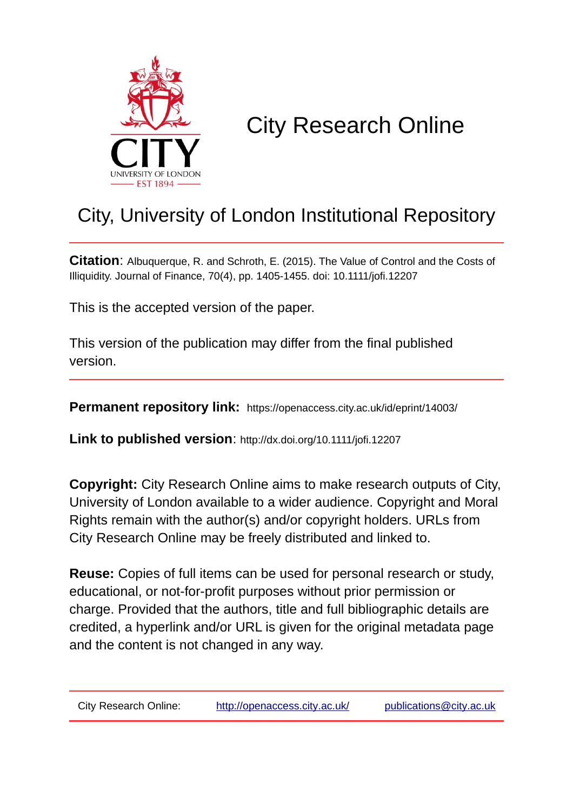

# City Research Online

## City, University of London Institutional Repository

**Citation**: Albuquerque, R. and Schroth, E. (2015). The Value of Control and the Costs of Illiquidity. Journal of Finance, 70(4), pp. 1405-1455. doi: 10.1111/jofi.12207

This is the accepted version of the paper.

This version of the publication may differ from the final published version.

**Permanent repository link:** https://openaccess.city.ac.uk/id/eprint/14003/

**Link to published version**: http://dx.doi.org/10.1111/jofi.12207

**Copyright:** City Research Online aims to make research outputs of City, University of London available to a wider audience. Copyright and Moral Rights remain with the author(s) and/or copyright holders. URLs from City Research Online may be freely distributed and linked to.

**Reuse:** Copies of full items can be used for personal research or study, educational, or not-for-profit purposes without prior permission or charge. Provided that the authors, title and full bibliographic details are credited, a hyperlink and/or URL is given for the original metadata page and the content is not changed in any way.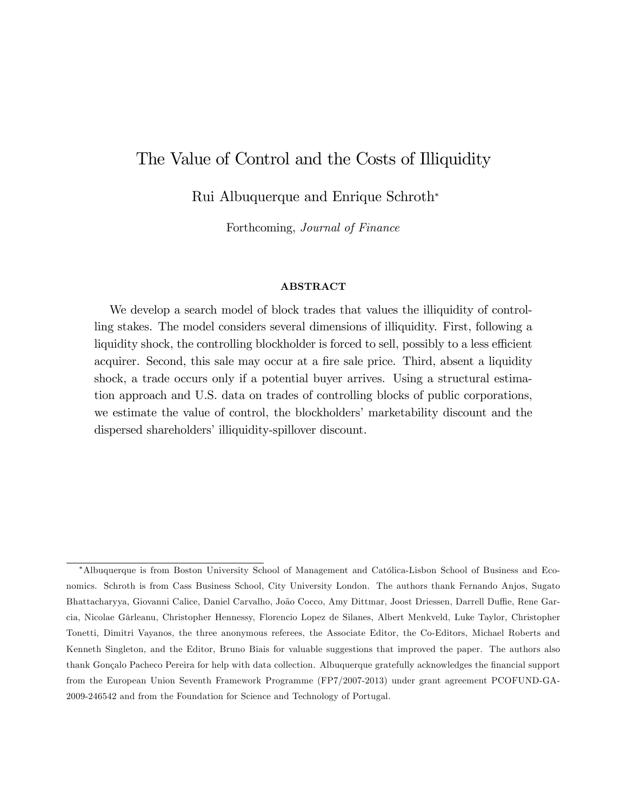### The Value of Control and the Costs of Illiquidity

Rui Albuquerque and Enrique Schroth

Forthcoming, Journal of Finance

#### ABSTRACT

We develop a search model of block trades that values the illiquidity of controlling stakes. The model considers several dimensions of illiquidity. First, following a liquidity shock, the controlling blockholder is forced to sell, possibly to a less efficient acquirer. Second, this sale may occur at a fire sale price. Third, absent a liquidity shock, a trade occurs only if a potential buyer arrives. Using a structural estimation approach and U.S. data on trades of controlling blocks of public corporations, we estimate the value of control, the blockholders' marketability discount and the dispersed shareholders' illiquidity-spillover discount.

<sup>\*</sup>Albuquerque is from Boston University School of Management and Católica-Lisbon School of Business and Economics. Schroth is from Cass Business School, City University London. The authors thank Fernando Anjos, Sugato Bhattacharyya, Giovanni Calice, Daniel Carvalho, João Cocco, Amy Dittmar, Joost Driessen, Darrell Duffie, Rene Garcia, Nicolae Gârleanu, Christopher Hennessy, Florencio Lopez de Silanes, Albert Menkveld, Luke Taylor, Christopher Tonetti, Dimitri Vayanos, the three anonymous referees, the Associate Editor, the Co-Editors, Michael Roberts and Kenneth Singleton, and the Editor, Bruno Biais for valuable suggestions that improved the paper. The authors also thank Gonçalo Pacheco Pereira for help with data collection. Albuquerque gratefully acknowledges the financial support from the European Union Seventh Framework Programme (FP7/2007-2013) under grant agreement PCOFUND-GA-2009-246542 and from the Foundation for Science and Technology of Portugal.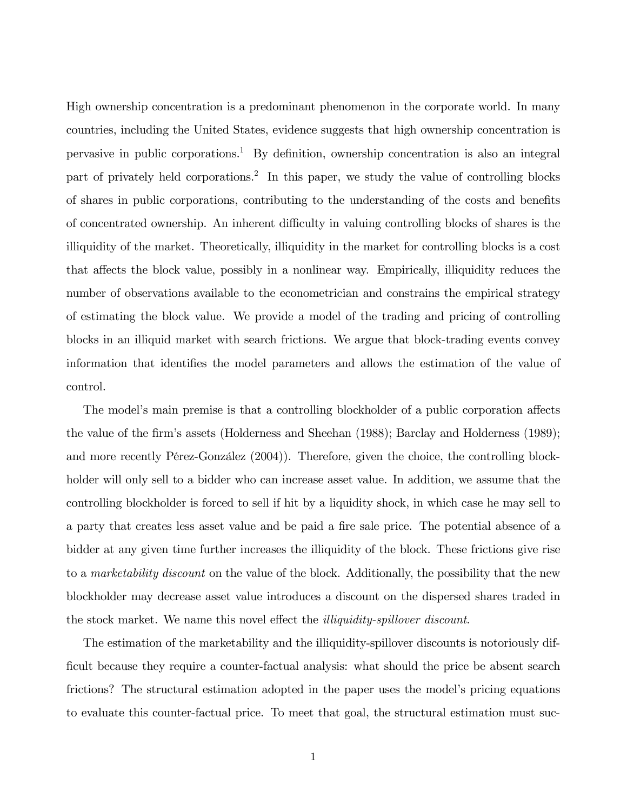High ownership concentration is a predominant phenomenon in the corporate world. In many countries, including the United States, evidence suggests that high ownership concentration is pervasive in public corporations.<sup>1</sup> By definition, ownership concentration is also an integral part of privately held corporations.<sup>2</sup> In this paper, we study the value of controlling blocks of shares in public corporations, contributing to the understanding of the costs and benefits of concentrated ownership. An inherent difficulty in valuing controlling blocks of shares is the illiquidity of the market. Theoretically, illiquidity in the market for controlling blocks is a cost that affects the block value, possibly in a nonlinear way. Empirically, illiquidity reduces the number of observations available to the econometrician and constrains the empirical strategy of estimating the block value. We provide a model of the trading and pricing of controlling blocks in an illiquid market with search frictions. We argue that block-trading events convey information that identifies the model parameters and allows the estimation of the value of control.

The model's main premise is that a controlling blockholder of a public corporation affects the value of the firm's assets (Holderness and Sheehan (1988); Barclay and Holderness (1989); and more recently Pérez-González  $(2004)$ ). Therefore, given the choice, the controlling blockholder will only sell to a bidder who can increase asset value. In addition, we assume that the controlling blockholder is forced to sell if hit by a liquidity shock, in which case he may sell to a party that creates less asset value and be paid a fire sale price. The potential absence of a bidder at any given time further increases the illiquidity of the block. These frictions give rise to a *marketability discount* on the value of the block. Additionally, the possibility that the new blockholder may decrease asset value introduces a discount on the dispersed shares traded in the stock market. We name this novel effect the *illiquidity-spillover discount*.

The estimation of the marketability and the illiquidity-spillover discounts is notoriously difficult because they require a counter-factual analysis: what should the price be absent search frictions? The structural estimation adopted in the paper uses the model's pricing equations to evaluate this counter-factual price. To meet that goal, the structural estimation must suc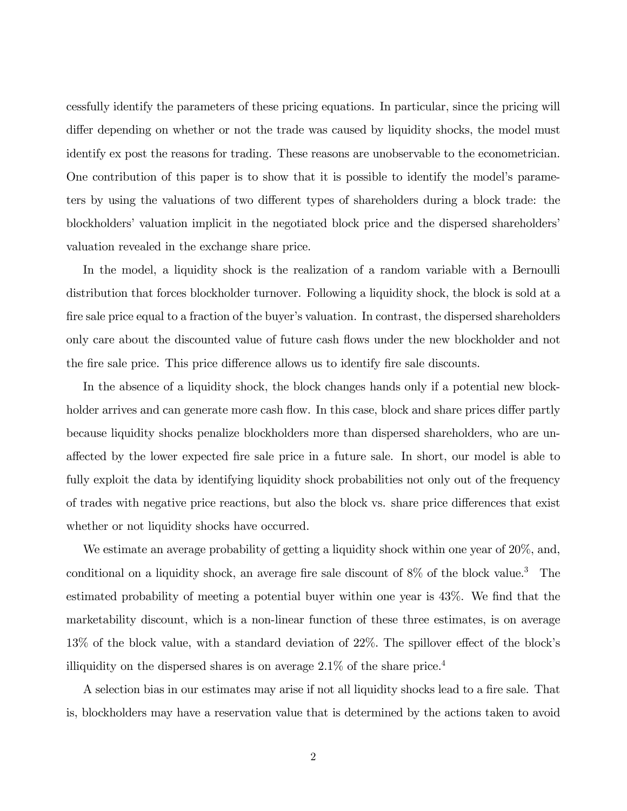cessfully identify the parameters of these pricing equations. In particular, since the pricing will differ depending on whether or not the trade was caused by liquidity shocks, the model must identify ex post the reasons for trading. These reasons are unobservable to the econometrician. One contribution of this paper is to show that it is possible to identify the modelís parameters by using the valuations of two different types of shareholders during a block trade: the blockholders' valuation implicit in the negotiated block price and the dispersed shareholders' valuation revealed in the exchange share price.

In the model, a liquidity shock is the realization of a random variable with a Bernoulli distribution that forces blockholder turnover. Following a liquidity shock, the block is sold at a fire sale price equal to a fraction of the buyer's valuation. In contrast, the dispersed shareholders only care about the discounted value of future cash flows under the new blockholder and not the fire sale price. This price difference allows us to identify fire sale discounts.

In the absence of a liquidity shock, the block changes hands only if a potential new blockholder arrives and can generate more cash flow. In this case, block and share prices differ partly because liquidity shocks penalize blockholders more than dispersed shareholders, who are una§ected by the lower expected Öre sale price in a future sale. In short, our model is able to fully exploit the data by identifying liquidity shock probabilities not only out of the frequency of trades with negative price reactions, but also the block vs. share price differences that exist whether or not liquidity shocks have occurred.

We estimate an average probability of getting a liquidity shock within one year of 20%, and, conditional on a liquidity shock, an average fire sale discount of  $8\%$  of the block value.<sup>3</sup> The estimated probability of meeting a potential buyer within one year is 43%. We find that the marketability discount, which is a non-linear function of these three estimates, is on average  $13\%$  of the block value, with a standard deviation of  $22\%$ . The spillover effect of the block's illiquidity on the dispersed shares is on average  $2.1\%$  of the share price.<sup>4</sup>

A selection bias in our estimates may arise if not all liquidity shocks lead to a fire sale. That is, blockholders may have a reservation value that is determined by the actions taken to avoid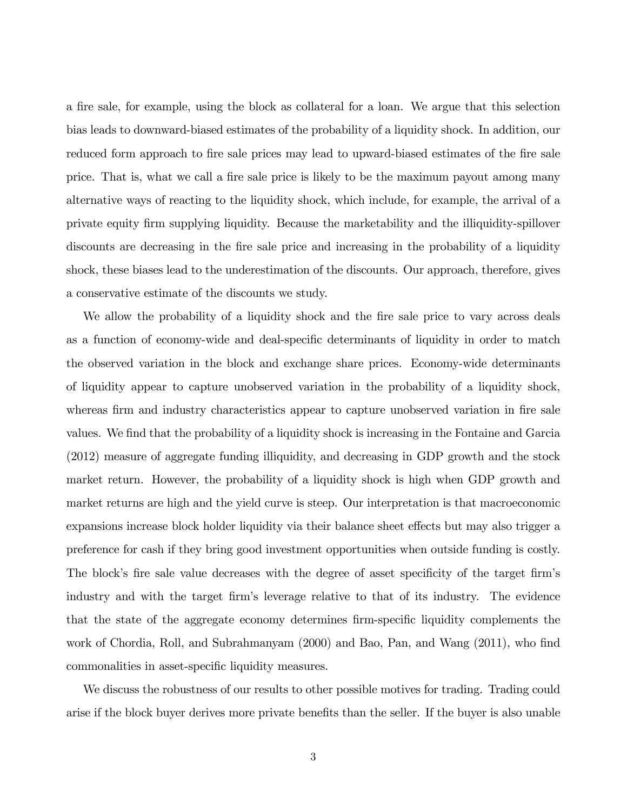a fire sale, for example, using the block as collateral for a loan. We argue that this selection bias leads to downward-biased estimates of the probability of a liquidity shock. In addition, our reduced form approach to fire sale prices may lead to upward-biased estimates of the fire sale price. That is, what we call a fire sale price is likely to be the maximum payout among many alternative ways of reacting to the liquidity shock, which include, for example, the arrival of a private equity Örm supplying liquidity. Because the marketability and the illiquidity-spillover discounts are decreasing in the fire sale price and increasing in the probability of a liquidity shock, these biases lead to the underestimation of the discounts. Our approach, therefore, gives a conservative estimate of the discounts we study.

We allow the probability of a liquidity shock and the fire sale price to vary across deals as a function of economy-wide and deal-specific determinants of liquidity in order to match the observed variation in the block and exchange share prices. Economy-wide determinants of liquidity appear to capture unobserved variation in the probability of a liquidity shock, whereas firm and industry characteristics appear to capture unobserved variation in fire sale values. We find that the probability of a liquidity shock is increasing in the Fontaine and Garcia (2012) measure of aggregate funding illiquidity, and decreasing in GDP growth and the stock market return. However, the probability of a liquidity shock is high when GDP growth and market returns are high and the yield curve is steep. Our interpretation is that macroeconomic expansions increase block holder liquidity via their balance sheet effects but may also trigger a preference for cash if they bring good investment opportunities when outside funding is costly. The block's fire sale value decreases with the degree of asset specificity of the target firm's industry and with the target firm's leverage relative to that of its industry. The evidence that the state of the aggregate economy determines firm-specific liquidity complements the work of Chordia, Roll, and Subrahmanyam (2000) and Bao, Pan, and Wang (2011), who find commonalities in asset-specific liquidity measures.

We discuss the robustness of our results to other possible motives for trading. Trading could arise if the block buyer derives more private benefits than the seller. If the buyer is also unable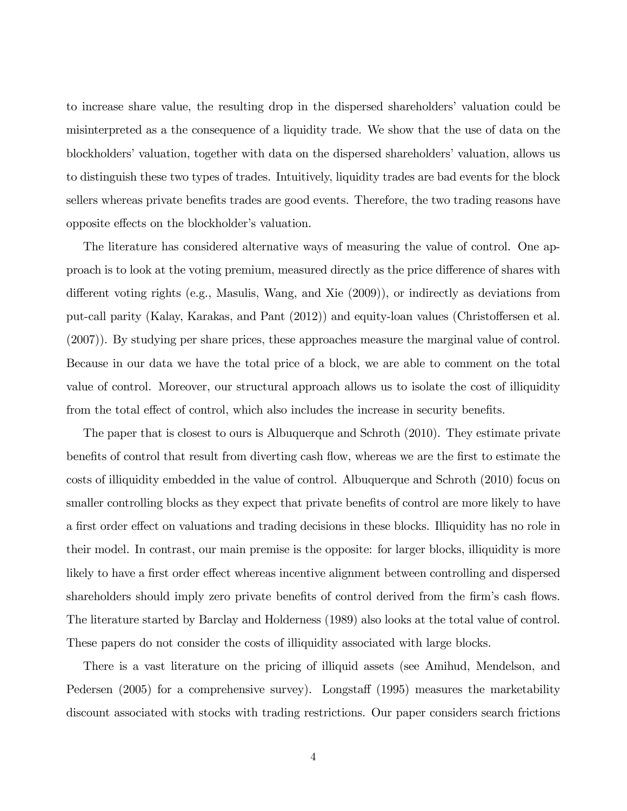to increase share value, the resulting drop in the dispersed shareholders' valuation could be misinterpreted as a the consequence of a liquidity trade. We show that the use of data on the blockholders' valuation, together with data on the dispersed shareholders' valuation, allows us to distinguish these two types of trades. Intuitively, liquidity trades are bad events for the block sellers whereas private benefits trades are good events. Therefore, the two trading reasons have opposite effects on the blockholder's valuation.

The literature has considered alternative ways of measuring the value of control. One approach is to look at the voting premium, measured directly as the price difference of shares with different voting rights (e.g., Masulis, Wang, and Xie  $(2009)$ ), or indirectly as deviations from put-call parity (Kalay, Karakas, and Pant  $(2012)$ ) and equity-loan values (Christoffersen et al. (2007)). By studying per share prices, these approaches measure the marginal value of control. Because in our data we have the total price of a block, we are able to comment on the total value of control. Moreover, our structural approach allows us to isolate the cost of illiquidity from the total effect of control, which also includes the increase in security benefits.

The paper that is closest to ours is Albuquerque and Schroth (2010). They estimate private benefits of control that result from diverting cash flow, whereas we are the first to estimate the costs of illiquidity embedded in the value of control. Albuquerque and Schroth (2010) focus on smaller controlling blocks as they expect that private benefits of control are more likely to have a first order effect on valuations and trading decisions in these blocks. Illiquidity has no role in their model. In contrast, our main premise is the opposite: for larger blocks, illiquidity is more likely to have a first order effect whereas incentive alignment between controlling and dispersed shareholders should imply zero private benefits of control derived from the firm's cash flows. The literature started by Barclay and Holderness (1989) also looks at the total value of control. These papers do not consider the costs of illiquidity associated with large blocks.

There is a vast literature on the pricing of illiquid assets (see Amihud, Mendelson, and Pedersen (2005) for a comprehensive survey). Longstaff (1995) measures the marketability discount associated with stocks with trading restrictions. Our paper considers search frictions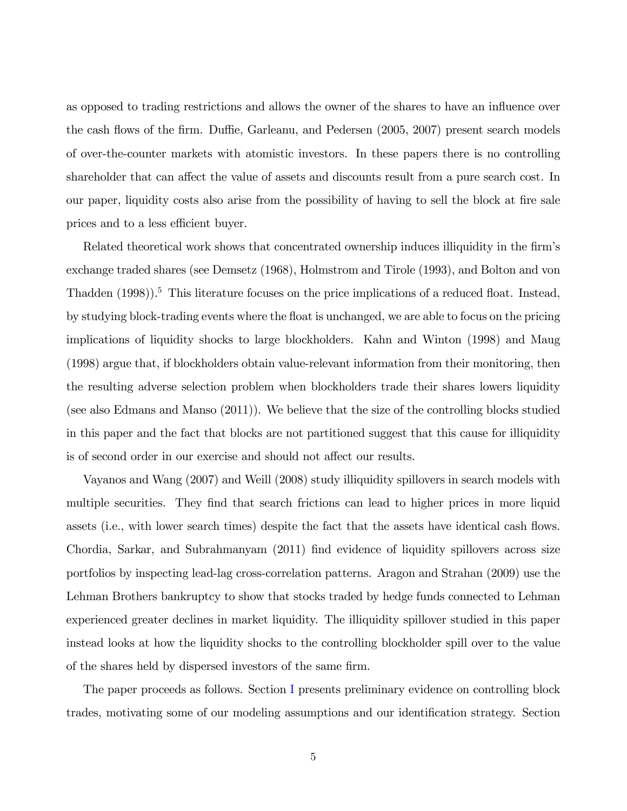as opposed to trading restrictions and allows the owner of the shares to have an influence over the cash flows of the firm. Duffie, Garleanu, and Pedersen (2005, 2007) present search models of over-the-counter markets with atomistic investors. In these papers there is no controlling shareholder that can affect the value of assets and discounts result from a pure search cost. In our paper, liquidity costs also arise from the possibility of having to sell the block at fire sale prices and to a less efficient buyer.

Related theoretical work shows that concentrated ownership induces illiquidity in the firm's exchange traded shares (see Demsetz (1968), Holmstrom and Tirole (1993), and Bolton and von Thadden  $(1998)$ <sup>5</sup>. This literature focuses on the price implications of a reduced float. Instead, by studying block-trading events where the float is unchanged, we are able to focus on the pricing implications of liquidity shocks to large blockholders. Kahn and Winton (1998) and Maug (1998) argue that, if blockholders obtain value-relevant information from their monitoring, then the resulting adverse selection problem when blockholders trade their shares lowers liquidity (see also Edmans and Manso (2011)). We believe that the size of the controlling blocks studied in this paper and the fact that blocks are not partitioned suggest that this cause for illiquidity is of second order in our exercise and should not affect our results.

Vayanos and Wang (2007) and Weill (2008) study illiquidity spillovers in search models with multiple securities. They find that search frictions can lead to higher prices in more liquid assets (i.e., with lower search times) despite the fact that the assets have identical cash flows. Chordia, Sarkar, and Subrahmanyam (2011) find evidence of liquidity spillovers across size portfolios by inspecting lead-lag cross-correlation patterns. Aragon and Strahan (2009) use the Lehman Brothers bankruptcy to show that stocks traded by hedge funds connected to Lehman experienced greater declines in market liquidity. The illiquidity spillover studied in this paper instead looks at how the liquidity shocks to the controlling blockholder spill over to the value of the shares held by dispersed investors of the same firm.

The paper proceeds as follows. Section [I](#page-7-0) presents preliminary evidence on controlling block trades, motivating some of our modeling assumptions and our identification strategy. Section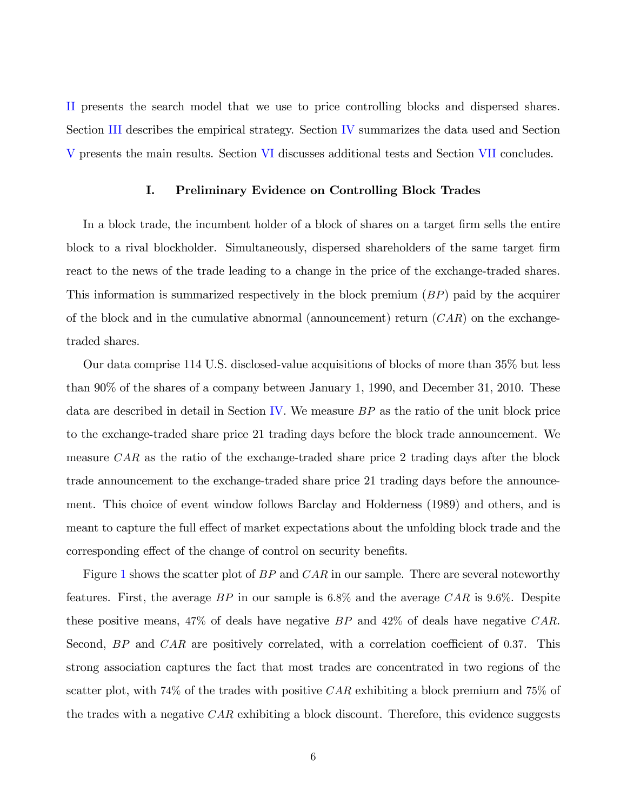<span id="page-7-0"></span>[II](#page-9-0) presents the search model that we use to price controlling blocks and dispersed shares. Section [III](#page-13-0) describes the empirical strategy. Section [IV](#page-19-0) summarizes the data used and Section [V](#page-23-0) presents the main results. Section [VI](#page-33-0) discusses additional tests and Section [VII](#page-38-0) concludes.

#### I. Preliminary Evidence on Controlling Block Trades

In a block trade, the incumbent holder of a block of shares on a target firm sells the entire block to a rival blockholder. Simultaneously, dispersed shareholders of the same target firm react to the news of the trade leading to a change in the price of the exchange-traded shares. This information is summarized respectively in the block premium (BP) paid by the acquirer of the block and in the cumulative abnormal (announcement) return  $(CAR)$  on the exchangetraded shares.

Our data comprise 114 U.S. disclosed-value acquisitions of blocks of more than 35% but less than 90% of the shares of a company between January 1, 1990, and December 31, 2010. These data are described in detail in Section [IV.](#page-19-0) We measure  $BP$  as the ratio of the unit block price to the exchange-traded share price 21 trading days before the block trade announcement. We measure CAR as the ratio of the exchange-traded share price 2 trading days after the block trade announcement to the exchange-traded share price 21 trading days before the announcement. This choice of event window follows Barclay and Holderness (1989) and others, and is meant to capture the full effect of market expectations about the unfolding block trade and the corresponding effect of the change of control on security benefits.

Figure [1](#page-65-0) shows the scatter plot of BP and CAR in our sample. There are several noteworthy features. First, the average  $BP$  in our sample is 6.8% and the average  $CAR$  is 9.6%. Despite these positive means, 47% of deals have negative  $BP$  and 42% of deals have negative  $CAR$ . Second,  $BP$  and  $CAR$  are positively correlated, with a correlation coefficient of 0.37. This strong association captures the fact that most trades are concentrated in two regions of the scatter plot, with 74% of the trades with positive CAR exhibiting a block premium and 75% of the trades with a negative  $CAR$  exhibiting a block discount. Therefore, this evidence suggests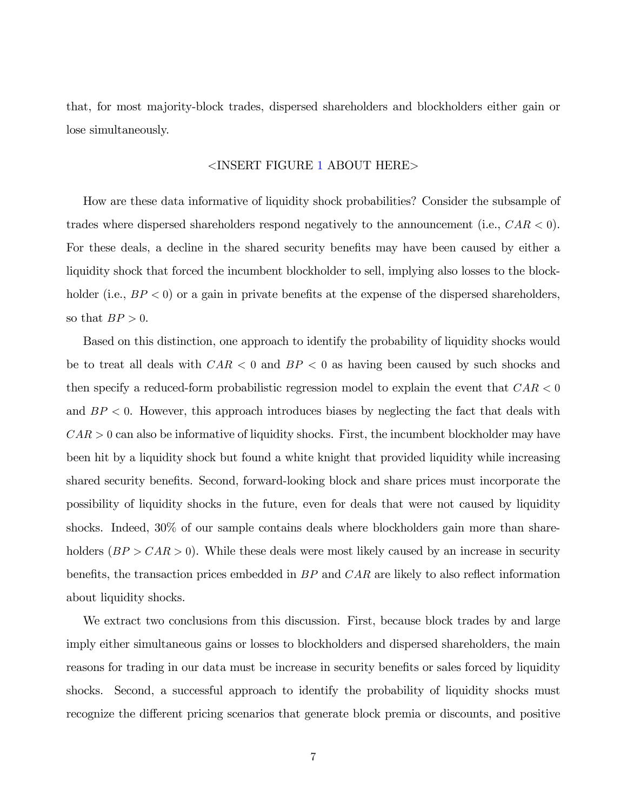that, for most majority-block trades, dispersed shareholders and blockholders either gain or lose simultaneously.

#### <INSERT FIGURE [1](#page-65-0) ABOUT HERE>

How are these data informative of liquidity shock probabilities? Consider the subsample of trades where dispersed shareholders respond negatively to the announcement (i.e.,  $CAR < 0$ ). For these deals, a decline in the shared security benefits may have been caused by either a liquidity shock that forced the incumbent blockholder to sell, implying also losses to the blockholder (i.e.,  $BP < 0$ ) or a gain in private benefits at the expense of the dispersed shareholders, so that  $BP > 0$ .

Based on this distinction, one approach to identify the probability of liquidity shocks would be to treat all deals with  $CAR < 0$  and  $BP < 0$  as having been caused by such shocks and then specify a reduced-form probabilistic regression model to explain the event that  $CAR < 0$ and  $BP < 0$ . However, this approach introduces biases by neglecting the fact that deals with  $CAR > 0$  can also be informative of liquidity shocks. First, the incumbent blockholder may have been hit by a liquidity shock but found a white knight that provided liquidity while increasing shared security benefits. Second, forward-looking block and share prices must incorporate the possibility of liquidity shocks in the future, even for deals that were not caused by liquidity shocks. Indeed, 30% of our sample contains deals where blockholders gain more than shareholders  $(BP > CAB > 0)$ . While these deals were most likely caused by an increase in security benefits, the transaction prices embedded in  $BP$  and  $CAR$  are likely to also reflect information about liquidity shocks.

We extract two conclusions from this discussion. First, because block trades by and large imply either simultaneous gains or losses to blockholders and dispersed shareholders, the main reasons for trading in our data must be increase in security benefits or sales forced by liquidity shocks. Second, a successful approach to identify the probability of liquidity shocks must recognize the different pricing scenarios that generate block premia or discounts, and positive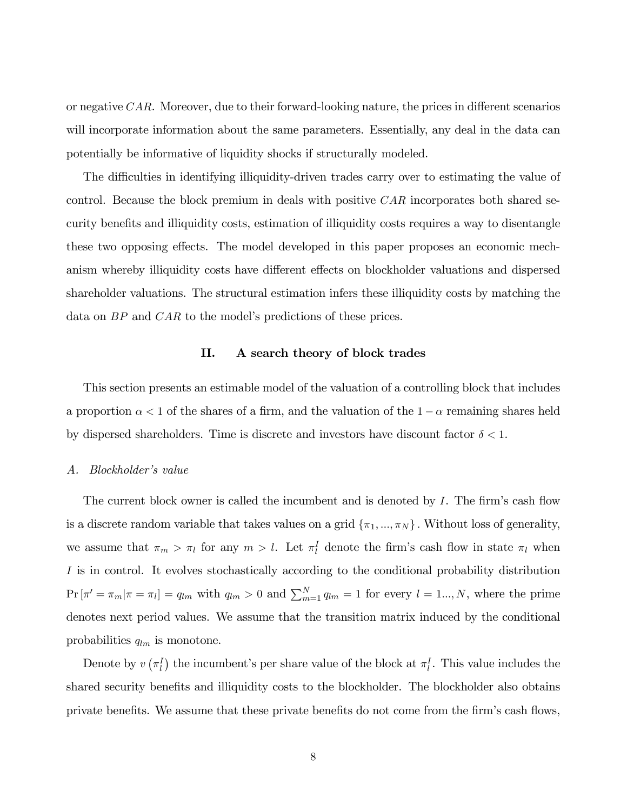or negative  $CAR$ . Moreover, due to their forward-looking nature, the prices in different scenarios will incorporate information about the same parameters. Essentially, any deal in the data can potentially be informative of liquidity shocks if structurally modeled.

The difficulties in identifying illiquidity-driven trades carry over to estimating the value of control. Because the block premium in deals with positive CAR incorporates both shared security benefits and illiquidity costs, estimation of illiquidity costs requires a way to disentangle these two opposing effects. The model developed in this paper proposes an economic mechanism whereby illiquidity costs have different effects on blockholder valuations and dispersed shareholder valuations. The structural estimation infers these illiquidity costs by matching the data on  $BP$  and  $CAR$  to the model's predictions of these prices.

#### II. A search theory of block trades

<span id="page-9-0"></span>This section presents an estimable model of the valuation of a controlling block that includes a proportion  $\alpha < 1$  of the shares of a firm, and the valuation of the  $1 - \alpha$  remaining shares held by dispersed shareholders. Time is discrete and investors have discount factor  $\delta < 1$ .

#### A. Blockholder's value

The current block owner is called the incumbent and is denoted by I. The firm's cash flow is a discrete random variable that takes values on a grid  $\{\pi_1, ..., \pi_N\}$ . Without loss of generality, we assume that  $\pi_m > \pi_l$  for any  $m > l$ . Let  $\pi_l^I$  denote the firm's cash flow in state  $\pi_l$  when I is in control. It evolves stochastically according to the conditional probability distribution  $Pr[\pi' = \pi_m | \pi = \pi_l] = q_{lm}$  with  $q_{lm} > 0$  and  $\sum_{m=1}^{N} q_{lm} = 1$  for every  $l = 1...$ , N, where the prime denotes next period values. We assume that the transition matrix induced by the conditional probabilities  $q_{lm}$  is monotone.

Denote by  $v(\pi_l^I)$  the incumbent's per share value of the block at  $\pi_l^I$ . This value includes the shared security benefits and illiquidity costs to the blockholder. The blockholder also obtains private benefits. We assume that these private benefits do not come from the firm's cash flows,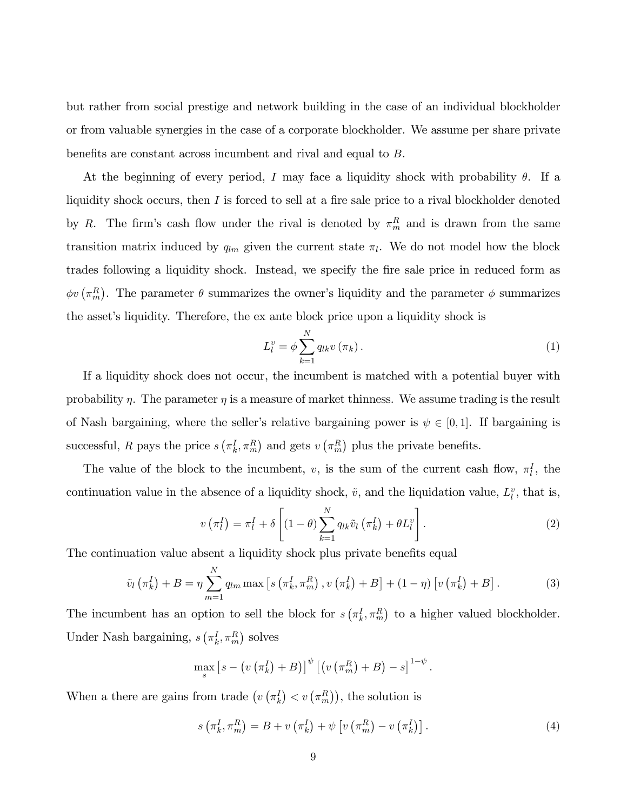but rather from social prestige and network building in the case of an individual blockholder or from valuable synergies in the case of a corporate blockholder. We assume per share private benefits are constant across incumbent and rival and equal to  $B$ .

At the beginning of every period, I may face a liquidity shock with probability  $\theta$ . If a liquidity shock occurs, then  $I$  is forced to sell at a fire sale price to a rival blockholder denoted by R. The firm's cash flow under the rival is denoted by  $\pi_m^R$  and is drawn from the same transition matrix induced by  $q_{lm}$  given the current state  $\pi_l$ . We do not model how the block trades following a liquidity shock. Instead, we specify the fire sale price in reduced form as  $\phi v(\pi_m^R)$ . The parameter  $\theta$  summarizes the owner's liquidity and the parameter  $\phi$  summarizes the asset's liquidity. Therefore, the ex ante block price upon a liquidity shock is

$$
L_l^v = \phi \sum_{k=1}^N q_{lk} v(\pi_k).
$$
 (1)

If a liquidity shock does not occur, the incumbent is matched with a potential buyer with probability  $\eta$ . The parameter  $\eta$  is a measure of market thinness. We assume trading is the result of Nash bargaining, where the seller's relative bargaining power is  $\psi \in [0, 1]$ . If bargaining is successful, R pays the price  $s(\pi_k^I, \pi_m^R)$  and gets  $v(\pi_m^R)$  plus the private benefits.

The value of the block to the incumbent, v, is the sum of the current cash flow,  $\pi_l^I$ , the continuation value in the absence of a liquidity shock,  $\tilde{v}$ , and the liquidation value,  $L_l^v$ , that is,

<span id="page-10-1"></span>
$$
v(\pi_l^I) = \pi_l^I + \delta \left[ (1 - \theta) \sum_{k=1}^N q_{lk} \tilde{v}_l (\pi_k^I) + \theta L_l^v \right]. \tag{2}
$$

The continuation value absent a liquidity shock plus private benefits equal

$$
\tilde{v}_l\left(\pi_k^I\right) + B = \eta \sum_{m=1}^N q_{lm} \max\left[s\left(\pi_k^I, \pi_m^R\right), v\left(\pi_k^I\right) + B\right] + (1 - \eta) \left[v\left(\pi_k^I\right) + B\right].\tag{3}
$$

The incumbent has an option to sell the block for  $s(\pi_k^I, \pi_m^R)$  to a higher valued blockholder. Under Nash bargaining,  $s\left(\pi_k^I, \pi_m^R\right)$  solves

$$
\max_{s}\left[s - \left(v\left(\pi_{k}^{I}\right) + B\right)\right]^{\psi}\left[\left(v\left(\pi_{m}^{R}\right) + B\right) - s\right]^{1-\psi}.
$$

When a there are gains from trade  $(v(\pi_k^I) < v(\pi_m^R))$ , the solution is

<span id="page-10-0"></span>
$$
s\left(\pi_k^I, \pi_m^R\right) = B + v\left(\pi_k^I\right) + \psi\left[v\left(\pi_m^R\right) - v\left(\pi_k^I\right)\right].\tag{4}
$$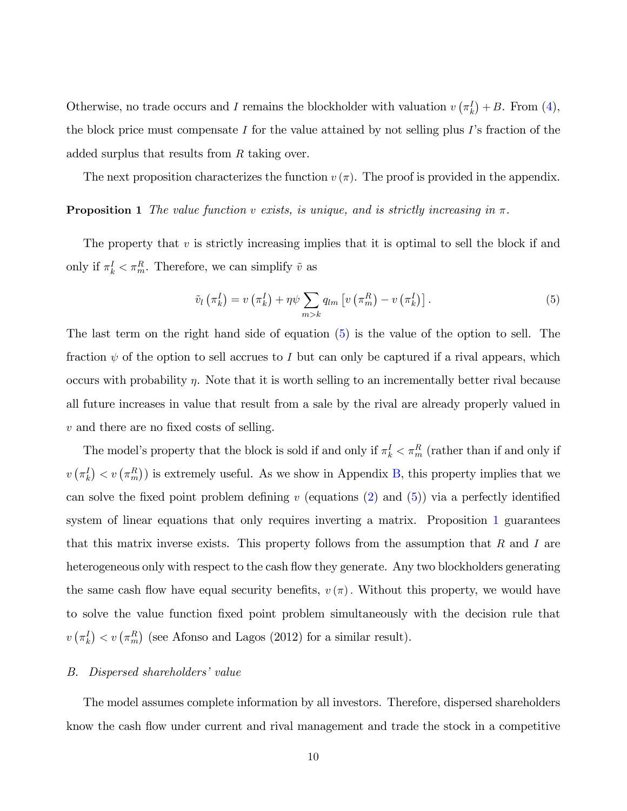Otherwise, no trade occurs and I remains the blockholder with valuation  $v(\pi_k^I) + B$ . From [\(4\)](#page-10-0), the block price must compensate I for the value attained by not selling plus I's fraction of the added surplus that results from R taking over.

<span id="page-11-1"></span>The next proposition characterizes the function  $v(\pi)$ . The proof is provided in the appendix.

#### **Proposition 1** The value function v exists, is unique, and is strictly increasing in  $\pi$ .

The property that  $v$  is strictly increasing implies that it is optimal to sell the block if and only if  $\pi_k^I < \pi_m^R$ . Therefore, we can simplify  $\tilde{v}$  as

<span id="page-11-0"></span>
$$
\tilde{v}_l\left(\pi_k^I\right) = v\left(\pi_k^I\right) + \eta\psi \sum_{m>k} q_{lm} \left[ v\left(\pi_m^R\right) - v\left(\pi_k^I\right) \right]. \tag{5}
$$

The last term on the right hand side of equation [\(5\)](#page-11-0) is the value of the option to sell. The fraction  $\psi$  of the option to sell accrues to I but can only be captured if a rival appears, which occurs with probability  $\eta$ . Note that it is worth selling to an incrementally better rival because all future increases in value that result from a sale by the rival are already properly valued in  $v$  and there are no fixed costs of selling.

The model's property that the block is sold if and only if  $\pi_k^I < \pi_m^R$  (rather than if and only if  $v(\pi_k^I) < v(\pi_m^R)$  is extremely useful. As we show in Appendix B, this property implies that we can solve the fixed point problem defining v (equations  $(2)$ ) and  $(5)$ ) via a perfectly identified system of linear equations that only requires inverting a matrix. Proposition [1](#page-11-1) guarantees that this matrix inverse exists. This property follows from the assumption that R and I are heterogeneous only with respect to the cash flow they generate. Any two blockholders generating the same cash flow have equal security benefits,  $v(\pi)$ . Without this property, we would have to solve the value function Öxed point problem simultaneously with the decision rule that  $v(\pi_k^I) < v(\pi_m^R)$  (see Afonso and Lagos (2012) for a similar result).

#### B. Dispersed shareholders' value

The model assumes complete information by all investors. Therefore, dispersed shareholders know the cash flow under current and rival management and trade the stock in a competitive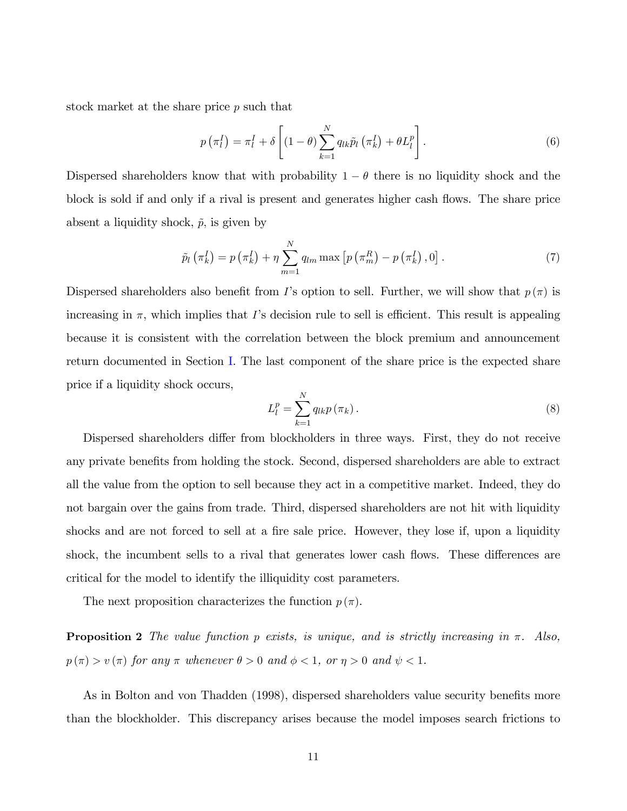stock market at the share price p such that

$$
p\left(\pi_l^I\right) = \pi_l^I + \delta \left[ \left(1 - \theta\right) \sum_{k=1}^N q_{lk} \tilde{p}_l \left(\pi_k^I\right) + \theta L_l^p \right]. \tag{6}
$$

Dispersed shareholders know that with probability  $1 - \theta$  there is no liquidity shock and the block is sold if and only if a rival is present and generates higher cash flows. The share price absent a liquidity shock,  $\tilde{p}$ , is given by

$$
\tilde{p}_{l}\left(\pi_{k}^{I}\right)=p\left(\pi_{k}^{I}\right)+\eta\sum_{m=1}^{N}q_{lm}\max\left[p\left(\pi_{m}^{R}\right)-p\left(\pi_{k}^{I}\right),0\right].
$$
\n(7)

Dispersed shareholders also benefit from I's option to sell. Further, we will show that  $p(\pi)$  is increasing in  $\pi$ , which implies that I's decision rule to sell is efficient. This result is appealing because it is consistent with the correlation between the block premium and announcement return documented in Section [I.](#page-7-0) The last component of the share price is the expected share price if a liquidity shock occurs,

$$
L_l^p = \sum_{k=1}^N q_{lk} p(\pi_k).
$$
\n(8)

Dispersed shareholders differ from blockholders in three ways. First, they do not receive any private benefits from holding the stock. Second, dispersed shareholders are able to extract all the value from the option to sell because they act in a competitive market. Indeed, they do not bargain over the gains from trade. Third, dispersed shareholders are not hit with liquidity shocks and are not forced to sell at a fire sale price. However, they lose if, upon a liquidity shock, the incumbent sells to a rival that generates lower cash flows. These differences are critical for the model to identify the illiquidity cost parameters.

<span id="page-12-0"></span>The next proposition characterizes the function  $p(\pi)$ .

**Proposition 2** The value function p exists, is unique, and is strictly increasing in  $\pi$ . Also,  $p(\pi) > v(\pi)$  for any  $\pi$  whenever  $\theta > 0$  and  $\phi < 1$ , or  $\eta > 0$  and  $\psi < 1$ .

As in Bolton and von Thadden (1998), dispersed shareholders value security benefits more than the blockholder. This discrepancy arises because the model imposes search frictions to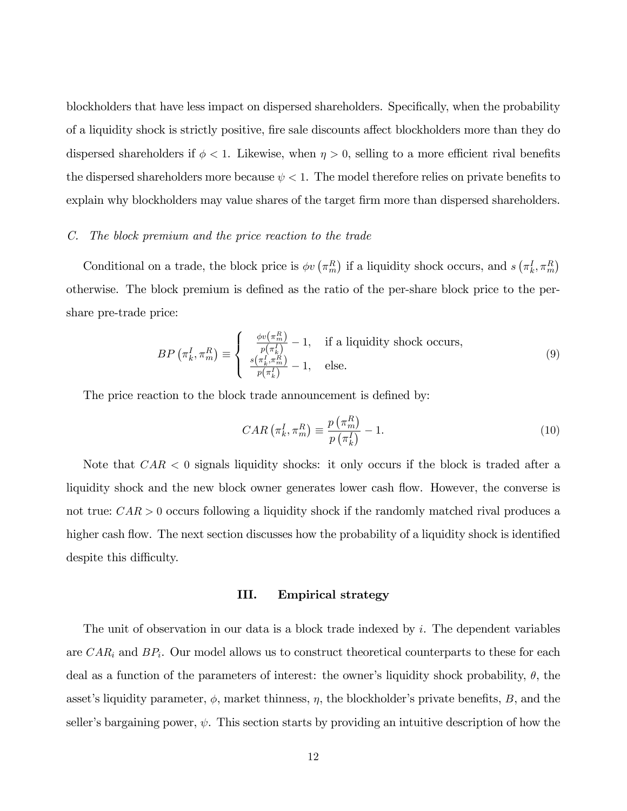blockholders that have less impact on dispersed shareholders. Specifically, when the probability of a liquidity shock is strictly positive, fire sale discounts affect blockholders more than they do dispersed shareholders if  $\phi < 1$ . Likewise, when  $\eta > 0$ , selling to a more efficient rival benefits the dispersed shareholders more because  $\psi < 1$ . The model therefore relies on private benefits to explain why blockholders may value shares of the target firm more than dispersed shareholders.

#### C. The block premium and the price reaction to the trade

Conditional on a trade, the block price is  $\phi v\left(\pi_m^R\right)$  if a liquidity shock occurs, and  $s\left(\pi_k^I, \pi_m^R\right)$ otherwise. The block premium is defined as the ratio of the per-share block price to the pershare pre-trade price:

$$
BP\left(\pi_k^I, \pi_m^R\right) \equiv \begin{cases} \frac{\phi v(\pi_m^R)}{p(\pi_k^I)} - 1, & \text{if a liquidity shock occurs,} \\ \frac{s(\pi_k^I, \pi_m^R)}{p(\pi_k^I)} - 1, & \text{else.} \end{cases}
$$
(9)

The price reaction to the block trade announcement is defined by:

$$
CAR\left(\pi_k^I, \pi_m^R\right) \equiv \frac{p\left(\pi_m^R\right)}{p\left(\pi_k^I\right)} - 1.
$$
\n(10)

Note that  $CAR < 0$  signals liquidity shocks: it only occurs if the block is traded after a liquidity shock and the new block owner generates lower cash flow. However, the converse is not true:  $CAR > 0$  occurs following a liquidity shock if the randomly matched rival produces a higher cash flow. The next section discusses how the probability of a liquidity shock is identified despite this difficulty.

#### III. Empirical strategy

<span id="page-13-0"></span>The unit of observation in our data is a block trade indexed by i. The dependent variables are  $CAR_i$  and  $BP_i$ . Our model allows us to construct theoretical counterparts to these for each deal as a function of the parameters of interest: the owner's liquidity shock probability,  $\theta$ , the asset's liquidity parameter,  $\phi$ , market thinness,  $\eta$ , the blockholder's private benefits, B, and the seller's bargaining power,  $\psi$ . This section starts by providing an intuitive description of how the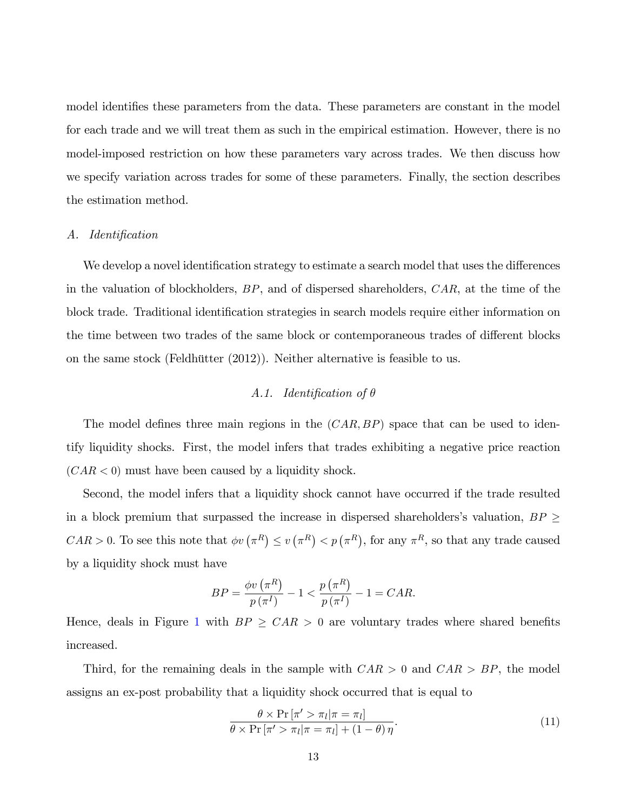model identifies these parameters from the data. These parameters are constant in the model for each trade and we will treat them as such in the empirical estimation. However, there is no model-imposed restriction on how these parameters vary across trades. We then discuss how we specify variation across trades for some of these parameters. Finally, the section describes the estimation method.

#### A. Identification

We develop a novel identification strategy to estimate a search model that uses the differences in the valuation of blockholders, BP, and of dispersed shareholders, CAR, at the time of the block trade. Traditional identification strategies in search models require either information on the time between two trades of the same block or contemporaneous trades of different blocks on the same stock (Feldhütter  $(2012)$ ). Neither alternative is feasible to us.

#### A.1. Identification of  $\theta$

The model defines three main regions in the  $(CAR, BP)$  space that can be used to identify liquidity shocks. First, the model infers that trades exhibiting a negative price reaction  $(CAR < 0)$  must have been caused by a liquidity shock.

Second, the model infers that a liquidity shock cannot have occurred if the trade resulted in a block premium that surpassed the increase in dispersed shareholders's valuation,  $BP \geq$  $CAR > 0$ . To see this note that  $\phi v (\pi^R) \le v (\pi^R) < p (\pi^R)$ , for any  $\pi^R$ , so that any trade caused by a liquidity shock must have

$$
BP = \frac{\phi v\left(\pi^R\right)}{p\left(\pi^I\right)} - 1 < \frac{p\left(\pi^R\right)}{p\left(\pi^I\right)} - 1 = CAR.
$$

Hence, deals in Figure [1](#page-65-0) with  $BP \geq CAR > 0$  are voluntary trades where shared benefits increased.

Third, for the remaining deals in the sample with  $CAR > 0$  and  $CAR > BP$ , the model assigns an ex-post probability that a liquidity shock occurred that is equal to

$$
\frac{\theta \times \Pr\left[\pi' > \pi_l | \pi = \pi_l\right]}{\theta \times \Pr\left[\pi' > \pi_l | \pi = \pi_l\right] + (1 - \theta)\eta}.\tag{11}
$$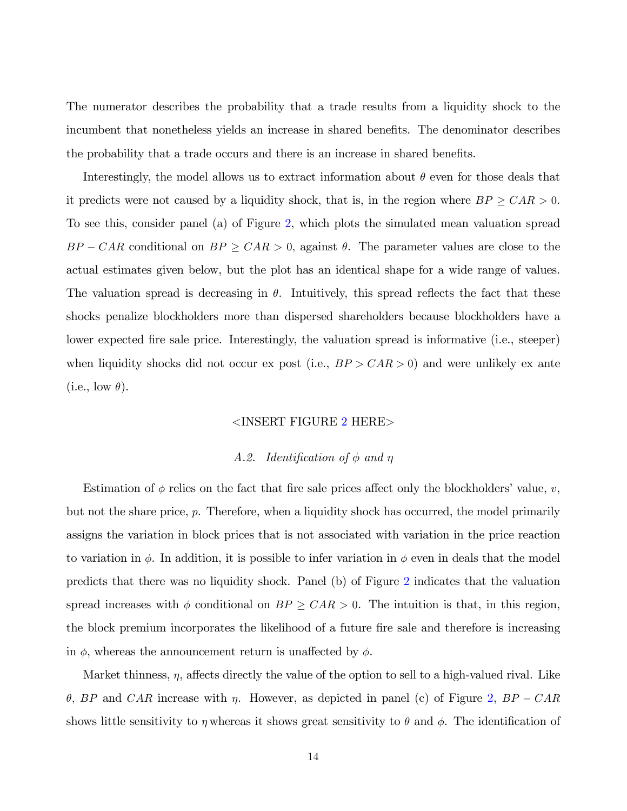The numerator describes the probability that a trade results from a liquidity shock to the incumbent that nonetheless yields an increase in shared benefits. The denominator describes the probability that a trade occurs and there is an increase in shared benefits.

Interestingly, the model allows us to extract information about  $\theta$  even for those deals that it predicts were not caused by a liquidity shock, that is, in the region where  $BP \geq CAR > 0$ . To see this, consider panel (a) of Figure [2,](#page-66-0) which plots the simulated mean valuation spread  $BP - CAR$  conditional on  $BP \geq CAR > 0$ , against  $\theta$ . The parameter values are close to the actual estimates given below, but the plot has an identical shape for a wide range of values. The valuation spread is decreasing in  $\theta$ . Intuitively, this spread reflects the fact that these shocks penalize blockholders more than dispersed shareholders because blockholders have a lower expected fire sale price. Interestingly, the valuation spread is informative (i.e., steeper) when liquidity shocks did not occur ex post (i.e.,  $BP > CAR > 0$ ) and were unlikely ex ante  $(i.e., low \theta).$ 

#### <INSERT FIGURE [2](#page-66-0) HERE>

#### A.2. Identification of  $\phi$  and  $\eta$

Estimation of  $\phi$  relies on the fact that fire sale prices affect only the blockholders' value, v, but not the share price, p. Therefore, when a liquidity shock has occurred, the model primarily assigns the variation in block prices that is not associated with variation in the price reaction to variation in  $\phi$ . In addition, it is possible to infer variation in  $\phi$  even in deals that the model predicts that there was no liquidity shock. Panel (b) of Figure [2](#page-66-0) indicates that the valuation spread increases with  $\phi$  conditional on  $BP \geq CAR > 0$ . The intuition is that, in this region, the block premium incorporates the likelihood of a future fire sale and therefore is increasing in  $\phi$ , whereas the announcement return is unaffected by  $\phi$ .

Market thinness,  $\eta$ , affects directly the value of the option to sell to a high-valued rival. Like  $\theta$ , BP and CAR increase with  $\eta$ . However, as depicted in panel (c) of Figure [2,](#page-66-0) BP – CAR shows little sensitivity to  $\eta$  whereas it shows great sensitivity to  $\theta$  and  $\phi$ . The identification of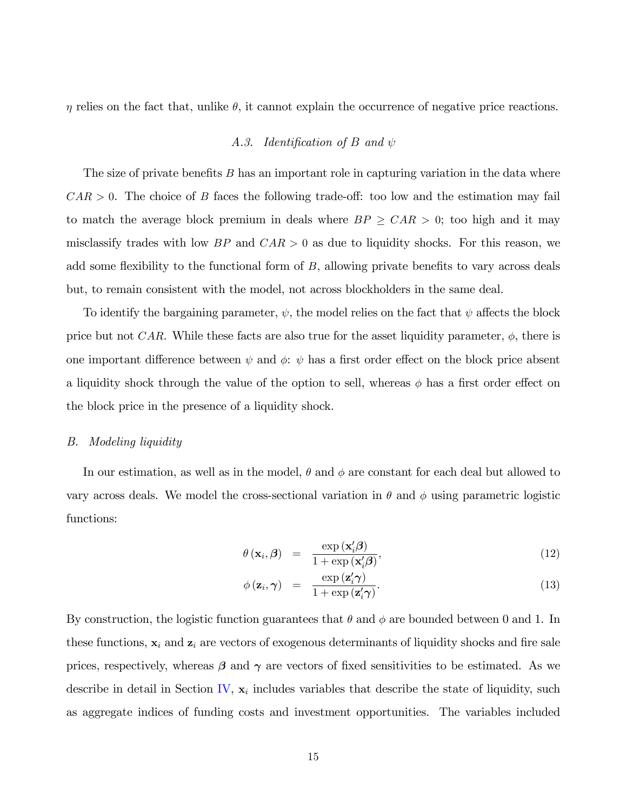$\eta$  relies on the fact that, unlike  $\theta$ , it cannot explain the occurrence of negative price reactions.

#### A.3. Identification of B and  $\psi$

The size of private benefits  $B$  has an important role in capturing variation in the data where  $CAR > 0$ . The choice of B faces the following trade-off: too low and the estimation may fail to match the average block premium in deals where  $BP \geq CAR > 0$ ; too high and it may misclassify trades with low  $BP$  and  $CAR > 0$  as due to liquidity shocks. For this reason, we add some flexibility to the functional form of  $B$ , allowing private benefits to vary across deals but, to remain consistent with the model, not across blockholders in the same deal.

To identify the bargaining parameter,  $\psi$ , the model relies on the fact that  $\psi$  affects the block price but not CAR. While these facts are also true for the asset liquidity parameter,  $\phi$ , there is one important difference between  $\psi$  and  $\phi$ :  $\psi$  has a first order effect on the block price absent a liquidity shock through the value of the option to sell, whereas  $\phi$  has a first order effect on the block price in the presence of a liquidity shock.

#### B. Modeling liquidity

In our estimation, as well as in the model,  $\theta$  and  $\phi$  are constant for each deal but allowed to vary across deals. We model the cross-sectional variation in  $\theta$  and  $\phi$  using parametric logistic functions:

$$
\theta\left(\mathbf{x}_{i},\boldsymbol{\beta}\right) = \frac{\exp\left(\mathbf{x}_{i}'\boldsymbol{\beta}\right)}{1+\exp\left(\mathbf{x}_{i}'\boldsymbol{\beta}\right)},\tag{12}
$$

$$
\phi(\mathbf{z}_i, \boldsymbol{\gamma}) = \frac{\exp(\mathbf{z}_i' \boldsymbol{\gamma})}{1 + \exp(\mathbf{z}_i' \boldsymbol{\gamma})}.
$$
\n(13)

By construction, the logistic function guarantees that  $\theta$  and  $\phi$  are bounded between 0 and 1. In these functions,  $x_i$  and  $z_i$  are vectors of exogenous determinants of liquidity shocks and fire sale prices, respectively, whereas  $\beta$  and  $\gamma$  are vectors of fixed sensitivities to be estimated. As we describe in detail in Section [IV,](#page-19-0)  $x_i$  includes variables that describe the state of liquidity, such as aggregate indices of funding costs and investment opportunities. The variables included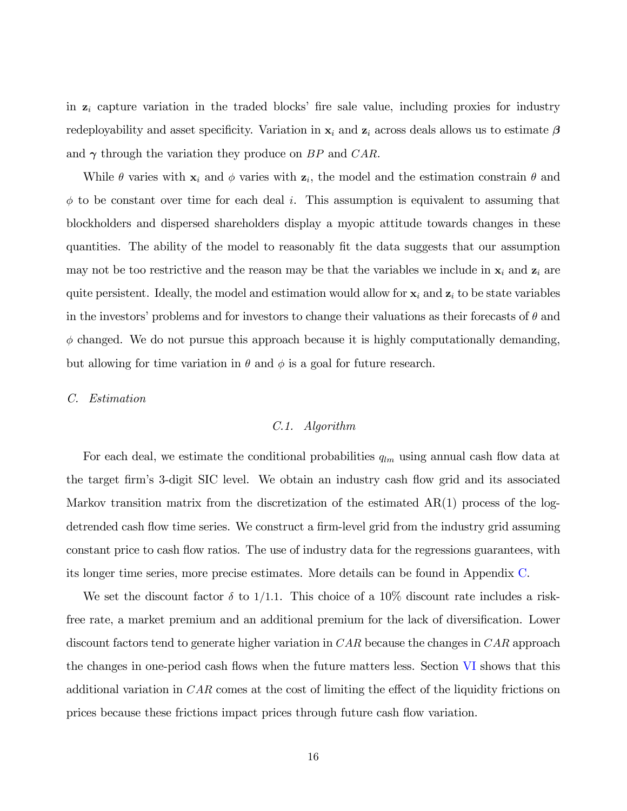in  $z_i$  capture variation in the traded blocks' fire sale value, including proxies for industry redeployability and asset specificity. Variation in  $x_i$  and  $z_i$  across deals allows us to estimate  $\beta$ and  $\gamma$  through the variation they produce on BP and CAR.

While  $\theta$  varies with  $x_i$  and  $\phi$  varies with  $z_i$ , the model and the estimation constrain  $\theta$  and  $\phi$  to be constant over time for each deal i. This assumption is equivalent to assuming that blockholders and dispersed shareholders display a myopic attitude towards changes in these quantities. The ability of the model to reasonably fit the data suggests that our assumption may not be too restrictive and the reason may be that the variables we include in  $x_i$  and  $z_i$  are quite persistent. Ideally, the model and estimation would allow for  $\mathbf{x}_i$  and  $\mathbf{z}_i$  to be state variables in the investors' problems and for investors to change their valuations as their forecasts of  $\theta$  and  $\phi$  changed. We do not pursue this approach because it is highly computationally demanding, but allowing for time variation in  $\theta$  and  $\phi$  is a goal for future research.

#### C. Estimation

#### C.1. Algorithm

For each deal, we estimate the conditional probabilities  $q_{lm}$  using annual cash flow data at the target firm's 3-digit SIC level. We obtain an industry cash flow grid and its associated Markov transition matrix from the discretization of the estimated AR(1) process of the logdetrended cash flow time series. We construct a firm-level grid from the industry grid assuming constant price to cash flow ratios. The use of industry data for the regressions guarantees, with its longer time series, more precise estimates. More details can be found in Appendix C.

We set the discount factor  $\delta$  to 1/1.1. This choice of a 10% discount rate includes a riskfree rate, a market premium and an additional premium for the lack of diversification. Lower discount factors tend to generate higher variation in  $CAR$  because the changes in  $CAR$  approach the changes in one-period cash flows when the future matters less. Section [VI](#page-33-0) shows that this additional variation in  $CAR$  comes at the cost of limiting the effect of the liquidity frictions on prices because these frictions impact prices through future cash flow variation.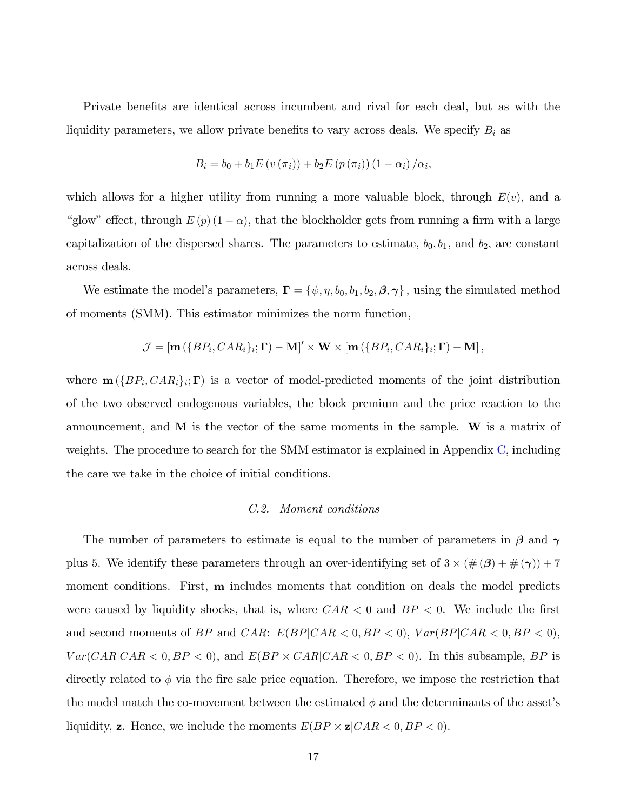Private benefits are identical across incumbent and rival for each deal, but as with the liquidity parameters, we allow private benefits to vary across deals. We specify  $B_i$  as

$$
B_{i} = b_{0} + b_{1} E (v (\pi_{i})) + b_{2} E (p (\pi_{i})) (1 - \alpha_{i}) / \alpha_{i},
$$

which allows for a higher utility from running a more valuable block, through  $E(v)$ , and a "glow" effect, through  $E(p) (1 - \alpha)$ , that the blockholder gets from running a firm with a large capitalization of the dispersed shares. The parameters to estimate,  $b_0, b_1$ , and  $b_2$ , are constant across deals.

We estimate the model's parameters,  $\mathbf{\Gamma} = \{\psi, \eta, b_0, b_1, b_2, \beta, \gamma\}$ , using the simulated method of moments (SMM). This estimator minimizes the norm function,

$$
\mathcal{J} = \left[\mathbf{m}\left(\{BP_i, CAR_i\}_i; \mathbf{\Gamma}\right) - \mathbf{M}\right]' \times \mathbf{W} \times \left[\mathbf{m}\left(\{BP_i, CAR_i\}_i; \mathbf{\Gamma}\right) - \mathbf{M}\right],
$$

where  $\mathbf{m}(\{BP_i,CAR_i\}_i; \mathbf{\Gamma})$  is a vector of model-predicted moments of the joint distribution of the two observed endogenous variables, the block premium and the price reaction to the announcement, and M is the vector of the same moments in the sample. W is a matrix of weights. The procedure to search for the SMM estimator is explained in Appendix C, including the care we take in the choice of initial conditions.

#### C.2. Moment conditions

The number of parameters to estimate is equal to the number of parameters in  $\beta$  and  $\gamma$ plus 5. We identify these parameters through an over-identifying set of  $3 \times (\#(\beta) + \#(\gamma)) + 7$ moment conditions. First, m includes moments that condition on deals the model predicts were caused by liquidity shocks, that is, where  $CAR < 0$  and  $BP < 0$ . We include the first and second moments of  $BP$  and  $CAR: E(BP|CAR < 0, BP < 0)$ ,  $Var(BP|CAR < 0, BP < 0)$ ,  $Var(CAR|CAR < 0, BP < 0)$ , and  $E(BP \times CAR|CAR < 0, BP < 0)$ . In this subsample, BP is directly related to  $\phi$  via the fire sale price equation. Therefore, we impose the restriction that the model match the co-movement between the estimated  $\phi$  and the determinants of the asset's liquidity, **z**. Hence, we include the moments  $E(BP \times \mathbf{z}|CAR < 0, BP < 0)$ .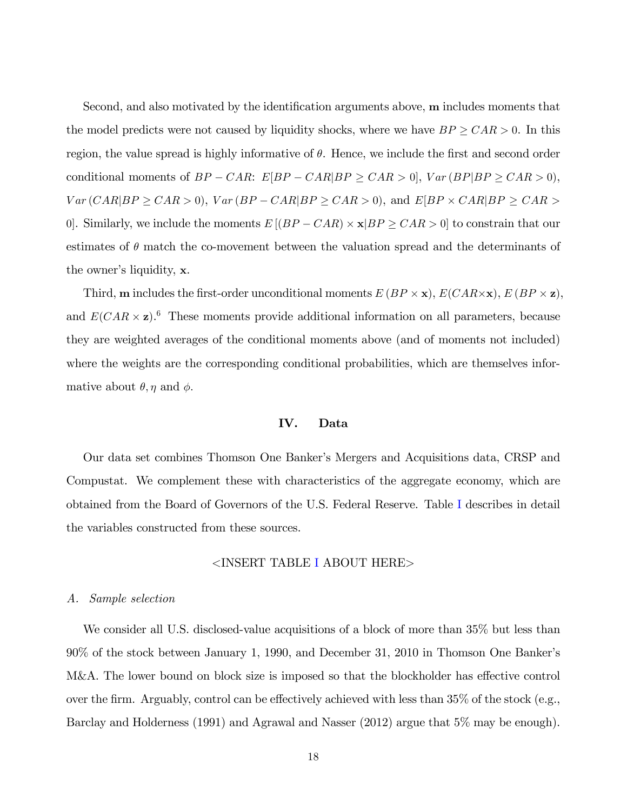Second, and also motivated by the identification arguments above, m includes moments that the model predicts were not caused by liquidity shocks, where we have  $BP \geq CAR > 0$ . In this region, the value spread is highly informative of  $\theta$ . Hence, we include the first and second order conditional moments of  $BP - CAR: E[BP - CAR|BP \geq CAR > 0]$ ,  $Var(BP|BP \geq CAR > 0)$ ,  $Var(CAR|BP \geq CAR > 0)$ ,  $Var(BP - CAR|BP \geq CAR > 0)$ , and  $E[BP \times CAR|BP \geq CAR > 0$ 0]. Similarly, we include the moments  $E[(BP - CAR) \times \mathbf{x}|BP \geq CAR > 0]$  to constrain that our estimates of  $\theta$  match the co-movement between the valuation spread and the determinants of the owner's liquidity,  $x$ .

Third, **m** includes the first-order unconditional moments  $E(BP \times \mathbf{x})$ ,  $E(CAR \times \mathbf{x})$ ,  $E(BP \times \mathbf{z})$ , and  $E(CAR \times \mathbf{z})$ .<sup>6</sup> These moments provide additional information on all parameters, because they are weighted averages of the conditional moments above (and of moments not included) where the weights are the corresponding conditional probabilities, which are themselves informative about  $\theta, \eta$  and  $\phi$ .

#### IV. Data

<span id="page-19-0"></span>Our data set combines Thomson One Banker's Mergers and Acquisitions data, CRSP and Compustat. We complement these with characteristics of the aggregate economy, which are obtained from the Board of Governors of the U.S. Federal Reserve. Table [I](#page-55-0) describes in detail the variables constructed from these sources.

#### <INSERT TABLE [I](#page-55-0) ABOUT HERE>

#### A. Sample selection

We consider all U.S. disclosed-value acquisitions of a block of more than 35% but less than 90% of the stock between January 1, 1990, and December 31, 2010 in Thomson One Bankerís M&A. The lower bound on block size is imposed so that the blockholder has effective control over the firm. Arguably, control can be effectively achieved with less than  $35\%$  of the stock (e.g., Barclay and Holderness (1991) and Agrawal and Nasser (2012) argue that 5% may be enough).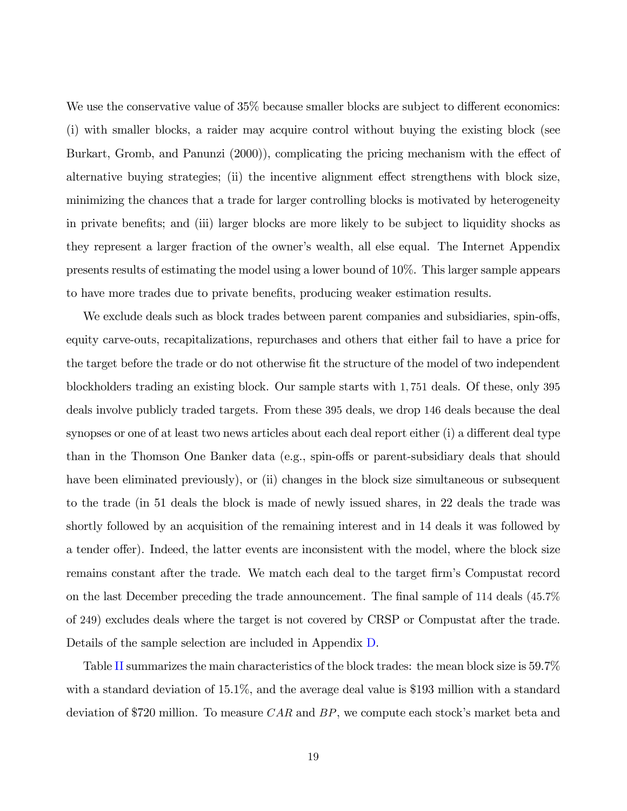We use the conservative value of  $35\%$  because smaller blocks are subject to different economics: (i) with smaller blocks, a raider may acquire control without buying the existing block (see Burkart, Gromb, and Panunzi (2000)), complicating the pricing mechanism with the effect of alternative buying strategies; (ii) the incentive alignment effect strengthens with block size, minimizing the chances that a trade for larger controlling blocks is motivated by heterogeneity in private benefits; and (iii) larger blocks are more likely to be subject to liquidity shocks as they represent a larger fraction of the owner's wealth, all else equal. The Internet Appendix presents results of estimating the model using a lower bound of 10%. This larger sample appears to have more trades due to private benefits, producing weaker estimation results.

We exclude deals such as block trades between parent companies and subsidiaries, spin-offs, equity carve-outs, recapitalizations, repurchases and others that either fail to have a price for the target before the trade or do not otherwise fit the structure of the model of two independent blockholders trading an existing block. Our sample starts with 1; 751 deals. Of these, only 395 deals involve publicly traded targets. From these 395 deals, we drop 146 deals because the deal synopses or one of at least two news articles about each deal report either (i) a different deal type than in the Thomson One Banker data (e.g., spin-offs or parent-subsidiary deals that should have been eliminated previously), or (ii) changes in the block size simultaneous or subsequent to the trade (in 51 deals the block is made of newly issued shares, in 22 deals the trade was shortly followed by an acquisition of the remaining interest and in 14 deals it was followed by a tender offer). Indeed, the latter events are inconsistent with the model, where the block size remains constant after the trade. We match each deal to the target firm's Compustat record on the last December preceding the trade announcement. The final sample of 114 deals (45.7%) of 249) excludes deals where the target is not covered by CRSP or Compustat after the trade. Details of the sample selection are included in Appendix D.

Table [II](#page-57-0) summarizes the main characteristics of the block trades: the mean block size is 59.7% with a standard deviation of 15.1%, and the average deal value is \$193 million with a standard deviation of \$720 million. To measure  $CAR$  and  $BP$ , we compute each stock's market beta and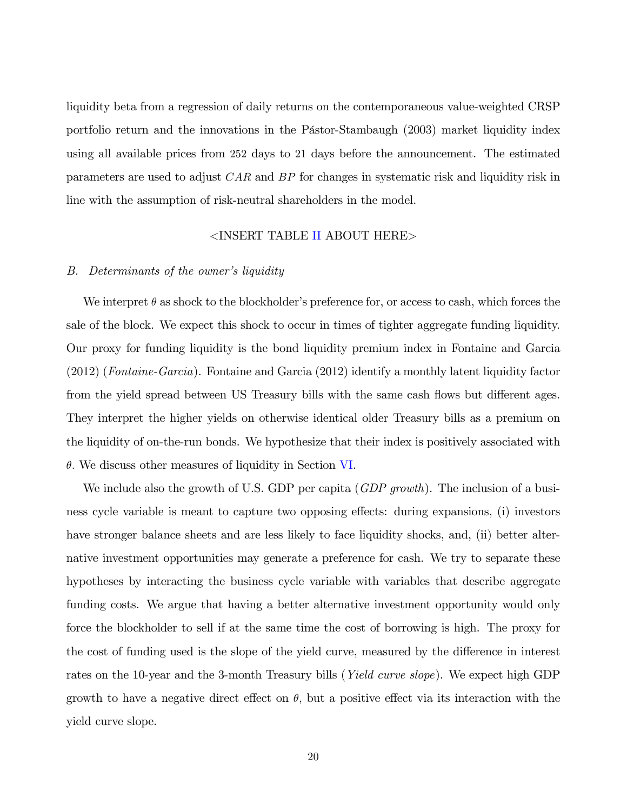liquidity beta from a regression of daily returns on the contemporaneous value-weighted CRSP portfolio return and the innovations in the Pastor-Stambaugh (2003) market liquidity index using all available prices from 252 days to 21 days before the announcement. The estimated parameters are used to adjust CAR and BP for changes in systematic risk and liquidity risk in line with the assumption of risk-neutral shareholders in the model.

#### <INSERT TABLE [II](#page-57-0) ABOUT HERE>

#### B. Determinants of the owner's liquidity

We interpret  $\theta$  as shock to the blockholder's preference for, or access to cash, which forces the sale of the block. We expect this shock to occur in times of tighter aggregate funding liquidity. Our proxy for funding liquidity is the bond liquidity premium index in Fontaine and Garcia  $(2012)$  (*Fontaine-Garcia*). Fontaine and Garcia  $(2012)$  identify a monthly latent liquidity factor from the yield spread between US Treasury bills with the same cash flows but different ages. They interpret the higher yields on otherwise identical older Treasury bills as a premium on the liquidity of on-the-run bonds. We hypothesize that their index is positively associated with  $\theta$ . We discuss other measures of liquidity in Section [VI.](#page-33-0)

We include also the growth of U.S. GDP per capita  $(GDP\ growth)$ . The inclusion of a business cycle variable is meant to capture two opposing effects: during expansions, (i) investors have stronger balance sheets and are less likely to face liquidity shocks, and, (ii) better alternative investment opportunities may generate a preference for cash. We try to separate these hypotheses by interacting the business cycle variable with variables that describe aggregate funding costs. We argue that having a better alternative investment opportunity would only force the blockholder to sell if at the same time the cost of borrowing is high. The proxy for the cost of funding used is the slope of the yield curve, measured by the difference in interest rates on the 10-year and the 3-month Treasury bills (Yield curve slope). We expect high GDP growth to have a negative direct effect on  $\theta$ , but a positive effect via its interaction with the yield curve slope.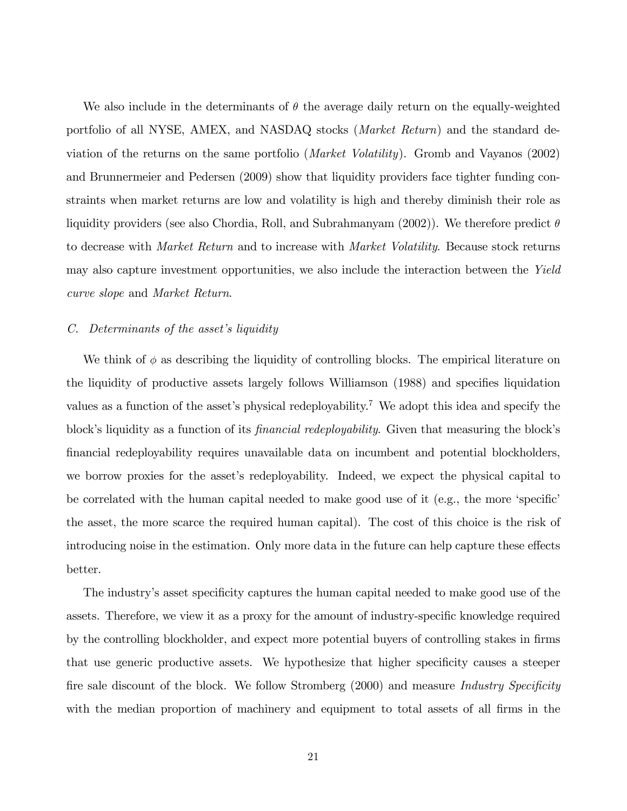We also include in the determinants of  $\theta$  the average daily return on the equally-weighted portfolio of all NYSE, AMEX, and NASDAQ stocks (Market Return) and the standard deviation of the returns on the same portfolio (Market Volatility). Gromb and Vayanos (2002) and Brunnermeier and Pedersen (2009) show that liquidity providers face tighter funding constraints when market returns are low and volatility is high and thereby diminish their role as liquidity providers (see also Chordia, Roll, and Subrahmanyam  $(2002)$ ). We therefore predict  $\theta$ to decrease with Market Return and to increase with Market Volatility. Because stock returns may also capture investment opportunities, we also include the interaction between the Yield curve slope and Market Return.

#### C. Determinants of the asset's liquidity

We think of  $\phi$  as describing the liquidity of controlling blocks. The empirical literature on the liquidity of productive assets largely follows Williamson (1988) and specifies liquidation values as a function of the asset's physical redeployability.<sup>7</sup> We adopt this idea and specify the block's liquidity as a function of its *financial redeployability*. Given that measuring the block's Önancial redeployability requires unavailable data on incumbent and potential blockholders, we borrow proxies for the asset's redeployability. Indeed, we expect the physical capital to be correlated with the human capital needed to make good use of it (e.g., the more 'specific' the asset, the more scarce the required human capital). The cost of this choice is the risk of introducing noise in the estimation. Only more data in the future can help capture these effects better.

The industry's asset specificity captures the human capital needed to make good use of the assets. Therefore, we view it as a proxy for the amount of industry-specific knowledge required by the controlling blockholder, and expect more potential buyers of controlling stakes in firms that use generic productive assets. We hypothesize that higher specificity causes a steeper fire sale discount of the block. We follow Stromberg (2000) and measure *Industry Specificity* with the median proportion of machinery and equipment to total assets of all firms in the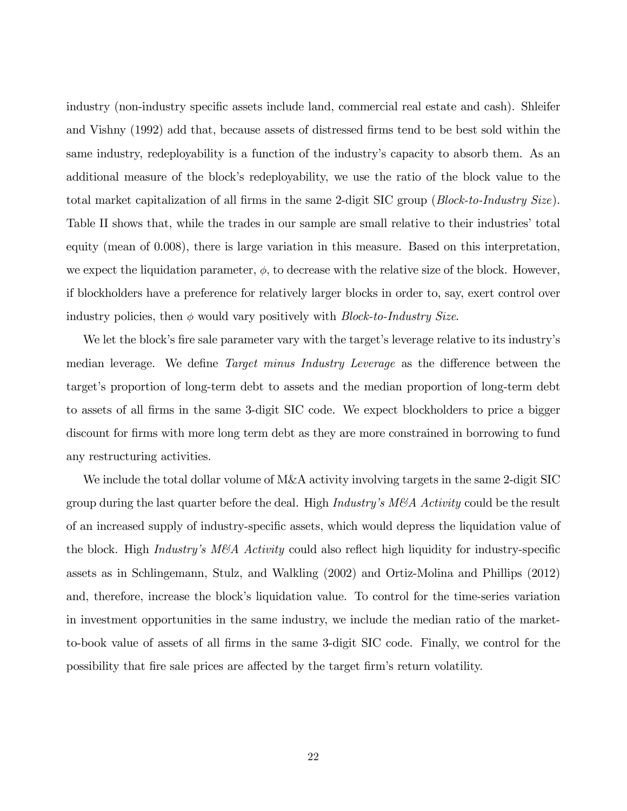industry (non-industry specific assets include land, commercial real estate and cash). Shleifer and Vishny (1992) add that, because assets of distressed firms tend to be best sold within the same industry, redeployability is a function of the industry's capacity to absorb them. As an additional measure of the block's redeployability, we use the ratio of the block value to the total market capitalization of all firms in the same 2-digit SIC group ( $Block-to-Industry Size$ ). Table II shows that, while the trades in our sample are small relative to their industries' total equity (mean of 0.008), there is large variation in this measure. Based on this interpretation, we expect the liquidation parameter,  $\phi$ , to decrease with the relative size of the block. However, if blockholders have a preference for relatively larger blocks in order to, say, exert control over industry policies, then  $\phi$  would vary positively with *Block-to-Industry Size.* 

We let the block's fire sale parameter vary with the target's leverage relative to its industry's median leverage. We define *Target minus Industry Leverage* as the difference between the target's proportion of long-term debt to assets and the median proportion of long-term debt to assets of all firms in the same 3-digit SIC code. We expect blockholders to price a bigger discount for firms with more long term debt as they are more constrained in borrowing to fund any restructuring activities.

<span id="page-23-0"></span>We include the total dollar volume of M&A activity involving targets in the same 2-digit SIC group during the last quarter before the deal. High *Industry's M&A Activity* could be the result of an increased supply of industry-speciÖc assets, which would depress the liquidation value of the block. High *Industry's M&A Activity* could also reflect high liquidity for industry-specific assets as in Schlingemann, Stulz, and Walkling (2002) and Ortiz-Molina and Phillips (2012) and, therefore, increase the block's liquidation value. To control for the time-series variation in investment opportunities in the same industry, we include the median ratio of the marketto-book value of assets of all Örms in the same 3-digit SIC code. Finally, we control for the possibility that fire sale prices are affected by the target firm's return volatility.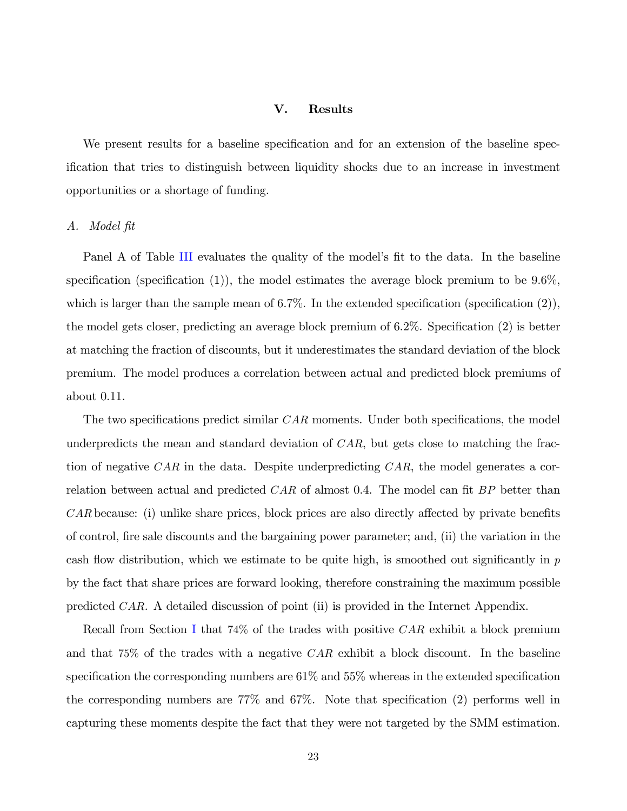#### V. Results

We present results for a baseline specification and for an extension of the baseline specification that tries to distinguish between liquidity shocks due to an increase in investment opportunities or a shortage of funding.

#### A. Model Öt

Panel A of Table [III](#page-58-0) evaluates the quality of the model's fit to the data. In the baseline specification (specification (1)), the model estimates the average block premium to be  $9.6\%$ , which is larger than the sample mean of 6.7%. In the extended specification (specification  $(2)$ ), the model gets closer, predicting an average block premium of  $6.2\%$ . Specification (2) is better at matching the fraction of discounts, but it underestimates the standard deviation of the block premium. The model produces a correlation between actual and predicted block premiums of about 0.11.

The two specifications predict similar  $CAR$  moments. Under both specifications, the model underpredicts the mean and standard deviation of  $CAR$ , but gets close to matching the fraction of negative  $CAR$  in the data. Despite underpredicting  $CAR$ , the model generates a correlation between actual and predicted  $CAR$  of almost 0.4. The model can fit  $BP$  better than  $CAR$  because: (i) unlike share prices, block prices are also directly affected by private benefits of control, Öre sale discounts and the bargaining power parameter; and, (ii) the variation in the cash flow distribution, which we estimate to be quite high, is smoothed out significantly in  $p$ by the fact that share prices are forward looking, therefore constraining the maximum possible predicted CAR. A detailed discussion of point (ii) is provided in the Internet Appendix.

Recall from Section [I](#page-7-0) that 74% of the trades with positive  $CAR$  exhibit a block premium and that 75% of the trades with a negative  $CAR$  exhibit a block discount. In the baseline specification the corresponding numbers are  $61\%$  and  $55\%$  whereas in the extended specification the corresponding numbers are  $77\%$  and  $67\%$ . Note that specification (2) performs well in capturing these moments despite the fact that they were not targeted by the SMM estimation.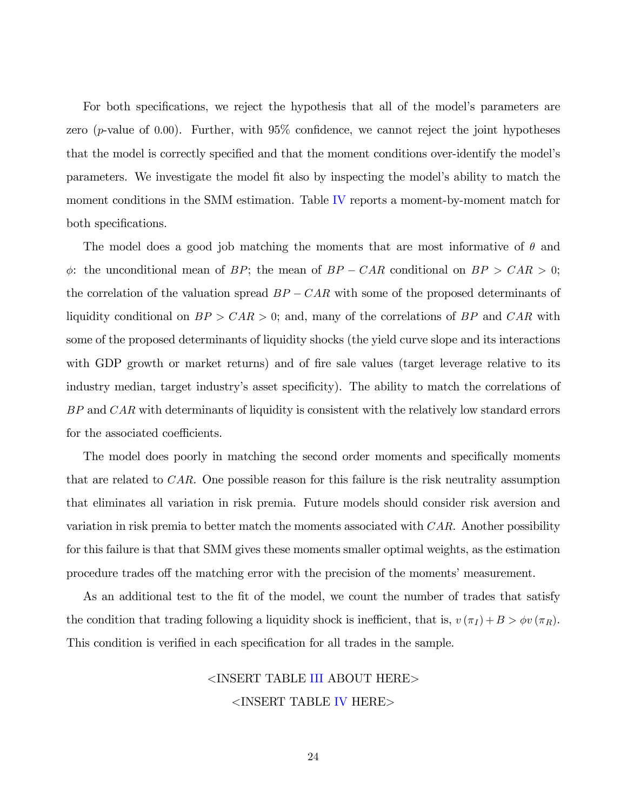For both specifications, we reject the hypothesis that all of the model's parameters are zero (*p*-value of 0.00). Further, with  $95\%$  confidence, we cannot reject the joint hypotheses that the model is correctly specified and that the moment conditions over-identify the model's parameters. We investigate the model Öt also by inspecting the modelís ability to match the moment conditions in the SMM estimation. Table [IV](#page-60-0) reports a moment-by-moment match for both specifications.

The model does a good job matching the moments that are most informative of  $\theta$  and  $\phi$ : the unconditional mean of BP; the mean of BP – CAR conditional on BP > CAR > 0; the correlation of the valuation spread  $BP - CAR$  with some of the proposed determinants of liquidity conditional on  $BP > CAR > 0$ ; and, many of the correlations of  $BP$  and  $CAR$  with some of the proposed determinants of liquidity shocks (the yield curve slope and its interactions with GDP growth or market returns) and of fire sale values (target leverage relative to its industry median, target industry's asset specificity). The ability to match the correlations of BP and CAR with determinants of liquidity is consistent with the relatively low standard errors for the associated coefficients.

The model does poorly in matching the second order moments and specifically moments that are related to  $CAR$ . One possible reason for this failure is the risk neutrality assumption that eliminates all variation in risk premia. Future models should consider risk aversion and variation in risk premia to better match the moments associated with CAR. Another possibility for this failure is that that SMM gives these moments smaller optimal weights, as the estimation procedure trades off the matching error with the precision of the moments' measurement.

As an additional test to the fit of the model, we count the number of trades that satisfy the condition that trading following a liquidity shock is inefficient, that is,  $v(\pi_I) + B > \phi v(\pi_R)$ . This condition is verified in each specification for all trades in the sample.

## <INSERT TABLE [III](#page-58-0) ABOUT HERE> <INSERT TABLE [IV](#page-60-0) HERE>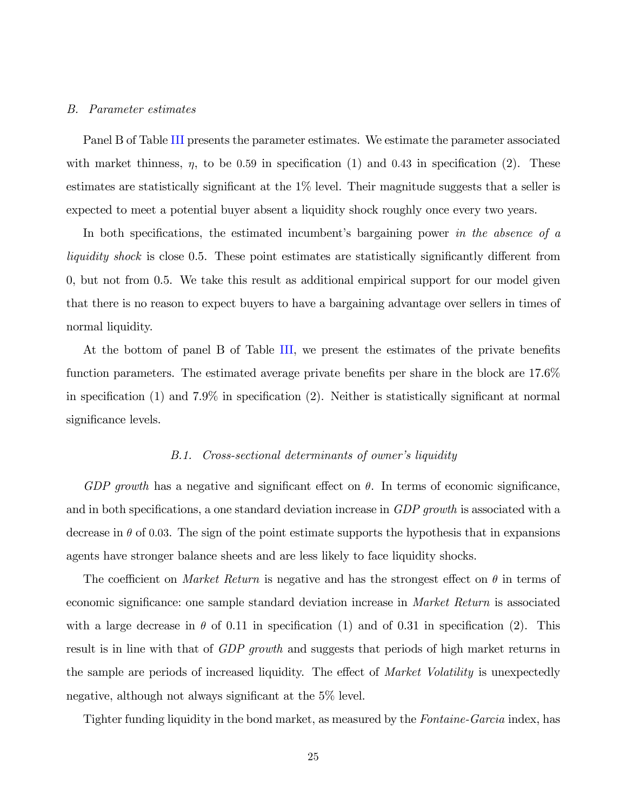#### B. Parameter estimates

Panel B of Table [III](#page-58-0) presents the parameter estimates. We estimate the parameter associated with market thinness,  $\eta$ , to be 0.59 in specification (1) and 0.43 in specification (2). These estimates are statistically significant at the  $1\%$  level. Their magnitude suggests that a seller is expected to meet a potential buyer absent a liquidity shock roughly once every two years.

In both specifications, the estimated incumbent's bargaining power in the absence of  $a$ liquidity shock is close 0.5. These point estimates are statistically significantly different from 0, but not from 0.5. We take this result as additional empirical support for our model given that there is no reason to expect buyers to have a bargaining advantage over sellers in times of normal liquidity.

At the bottom of panel B of Table [III,](#page-58-0) we present the estimates of the private benefits function parameters. The estimated average private benefits per share in the block are  $17.6\%$ in specification (1) and 7.9% in specification (2). Neither is statistically significant at normal significance levels.

#### B.1. Cross-sectional determinants of owner's liquidity

GDP growth has a negative and significant effect on  $\theta$ . In terms of economic significance, and in both specifications, a one standard deviation increase in  $GDP$  growth is associated with a decrease in  $\theta$  of 0.03. The sign of the point estimate supports the hypothesis that in expansions agents have stronger balance sheets and are less likely to face liquidity shocks.

The coefficient on *Market Return* is negative and has the strongest effect on  $\theta$  in terms of economic significance: one sample standard deviation increase in *Market Return* is associated with a large decrease in  $\theta$  of 0.11 in specification (1) and of 0.31 in specification (2). This result is in line with that of GDP growth and suggests that periods of high market returns in the sample are periods of increased liquidity. The effect of *Market Volatility* is unexpectedly negative, although not always significant at the  $5\%$  level.

Tighter funding liquidity in the bond market, as measured by the Fontaine-Garcia index, has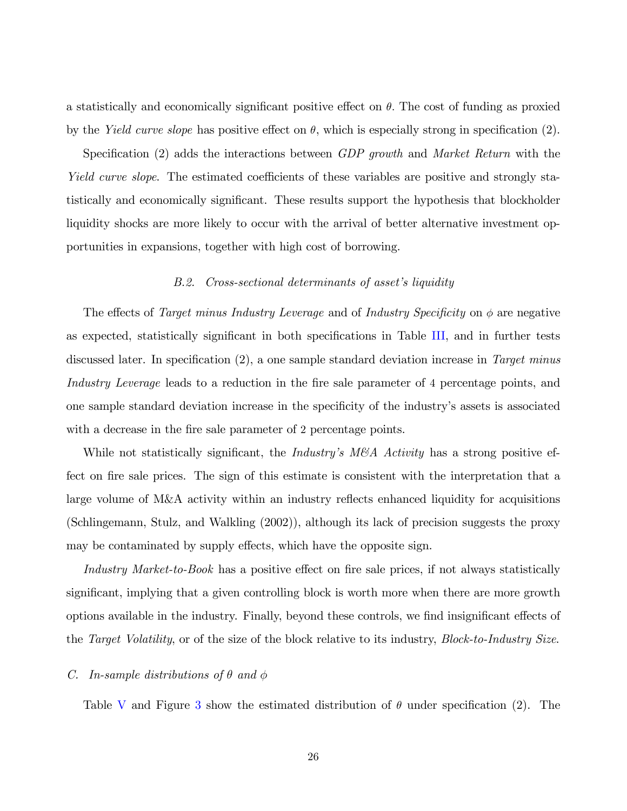a statistically and economically significant positive effect on  $\theta$ . The cost of funding as proxied by the Yield curve slope has positive effect on  $\theta$ , which is especially strong in specification (2).

Specification  $(2)$  adds the interactions between GDP growth and Market Return with the Yield curve slope. The estimated coefficients of these variables are positive and strongly statistically and economically significant. These results support the hypothesis that blockholder liquidity shocks are more likely to occur with the arrival of better alternative investment opportunities in expansions, together with high cost of borrowing.

#### B.2. Cross-sectional determinants of asset's liquidity

The effects of *Target minus Industry Leverage* and of *Industry Specificity* on  $\phi$  are negative as expected, statistically significant in both specifications in Table [III,](#page-58-0) and in further tests discussed later. In specification  $(2)$ , a one sample standard deviation increase in Target minus Industry Leverage leads to a reduction in the fire sale parameter of 4 percentage points, and one sample standard deviation increase in the specificity of the industry's assets is associated with a decrease in the fire sale parameter of 2 percentage points.

While not statistically significant, the *Industry's MCA Activity* has a strong positive effect on fire sale prices. The sign of this estimate is consistent with the interpretation that a large volume of  $M\&\text{A}$  activity within an industry reflects enhanced liquidity for acquisitions (Schlingemann, Stulz, and Walkling (2002)), although its lack of precision suggests the proxy may be contaminated by supply effects, which have the opposite sign.

Industry Market-to-Book has a positive effect on fire sale prices, if not always statistically significant, implying that a given controlling block is worth more when there are more growth options available in the industry. Finally, beyond these controls, we find insignificant effects of the *Target Volatility*, or of the size of the block relative to its industry, *Block-to-Industry Size.* 

#### C. In-sample distributions of  $\theta$  and  $\phi$

Table [V](#page-62-0) and Figure [3](#page-67-0) show the estimated distribution of  $\theta$  under specification (2). The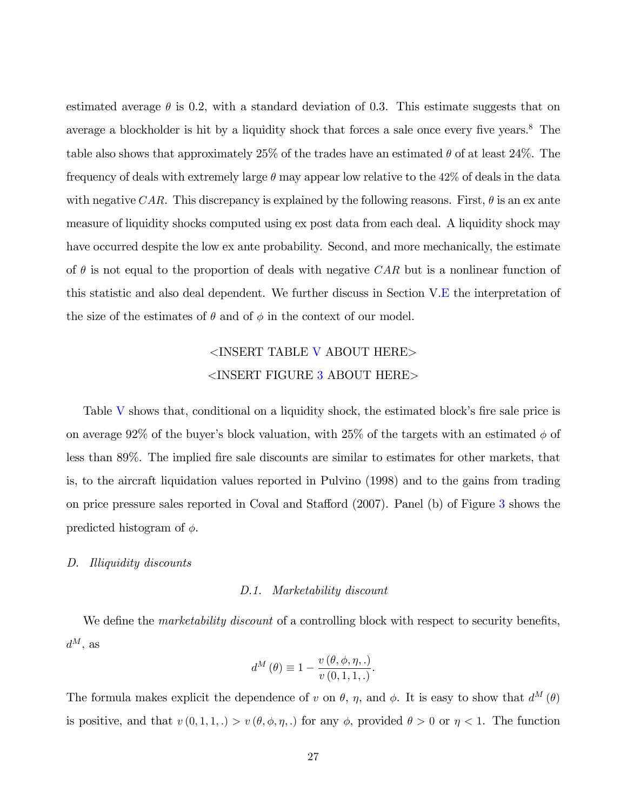estimated average  $\theta$  is 0.2, with a standard deviation of 0.3. This estimate suggests that on average a blockholder is hit by a liquidity shock that forces a sale once every five years.<sup>8</sup> The table also shows that approximately 25% of the trades have an estimated  $\theta$  of at least 24%. The frequency of deals with extremely large  $\theta$  may appear low relative to the 42% of deals in the data with negative CAR. This discrepancy is explained by the following reasons. First,  $\theta$  is an ex ante measure of liquidity shocks computed using ex post data from each deal. A liquidity shock may have occurred despite the low ex ante probability. Second, and more mechanically, the estimate of  $\theta$  is not equal to the proportion of deals with negative CAR but is a nonlinear function of this statistic and also deal dependent. We further discuss in Section V[.E](#page-31-0) the interpretation of the size of the estimates of  $\theta$  and of  $\phi$  in the context of our model.

## <INSERT TABLE [V](#page-62-0) ABOUT HERE> <INSERT FIGURE [3](#page-67-0) ABOUT HERE>

Table [V](#page-62-0) shows that, conditional on a liquidity shock, the estimated block's fire sale price is on average 92% of the buyer's block valuation, with 25% of the targets with an estimated  $\phi$  of less than 89%. The implied fire sale discounts are similar to estimates for other markets, that is, to the aircraft liquidation values reported in Pulvino (1998) and to the gains from trading on price pressure sales reported in Coval and Stafford (2007). Panel (b) of Figure [3](#page-67-0) shows the predicted histogram of  $\phi$ .

#### D. Illiquidity discounts

#### D.1. Marketability discount

We define the *marketability discount* of a controlling block with respect to security benefits,  $d^M$ , as

$$
d^{M}(\theta) \equiv 1 - \frac{v(\theta, \phi, \eta, .)}{v(0, 1, 1, .)}.
$$

The formula makes explicit the dependence of v on  $\theta$ ,  $\eta$ , and  $\phi$ . It is easy to show that  $d^M(\theta)$ is positive, and that  $v(0,1,1,.) > v(\theta, \phi, \eta,.)$  for any  $\phi$ , provided  $\theta > 0$  or  $\eta < 1$ . The function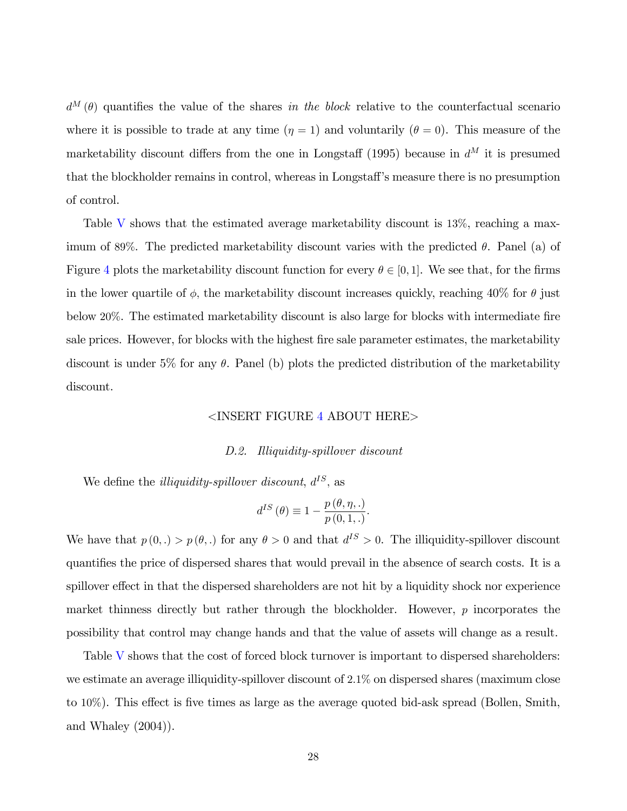$d^M(\theta)$  quantifies the value of the shares in the block relative to the counterfactual scenario where it is possible to trade at any time  $(\eta = 1)$  and voluntarily  $(\theta = 0)$ . This measure of the marketability discount differs from the one in Longstaff (1995) because in  $d^M$  it is presumed that the blockholder remains in control, whereas in Longstaff's measure there is no presumption of control.

Table [V](#page-62-0) shows that the estimated average marketability discount is 13%, reaching a maximum of 89%. The predicted marketability discount varies with the predicted  $\theta$ . Panel (a) of Figure [4](#page-68-0) plots the marketability discount function for every  $\theta \in [0, 1]$ . We see that, for the firms in the lower quartile of  $\phi$ , the marketability discount increases quickly, reaching 40% for  $\theta$  just below 20%. The estimated marketability discount is also large for blocks with intermediate fire sale prices. However, for blocks with the highest fire sale parameter estimates, the marketability discount is under 5% for any  $\theta$ . Panel (b) plots the predicted distribution of the marketability discount.

#### <INSERT FIGURE [4](#page-68-0) ABOUT HERE>

#### D.2. Illiquidity-spillover discount

We define the *illiquidity-spillover discount*,  $d^{IS}$ , as

$$
d^{IS}(\theta) \equiv 1 - \frac{p(\theta, \eta, .)}{p(0, 1, .)}.
$$

We have that  $p(0,.) > p(\theta,.)$  for any  $\theta > 0$  and that  $d^{IS} > 0$ . The illiquidity-spillover discount quantifies the price of dispersed shares that would prevail in the absence of search costs. It is a spillover effect in that the dispersed shareholders are not hit by a liquidity shock nor experience market thinness directly but rather through the blockholder. However,  $p$  incorporates the possibility that control may change hands and that the value of assets will change as a result.

Table [V](#page-62-0) shows that the cost of forced block turnover is important to dispersed shareholders: we estimate an average illiquidity-spillover discount of 2:1% on dispersed shares (maximum close to  $10\%$ ). This effect is five times as large as the average quoted bid-ask spread (Bollen, Smith, and Whaley (2004)).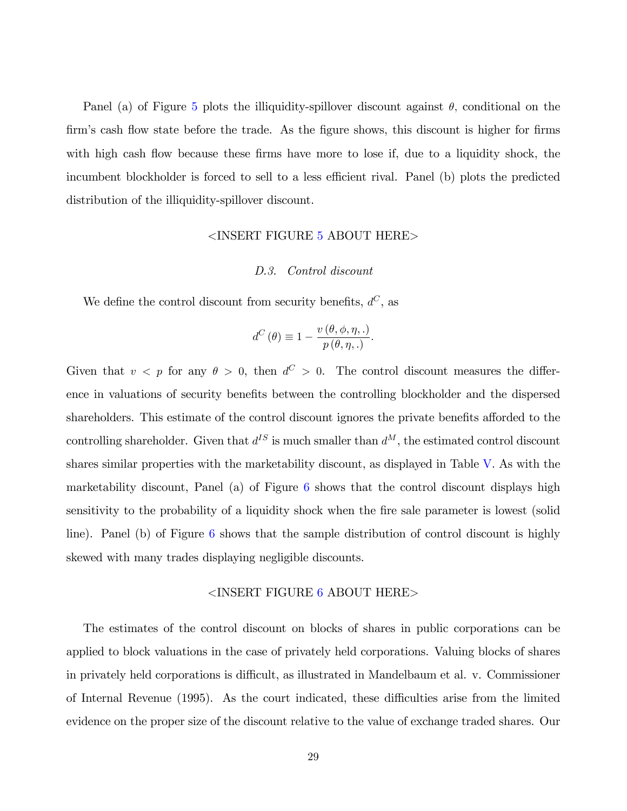Panel (a) of Figure [5](#page-69-0) plots the illiquidity-spillover discount against  $\theta$ , conditional on the firm's cash flow state before the trade. As the figure shows, this discount is higher for firms with high cash flow because these firms have more to lose if, due to a liquidity shock, the incumbent blockholder is forced to sell to a less efficient rival. Panel (b) plots the predicted distribution of the illiquidity-spillover discount.

#### <INSERT FIGURE [5](#page-69-0) ABOUT HERE>

#### D.3. Control discount

We define the control discount from security benefits,  $d^C$ , as

$$
d^{C}(\theta) \equiv 1 - \frac{v(\theta, \phi, \eta, .)}{p(\theta, \eta, .)}.
$$

Given that  $v < p$  for any  $\theta > 0$ , then  $d^C > 0$ . The control discount measures the difference in valuations of security benefits between the controlling blockholder and the dispersed shareholders. This estimate of the control discount ignores the private benefits afforded to the controlling shareholder. Given that  $d^{IS}$  is much smaller than  $d^M$ , the estimated control discount shares similar properties with the marketability discount, as displayed in Table [V.](#page-62-0) As with the marketability discount, Panel (a) of Figure [6](#page-70-0) shows that the control discount displays high sensitivity to the probability of a liquidity shock when the fire sale parameter is lowest (solid line). Panel (b) of Figure [6](#page-70-0) shows that the sample distribution of control discount is highly skewed with many trades displaying negligible discounts.

#### <INSERT FIGURE [6](#page-70-0) ABOUT HERE>

The estimates of the control discount on blocks of shares in public corporations can be applied to block valuations in the case of privately held corporations. Valuing blocks of shares in privately held corporations is difficult, as illustrated in Mandelbaum et al. v. Commissioner of Internal Revenue  $(1995)$ . As the court indicated, these difficulties arise from the limited evidence on the proper size of the discount relative to the value of exchange traded shares. Our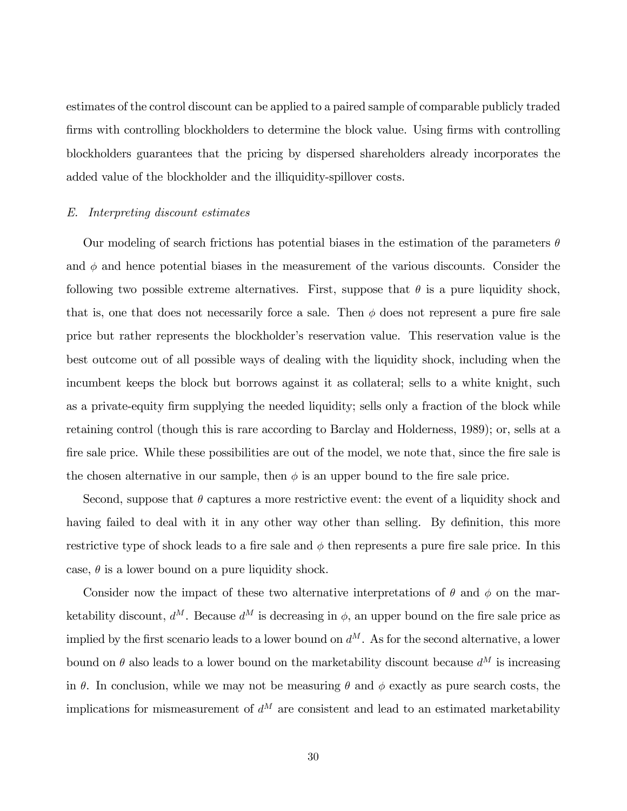estimates of the control discount can be applied to a paired sample of comparable publicly traded firms with controlling blockholders to determine the block value. Using firms with controlling blockholders guarantees that the pricing by dispersed shareholders already incorporates the added value of the blockholder and the illiquidity-spillover costs.

#### <span id="page-31-0"></span>E. Interpreting discount estimates

Our modeling of search frictions has potential biases in the estimation of the parameters  $\theta$ and  $\phi$  and hence potential biases in the measurement of the various discounts. Consider the following two possible extreme alternatives. First, suppose that  $\theta$  is a pure liquidity shock, that is, one that does not necessarily force a sale. Then  $\phi$  does not represent a pure fire sale price but rather represents the blockholder's reservation value. This reservation value is the best outcome out of all possible ways of dealing with the liquidity shock, including when the incumbent keeps the block but borrows against it as collateral; sells to a white knight, such as a private-equity firm supplying the needed liquidity; sells only a fraction of the block while retaining control (though this is rare according to Barclay and Holderness, 1989); or, sells at a fire sale price. While these possibilities are out of the model, we note that, since the fire sale is the chosen alternative in our sample, then  $\phi$  is an upper bound to the fire sale price.

Second, suppose that  $\theta$  captures a more restrictive event: the event of a liquidity shock and having failed to deal with it in any other way other than selling. By definition, this more restrictive type of shock leads to a fire sale and  $\phi$  then represents a pure fire sale price. In this case,  $\theta$  is a lower bound on a pure liquidity shock.

Consider now the impact of these two alternative interpretations of  $\theta$  and  $\phi$  on the marketability discount,  $d^M$ . Because  $d^M$  is decreasing in  $\phi$ , an upper bound on the fire sale price as implied by the first scenario leads to a lower bound on  $d^M$ . As for the second alternative, a lower bound on  $\theta$  also leads to a lower bound on the marketability discount because  $d^M$  is increasing in  $\theta$ . In conclusion, while we may not be measuring  $\theta$  and  $\phi$  exactly as pure search costs, the implications for mismeasurement of  $d^M$  are consistent and lead to an estimated marketability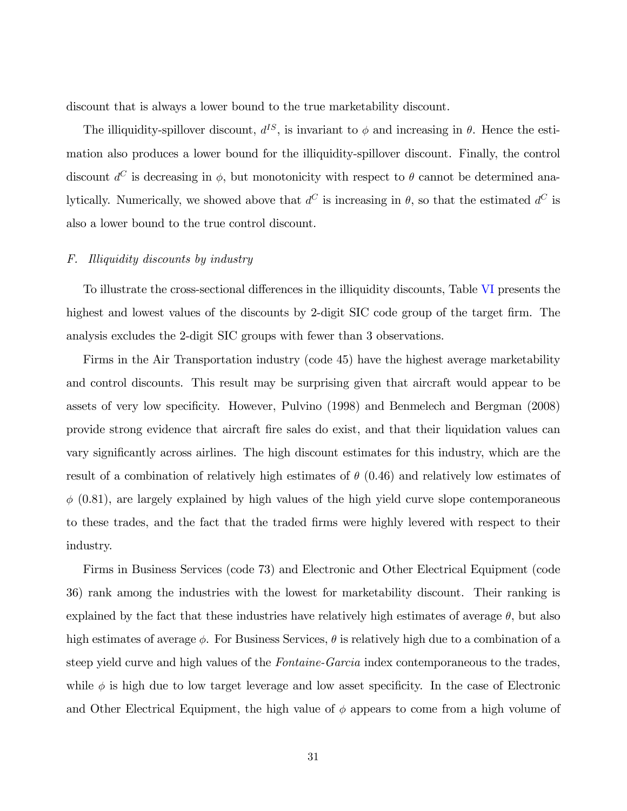discount that is always a lower bound to the true marketability discount.

The illiquidity-spillover discount,  $d^{IS}$ , is invariant to  $\phi$  and increasing in  $\theta$ . Hence the estimation also produces a lower bound for the illiquidity-spillover discount. Finally, the control discount  $d^C$  is decreasing in  $\phi$ , but monotonicity with respect to  $\theta$  cannot be determined analytically. Numerically, we showed above that  $d^C$  is increasing in  $\theta$ , so that the estimated  $d^C$  is also a lower bound to the true control discount.

#### F. Illiquidity discounts by industry

To illustrate the cross-sectional differences in the illiquidity discounts, Table [VI](#page-63-0) presents the highest and lowest values of the discounts by 2-digit SIC code group of the target firm. The analysis excludes the 2-digit SIC groups with fewer than 3 observations.

Firms in the Air Transportation industry (code 45) have the highest average marketability and control discounts. This result may be surprising given that aircraft would appear to be assets of very low specificity. However, Pulvino (1998) and Benmelech and Bergman (2008) provide strong evidence that aircraft Öre sales do exist, and that their liquidation values can vary significantly across airlines. The high discount estimates for this industry, which are the result of a combination of relatively high estimates of  $\theta$  (0.46) and relatively low estimates of  $\phi$  (0.81), are largely explained by high values of the high yield curve slope contemporaneous to these trades, and the fact that the traded Örms were highly levered with respect to their industry.

Firms in Business Services (code 73) and Electronic and Other Electrical Equipment (code 36) rank among the industries with the lowest for marketability discount. Their ranking is explained by the fact that these industries have relatively high estimates of average  $\theta$ , but also high estimates of average  $\phi$ . For Business Services,  $\theta$  is relatively high due to a combination of a steep yield curve and high values of the *Fontaine-Garcia* index contemporaneous to the trades, while  $\phi$  is high due to low target leverage and low asset specificity. In the case of Electronic and Other Electrical Equipment, the high value of  $\phi$  appears to come from a high volume of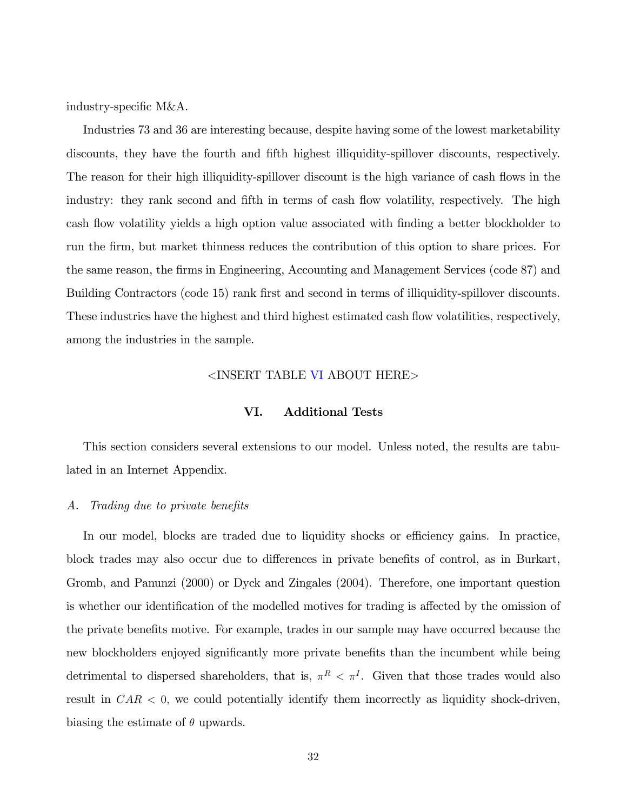industry-specific M&A.

Industries 73 and 36 are interesting because, despite having some of the lowest marketability discounts, they have the fourth and Öfth highest illiquidity-spillover discounts, respectively. The reason for their high illiquidity-spillover discount is the high variance of cash flows in the industry: they rank second and fifth in terms of cash flow volatility, respectively. The high cash flow volatility yields a high option value associated with finding a better blockholder to run the Örm, but market thinness reduces the contribution of this option to share prices. For the same reason, the firms in Engineering, Accounting and Management Services (code 87) and Building Contractors (code 15) rank first and second in terms of illiquidity-spillover discounts. These industries have the highest and third highest estimated cash flow volatilities, respectively, among the industries in the sample.

#### <INSERT TABLE [VI](#page-63-0) ABOUT HERE>

#### VI. Additional Tests

<span id="page-33-0"></span>This section considers several extensions to our model. Unless noted, the results are tabulated in an Internet Appendix.

#### A. Trading due to private benefits

In our model, blocks are traded due to liquidity shocks or efficiency gains. In practice, block trades may also occur due to differences in private benefits of control, as in Burkart, Gromb, and Panunzi (2000) or Dyck and Zingales (2004). Therefore, one important question is whether our identification of the modelled motives for trading is affected by the omission of the private benefits motive. For example, trades in our sample may have occurred because the new blockholders enjoyed significantly more private benefits than the incumbent while being detrimental to dispersed shareholders, that is,  $\pi^R < \pi^I$ . Given that those trades would also result in  $CAR < 0$ , we could potentially identify them incorrectly as liquidity shock-driven, biasing the estimate of  $\theta$  upwards.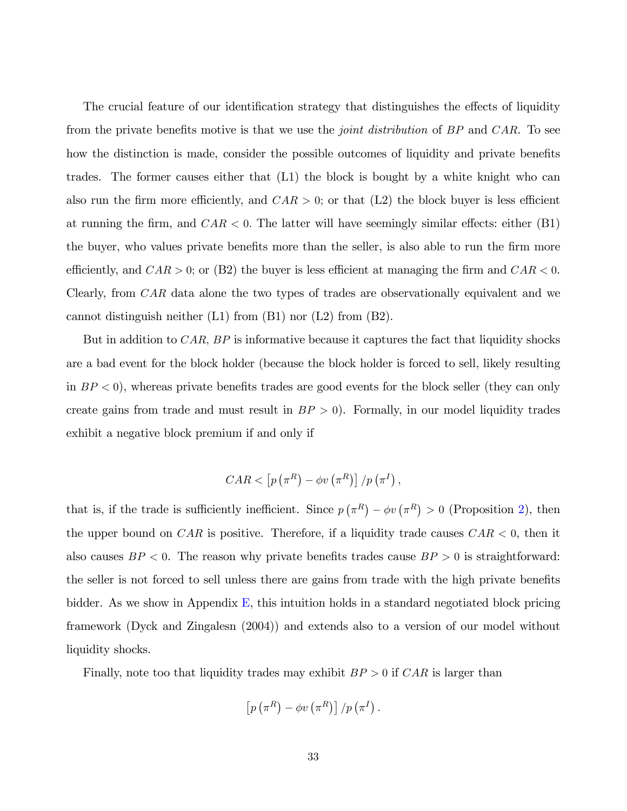The crucial feature of our identification strategy that distinguishes the effects of liquidity from the private benefits motive is that we use the *joint distribution* of BP and CAR. To see how the distinction is made, consider the possible outcomes of liquidity and private benefits trades. The former causes either that (L1) the block is bought by a white knight who can also run the firm more efficiently, and  $CAR > 0$ ; or that  $(L2)$  the block buyer is less efficient at running the firm, and  $CAR < 0$ . The latter will have seemingly similar effects: either (B1) the buyer, who values private benefits more than the seller, is also able to run the firm more efficiently, and  $CAR > 0$ ; or (B2) the buyer is less efficient at managing the firm and  $CAR < 0$ . Clearly, from CAR data alone the two types of trades are observationally equivalent and we cannot distinguish neither  $(L1)$  from  $(B1)$  nor  $(L2)$  from  $(B2)$ .

But in addition to  $CAR$ ,  $BP$  is informative because it captures the fact that liquidity shocks are a bad event for the block holder (because the block holder is forced to sell, likely resulting in  $BP < 0$ , whereas private benefits trades are good events for the block seller (they can only create gains from trade and must result in  $BP > 0$ . Formally, in our model liquidity trades exhibit a negative block premium if and only if

$$
CAR < [p(\pi^R) - \phi v(\pi^R)] / p(\pi^I),
$$

that is, if the trade is sufficiently inefficient. Since  $p(\pi^R) - \phi v(\pi^R) > 0$  (Proposition [2\)](#page-12-0), then the upper bound on  $CAR$  is positive. Therefore, if a liquidity trade causes  $CAR < 0$ , then it also causes  $BP < 0$ . The reason why private benefits trades cause  $BP > 0$  is straightforward: the seller is not forced to sell unless there are gains from trade with the high private benefits bidder. As we show in Appendix  $E$ , this intuition holds in a standard negotiated block pricing framework (Dyck and Zingalesn (2004)) and extends also to a version of our model without liquidity shocks.

Finally, note too that liquidity trades may exhibit  $BP > 0$  if  $CAR$  is larger than

$$
\left[p\left(\pi^R\right) - \phi v\left(\pi^R\right)\right] / p\left(\pi^I\right).
$$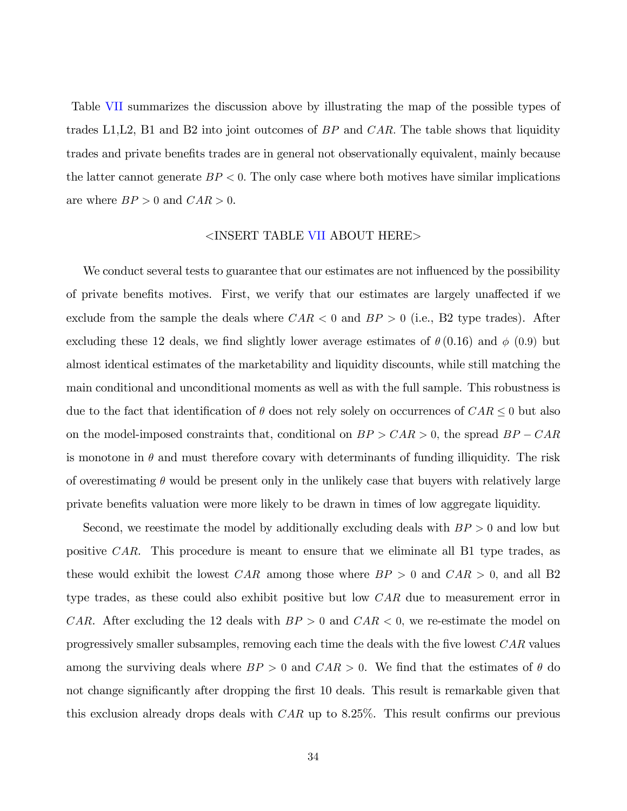Table [VII](#page-64-0) summarizes the discussion above by illustrating the map of the possible types of trades L1, L2, B1 and B2 into joint outcomes of  $BP$  and  $CAR$ . The table shows that liquidity trades and private benefits trades are in general not observationally equivalent, mainly because the latter cannot generate  $BP < 0$ . The only case where both motives have similar implications are where  $BP > 0$  and  $CAR > 0$ .

#### <INSERT TABLE [VII](#page-64-0) ABOUT HERE>

We conduct several tests to guarantee that our estimates are not influenced by the possibility of private benefits motives. First, we verify that our estimates are largely unaffected if we exclude from the sample the deals where  $CAR < 0$  and  $BP > 0$  (i.e., B2 type trades). After excluding these 12 deals, we find slightly lower average estimates of  $\theta(0.16)$  and  $\phi(0.9)$  but almost identical estimates of the marketability and liquidity discounts, while still matching the main conditional and unconditional moments as well as with the full sample. This robustness is due to the fact that identification of  $\theta$  does not rely solely on occurrences of  $CAR \leq 0$  but also on the model-imposed constraints that, conditional on  $BP > CAR > 0$ , the spread  $BP - CAR$ is monotone in  $\theta$  and must therefore covary with determinants of funding illiquidity. The risk of overestimating  $\theta$  would be present only in the unlikely case that buyers with relatively large private benefits valuation were more likely to be drawn in times of low aggregate liquidity.

Second, we reestimate the model by additionally excluding deals with  $BP > 0$  and low but positive CAR. This procedure is meant to ensure that we eliminate all B1 type trades, as these would exhibit the lowest  $CAR$  among those where  $BP > 0$  and  $CAR > 0$ , and all B2 type trades, as these could also exhibit positive but low CAR due to measurement error in CAR. After excluding the 12 deals with  $BP > 0$  and  $CAR < 0$ , we re-estimate the model on progressively smaller subsamples, removing each time the deals with the five lowest  $CAR$  values among the surviving deals where  $BP > 0$  and  $CAR > 0$ . We find that the estimates of  $\theta$  do not change significantly after dropping the first 10 deals. This result is remarkable given that this exclusion already drops deals with  $CAR$  up to 8.25%. This result confirms our previous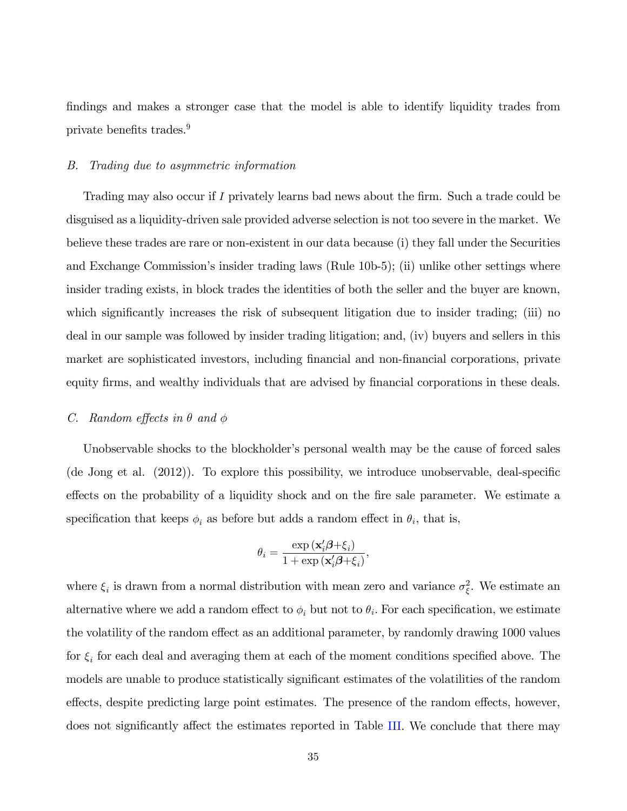findings and makes a stronger case that the model is able to identify liquidity trades from private benefits trades.<sup>9</sup>

# B. Trading due to asymmetric information

Trading may also occur if I privately learns bad news about the firm. Such a trade could be disguised as a liquidity-driven sale provided adverse selection is not too severe in the market. We believe these trades are rare or non-existent in our data because (i) they fall under the Securities and Exchange Commission's insider trading laws (Rule 10b-5); (ii) unlike other settings where insider trading exists, in block trades the identities of both the seller and the buyer are known, which significantly increases the risk of subsequent litigation due to insider trading; (iii) no deal in our sample was followed by insider trading litigation; and, (iv) buyers and sellers in this market are sophisticated investors, including financial and non-financial corporations, private equity firms, and wealthy individuals that are advised by financial corporations in these deals.

# C. Random effects in  $\theta$  and  $\phi$

Unobservable shocks to the blockholder's personal wealth may be the cause of forced sales (de Jong et al.  $(2012)$ ). To explore this possibility, we introduce unobservable, deal-specific effects on the probability of a liquidity shock and on the fire sale parameter. We estimate a specification that keeps  $\phi_i$  as before but adds a random effect in  $\theta_i$ , that is,

$$
\theta_i = \frac{\exp\left(\mathbf{x}_i'\boldsymbol{\beta} + \boldsymbol{\xi}_i\right)}{1 + \exp\left(\mathbf{x}_i'\boldsymbol{\beta} + \boldsymbol{\xi}_i\right)},
$$

where  $\xi_i$  is drawn from a normal distribution with mean zero and variance  $\sigma_{\xi}^2$ . We estimate an alternative where we add a random effect to  $\phi_i$  but not to  $\theta_i$ . For each specification, we estimate the volatility of the random effect as an additional parameter, by randomly drawing 1000 values for  $\xi_i$  for each deal and averaging them at each of the moment conditions specified above. The models are unable to produce statistically significant estimates of the volatilities of the random effects, despite predicting large point estimates. The presence of the random effects, however, does not significantly affect the estimates reported in Table [III.](#page-58-0) We conclude that there may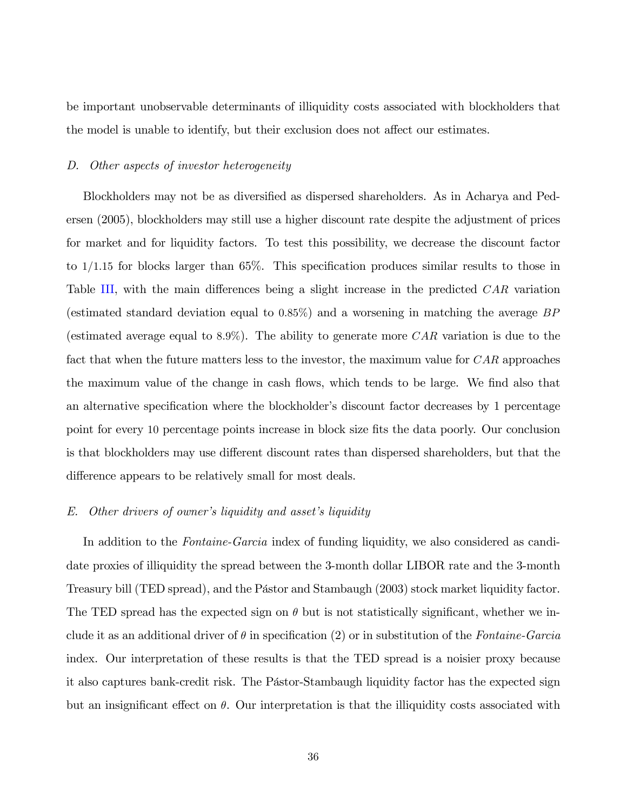be important unobservable determinants of illiquidity costs associated with blockholders that the model is unable to identify, but their exclusion does not affect our estimates.

# D. Other aspects of investor heterogeneity

Blockholders may not be as diversified as dispersed shareholders. As in Acharya and Pedersen (2005), blockholders may still use a higher discount rate despite the adjustment of prices for market and for liquidity factors. To test this possibility, we decrease the discount factor to  $1/1.15$  for blocks larger than 65%. This specification produces similar results to those in Table [III,](#page-58-0) with the main differences being a slight increase in the predicted  $CAR$  variation (estimated standard deviation equal to  $0.85\%$ ) and a worsening in matching the average  $BP$ (estimated average equal to 8.9%). The ability to generate more  $CAR$  variation is due to the fact that when the future matters less to the investor, the maximum value for CAR approaches the maximum value of the change in cash flows, which tends to be large. We find also that an alternative specification where the blockholder's discount factor decreases by 1 percentage point for every 10 percentage points increase in block size fits the data poorly. Our conclusion is that blockholders may use different discount rates than dispersed shareholders, but that the difference appears to be relatively small for most deals.

# E. Other drivers of owner's liquidity and asset's liquidity

In addition to the Fontaine-Garcia index of funding liquidity, we also considered as candidate proxies of illiquidity the spread between the 3-month dollar LIBOR rate and the 3-month Treasury bill (TED spread), and the Pástor and Stambaugh (2003) stock market liquidity factor. The TED spread has the expected sign on  $\theta$  but is not statistically significant, whether we include it as an additional driver of  $\theta$  in specification (2) or in substitution of the Fontaine-Garcia index. Our interpretation of these results is that the TED spread is a noisier proxy because it also captures bank-credit risk. The Pástor-Stambaugh liquidity factor has the expected sign but an insignificant effect on  $\theta$ . Our interpretation is that the illiquidity costs associated with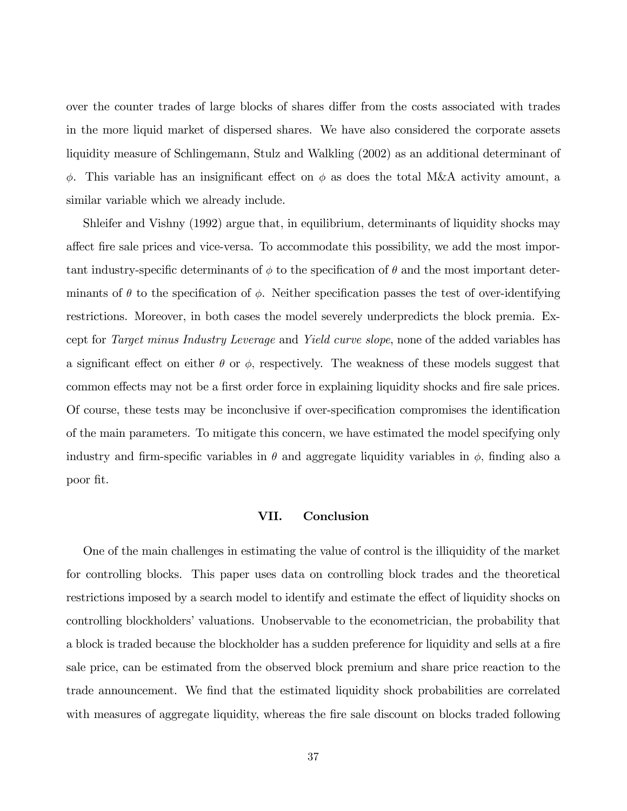over the counter trades of large blocks of shares differ from the costs associated with trades in the more liquid market of dispersed shares. We have also considered the corporate assets liquidity measure of Schlingemann, Stulz and Walkling (2002) as an additional determinant of  $\phi$ . This variable has an insignificant effect on  $\phi$  as does the total M&A activity amount, a similar variable which we already include.

Shleifer and Vishny (1992) argue that, in equilibrium, determinants of liquidity shocks may affect fire sale prices and vice-versa. To accommodate this possibility, we add the most important industry-specific determinants of  $\phi$  to the specification of  $\theta$  and the most important determinants of  $\theta$  to the specification of  $\phi$ . Neither specification passes the test of over-identifying restrictions. Moreover, in both cases the model severely underpredicts the block premia. Except for Target minus Industry Leverage and Yield curve slope, none of the added variables has a significant effect on either  $\theta$  or  $\phi$ , respectively. The weakness of these models suggest that common effects may not be a first order force in explaining liquidity shocks and fire sale prices. Of course, these tests may be inconclusive if over-specification compromises the identification of the main parameters. To mitigate this concern, we have estimated the model specifying only industry and firm-specific variables in  $\theta$  and aggregate liquidity variables in  $\phi$ , finding also a poor Öt.

## VII. Conclusion

One of the main challenges in estimating the value of control is the illiquidity of the market for controlling blocks. This paper uses data on controlling block trades and the theoretical restrictions imposed by a search model to identify and estimate the effect of liquidity shocks on controlling blockholders' valuations. Unobservable to the econometrician, the probability that a block is traded because the blockholder has a sudden preference for liquidity and sells at a fire sale price, can be estimated from the observed block premium and share price reaction to the trade announcement. We find that the estimated liquidity shock probabilities are correlated with measures of aggregate liquidity, whereas the fire sale discount on blocks traded following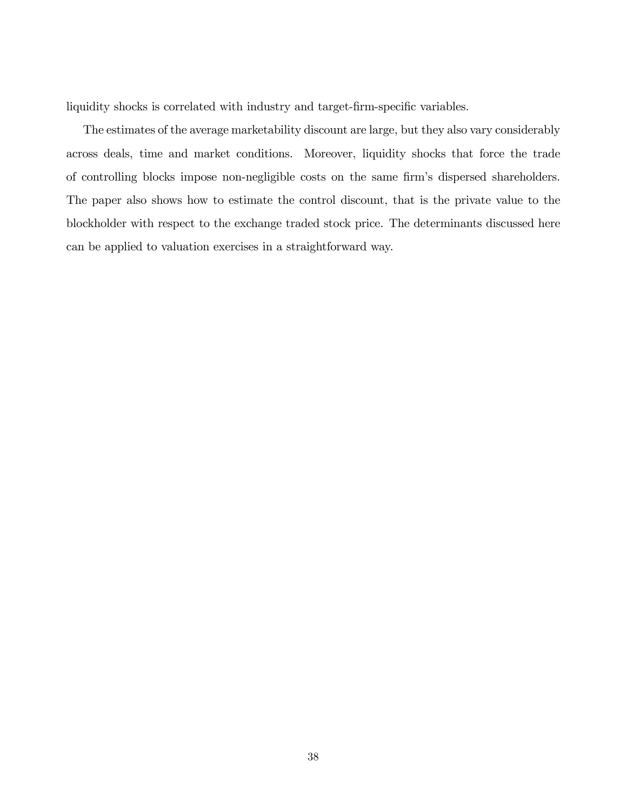liquidity shocks is correlated with industry and target-firm-specific variables.

The estimates of the average marketability discount are large, but they also vary considerably across deals, time and market conditions. Moreover, liquidity shocks that force the trade of controlling blocks impose non-negligible costs on the same firm's dispersed shareholders. The paper also shows how to estimate the control discount, that is the private value to the blockholder with respect to the exchange traded stock price. The determinants discussed here can be applied to valuation exercises in a straightforward way.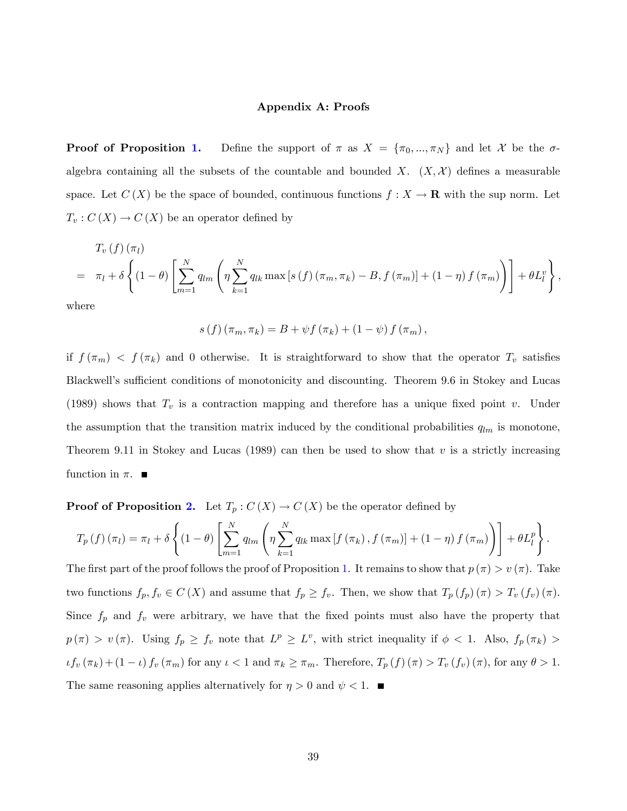#### Appendix A: Proofs

**Proof of Proposition [1.](#page-11-0)** Define the support of  $\pi$  as  $X = {\pi_0, ..., \pi_N}$  and let X be the  $\sigma$ algebra containing all the subsets of the countable and bounded X.  $(X, \mathcal{X})$  defines a measurable space. Let  $C(X)$  be the space of bounded, continuous functions  $f : X \to \mathbf{R}$  with the sup norm. Let  $T_v : C(X) \to C(X)$  be an operator defined by

$$
T_v(f)(\pi_l)
$$
  
=  $\pi_l + \delta \left\{ (1-\theta) \left[ \sum_{m=1}^N q_{lm} \left( \eta \sum_{k=1}^N q_{lk} \max\left[ s(f)(\pi_m, \pi_k) - B, f(\pi_m) \right] + (1-\eta) f(\pi_m) \right) \right] + \theta L_l^v \right\},$ 

where

$$
s(f)(\pi_m, \pi_k) = B + \psi f(\pi_k) + (1 - \psi) f(\pi_m),
$$

if  $f(\pi_m) < f(\pi_k)$  and 0 otherwise. It is straightforward to show that the operator  $T_v$  satisfies Blackwell's sufficient conditions of monotonicity and discounting. Theorem 9.6 in Stokey and Lucas (1989) shows that  $T_v$  is a contraction mapping and therefore has a unique fixed point v. Under the assumption that the transition matrix induced by the conditional probabilities  $q_{lm}$  is monotone, Theorem 9.11 in Stokey and Lucas (1989) can then be used to show that  $v$  is a strictly increasing function in  $\pi$ .

**Proof of Proposition [2.](#page-12-0)** Let  $T_p: C(X) \to C(X)$  be the operator defined by

$$
T_p(f)(\pi_l) = \pi_l + \delta \left\{ (1-\theta) \left[ \sum_{m=1}^N q_{lm} \left( \eta \sum_{k=1}^N q_{lk} \max\left[ f(\pi_k), f(\pi_m) \right] + (1-\eta) f(\pi_m) \right) \right] + \theta L_l^p \right\}.
$$

The first part of the proof follows the proof of Proposition [1.](#page-11-0) It remains to show that  $p(\pi) > v(\pi)$ . Take two functions  $f_p, f_v \in C(X)$  and assume that  $f_p \ge f_v$ . Then, we show that  $T_p(f_p)(\pi) > T_v(f_v)(\pi)$ . Since  $f_p$  and  $f_v$  were arbitrary, we have that the fixed points must also have the property that  $p(\pi) > v(\pi)$ . Using  $f_p \ge f_v$  note that  $L^p \ge L^v$ , with strict inequality if  $\phi < 1$ . Also,  $f_p(\pi_k) >$  $\iota f_v(\pi_k) + (1 - \iota) f_v(\pi_m)$  for any  $\iota < 1$  and  $\pi_k \geq \pi_m$ . Therefore,  $T_p(f)(\pi) > T_v(f_v)(\pi)$ , for any  $\theta > 1$ . The same reasoning applies alternatively for  $\eta > 0$  and  $\psi < 1$ .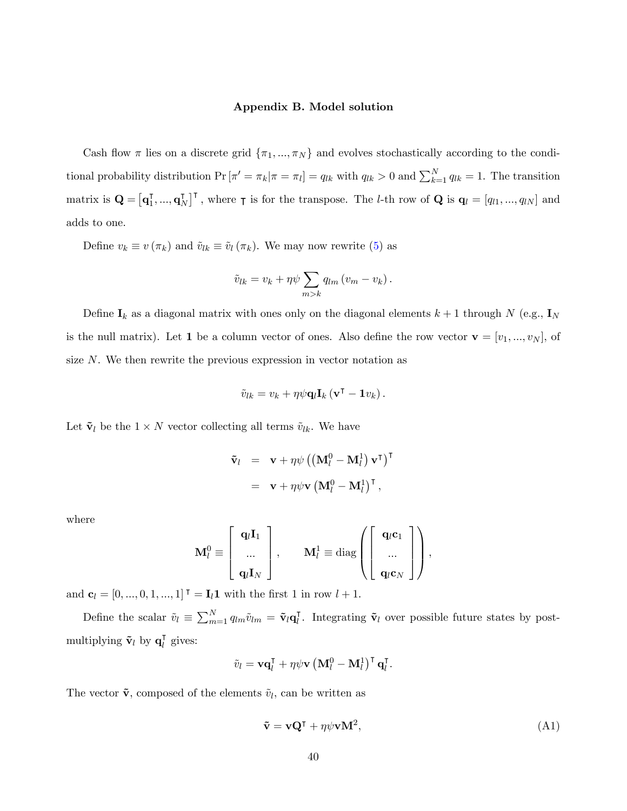#### Appendix B. Model solution

Cash flow  $\pi$  lies on a discrete grid  $\{\pi_1, ..., \pi_N\}$  and evolves stochastically according to the conditional probability distribution  $\Pr[\pi' = \pi_k | \pi = \pi_l] = q_{lk}$  with  $q_{lk} > 0$  and  $\sum_{k=1}^{N} q_{lk} = 1$ . The transition matrix is  $\mathbf{Q} = [\mathbf{q}_1^{\mathsf{T}}, ..., \mathbf{q}_N^{\mathsf{T}}]$  $[N]$ <sup>T</sup>, where  $\tau$  is for the transpose. The *l*-th row of **Q** is  $\mathbf{q}_l = [q_{l1}, ..., q_{lN}]$  and adds to one.

Define  $v_k \equiv v(\pi_k)$  and  $\tilde{v}_{lk} \equiv \tilde{v}_l(\pi_k)$ . We may now rewrite [\(5\)](#page-11-1) as

$$
\tilde{v}_{lk} = v_k + \eta \psi \sum_{m > k} q_{lm} (v_m - v_k).
$$

Define  $I_k$  as a diagonal matrix with ones only on the diagonal elements  $k+1$  through N (e.g.,  $I_N$ ) is the null matrix). Let 1 be a column vector of ones. Also define the row vector  $\mathbf{v} = [v_1, ..., v_N]$ , of size  $N$ . We then rewrite the previous expression in vector notation as

$$
\tilde{v}_{lk} = v_k + \eta \psi \mathbf{q}_l \mathbf{I}_k (\mathbf{v}^\mathsf{T} - \mathbf{1} v_k) .
$$

Let  $\tilde{\mathbf{v}}_l$  be the  $1 \times N$  vector collecting all terms  $\tilde{v}_{lk}$ . We have

$$
\tilde{\mathbf{v}}_l = \mathbf{v} + \eta \psi \left( \left( \mathbf{M}_l^0 - \mathbf{M}_l^1 \right) \mathbf{v}^\mathsf{T} \right)^\mathsf{T}
$$

$$
= \mathbf{v} + \eta \psi \mathbf{v} \left( \mathbf{M}_l^0 - \mathbf{M}_l^1 \right)^\mathsf{T},
$$

where

$$
\mathbf{M}_l^0 \equiv \left[ \begin{array}{c} \mathbf{q}_l \mathbf{I}_1 \\ ... \\ \mathbf{q}_l \mathbf{I}_N \end{array} \right], \qquad \mathbf{M}_l^1 \equiv \mathrm{diag} \left( \left[ \begin{array}{c} \mathbf{q}_l \mathbf{c}_1 \\ ... \\ \mathbf{q}_l \mathbf{c}_N \end{array} \right] \right),
$$

and  $\mathbf{c}_l = [0, ..., 0, 1, ..., 1]$ <sup>T</sup> =  $\mathbf{I}_l \mathbf{1}$  with the first 1 in row  $l + 1$ .

Define the scalar  $\tilde{v}_l \equiv \sum_{m=1}^{N} q_{lm} \tilde{v}_{lm} = \tilde{\mathbf{v}}_l \mathbf{q}_l^{\mathsf{T}}$ <sup>1</sup>. Integrating  $\tilde{\mathbf{v}}_l$  over possible future states by postmultiplying  $\tilde{\mathbf{v}}_l$  by  $\mathbf{q}_l^{\mathsf{T}}$  $_l^{\text{I}}$  gives:

$$
\tilde{v}_l = \mathbf{v}\mathbf{q}_l^{\mathsf{T}} + \eta \psi \mathbf{v} \left( \mathbf{M}_l^0 - \mathbf{M}_l^1 \right)^{\mathsf{T}} \mathbf{q}_l^{\mathsf{T}}.
$$

The vector  $\tilde{\mathbf{v}}$ , composed of the elements  $\tilde{v}_l$ , can be written as

<span id="page-41-0"></span>
$$
\tilde{\mathbf{v}} = \mathbf{v}\mathbf{Q}^{\mathsf{T}} + \eta \psi \mathbf{v}\mathbf{M}^2, \tag{A1}
$$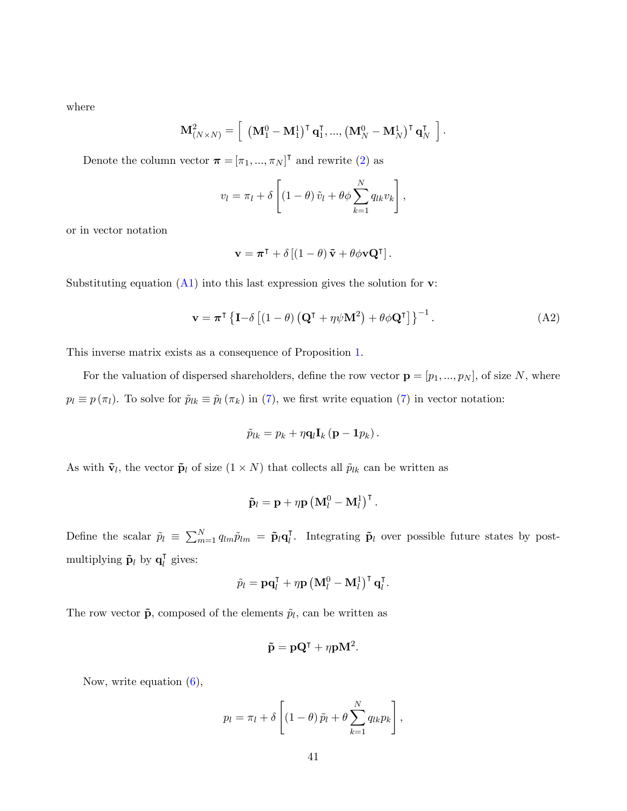where

$$
\mathbf{M}_{(N\times N)}^2 = \left[ \begin{array}{c} \left( \mathbf{M}^0_1 - \mathbf{M}^1_1 \right)^\intercal \mathbf{q}_1^\intercal,..., \left( \mathbf{M}^0_N - \mathbf{M}^1_N \right)^\intercal \mathbf{q}_N^\intercal \end{array} \right].
$$

Denote the column vector  $\boldsymbol{\pi} = [\pi_1, ..., \pi_N]^\mathsf{T}$  and rewrite [\(2\)](#page-10-0) as

$$
v_l = \pi_l + \delta \left[ \left( 1 - \theta \right) \tilde{v}_l + \theta \phi \sum_{k=1}^N q_{lk} v_k \right],
$$

or in vector notation

<span id="page-42-0"></span>
$$
\mathbf{v} = \boldsymbol{\pi}^{\mathsf{T}} + \delta \left[ \left( 1 - \theta \right) \tilde{\mathbf{v}} + \theta \phi \mathbf{v} \mathbf{Q}^{\mathsf{T}} \right].
$$

Substituting equation  $(A1)$  into this last expression gives the solution for **v**:

$$
\mathbf{v} = \boldsymbol{\pi}^{\mathsf{T}} \left\{ \mathbf{I} - \delta \left[ (1 - \theta) \left( \mathbf{Q}^{\mathsf{T}} + \eta \psi \mathbf{M}^2 \right) + \theta \phi \mathbf{Q}^{\mathsf{T}} \right] \right\}^{-1}.
$$
 (A2)

This inverse matrix exists as a consequence of Proposition [1.](#page-11-0)

For the valuation of dispersed shareholders, define the row vector  $\mathbf{p} = [p_1, ..., p_N]$ , of size N, where  $p_l \equiv p(\pi_l)$ . To solve for  $\tilde{p}_{lk} \equiv \tilde{p}_l (\pi_k)$  in [\(7\)](#page-12-1), we first write equation (7) in vector notation:

$$
\tilde{p}_{lk}=p_k+\eta\mathbf{q}_l\mathbf{I}_k\left(\mathbf{p}-\mathbf{1}p_k\right).
$$

As with  $\tilde{\mathbf{v}}_l$ , the vector  $\tilde{\mathbf{p}}_l$  of size  $(1 \times N)$  that collects all  $\tilde{p}_{lk}$  can be written as

$$
\mathbf{\tilde{p}}_l = \mathbf{p} + \eta \mathbf{p} \left( \mathbf{M}_l^0 - \mathbf{M}_l^1 \right)^\intercal.
$$

Define the scalar  $\tilde{p}_l \equiv \sum_{m=1}^{N} q_{lm} \tilde{p}_{lm} = \tilde{\mathbf{p}}_l \mathbf{q}_l^{\mathsf{T}}$ <sup>1</sup>. Integrating  $\tilde{\mathbf{p}}_l$  over possible future states by postmultiplying  $\mathbf{\tilde{p}}_l$  by  $\mathbf{q}_l^{\mathsf{T}}$  $_l^{\text{I}}$  gives:

$$
\tilde{p}_l = \mathbf{p} \mathbf{q}_l^{\mathsf{T}} + \eta \mathbf{p} \left( \mathbf{M}_l^0 - \mathbf{M}_l^1 \right)^{\mathsf{T}} \mathbf{q}_l^{\mathsf{T}}.
$$

The row vector  $~\tilde{\mathbf{p}}$ , composed of the elements  $~\tilde{p}_l$ , can be written as

$$
\mathbf{\tilde{p}} = \mathbf{p}\mathbf{Q}^{\intercal} + \eta \mathbf{p}\mathbf{M}^2.
$$

Now, write equation [\(6\)](#page-12-2),

$$
p_l = \pi_l + \delta \left[ (1 - \theta) \tilde{p}_l + \theta \sum_{k=1}^N q_{lk} p_k \right],
$$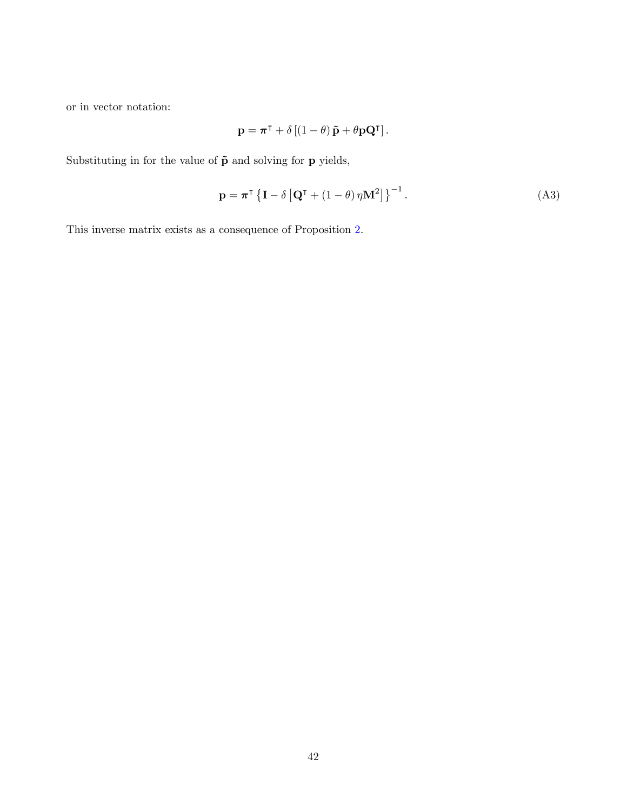or in vector notation:

<span id="page-43-0"></span>
$$
\mathbf{p} = \boldsymbol{\pi}^{\mathsf{T}} + \delta \left[ \left( 1 - \theta \right) \tilde{\mathbf{p}} + \theta \mathbf{p} \mathbf{Q}^{\mathsf{T}} \right].
$$

Substituting in for the value of  $\tilde{\mathbf{p}}$  and solving for  $\mathbf{p}$  yields,

$$
\mathbf{p} = \boldsymbol{\pi}^{\mathsf{T}} \left\{ \mathbf{I} - \delta \left[ \mathbf{Q}^{\mathsf{T}} + (1 - \theta) \eta \mathbf{M}^2 \right] \right\}^{-1}.
$$
 (A3)

This inverse matrix exists as a consequence of Proposition [2.](#page-12-0)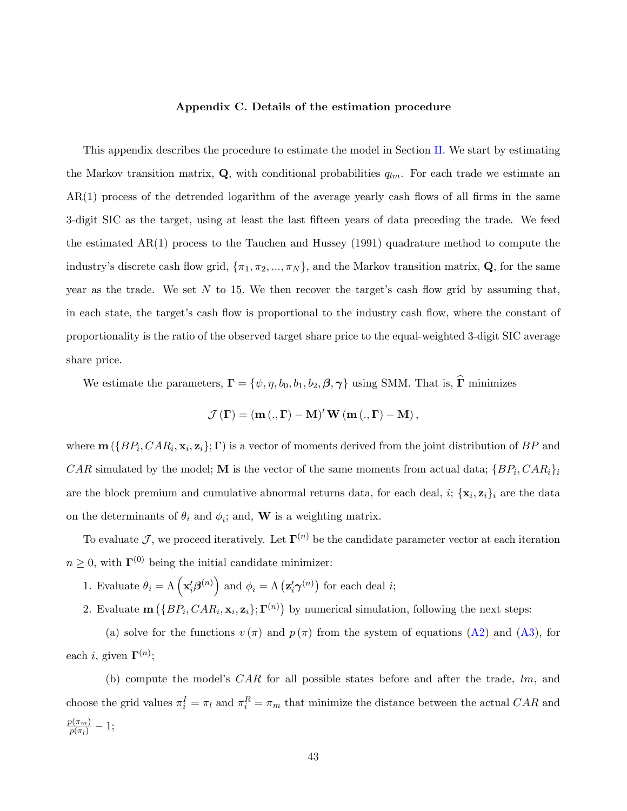#### Appendix C. Details of the estimation procedure

This appendix describes the procedure to estimate the model in Section [II.](#page-9-0) We start by estimating the Markov transition matrix,  $Q$ , with conditional probabilities  $q_{lm}$ . For each trade we estimate an  $AR(1)$  process of the detrended logarithm of the average yearly cash flows of all firms in the same 3-digit SIC as the target, using at least the last Öfteen years of data preceding the trade. We feed the estimated  $AR(1)$  process to the Tauchen and Hussey (1991) quadrature method to compute the industry's discrete cash flow grid,  $\{\pi_1, \pi_2, ..., \pi_N\}$ , and the Markov transition matrix, **Q**, for the same year as the trade. We set  $N$  to 15. We then recover the target's cash flow grid by assuming that, in each state, the target's cash flow is proportional to the industry cash flow, where the constant of proportionality is the ratio of the observed target share price to the equal-weighted 3-digit SIC average share price.

We estimate the parameters,  $\mathbf{\Gamma} = \{\psi, \eta, b_0, b_1, b_2, \beta, \gamma\}$  using SMM. That is,  $\mathbf{\widehat{\Gamma}}$  minimizes

$$
\mathcal{J}\left(\mathbf{\Gamma}\right)=\left(\mathbf{m}\left(.,\mathbf{\Gamma}\right)-\mathbf{M}\right)'\mathbf{W}\left(\mathbf{m}\left(.,\mathbf{\Gamma}\right)-\mathbf{M}\right),\,
$$

where  $\mathbf{m}\left(\{BP_i,CAR_i, \mathbf{x}_i, \mathbf{z}_i\};\mathbf{\Gamma}\right)$  is a vector of moments derived from the joint distribution of  $BP$  and  $CAR$  simulated by the model; **M** is the vector of the same moments from actual data;  $\{BP_i,CAR_i\}_i$ are the block premium and cumulative abnormal returns data, for each deal,  $i$ ;  $\{\mathbf{x}_i, \mathbf{z}_i\}_i$  are the data on the determinants of  $\theta_i$  and  $\phi_i$ ; and, **W** is a weighting matrix.

To evaluate  $\mathcal{J}$ , we proceed iteratively. Let  $\mathbf{\Gamma}^{(n)}$  be the candidate parameter vector at each iteration  $n \geq 0$ , with  $\Gamma^{(0)}$  being the initial candidate minimizer:

- 1. Evaluate  $\theta_i = \Lambda\left(\mathbf{x}'_i\boldsymbol{\beta}^{(n)}\right)$  and  $\phi_i = \Lambda\left(\mathbf{z}'_i\boldsymbol{\gamma}^{(n)}\right)$  for each deal *i*;
- 2. Evaluate  $\mathbf{m}\left(\{BP_i,CAR_i, \mathbf{x}_i, \mathbf{z}_i\}; \mathbf{\Gamma}^{(n)}\right)$  by numerical simulation, following the next steps:

(a) solve for the functions  $v(\pi)$  and  $p(\pi)$  from the system of equations [\(A2\)](#page-42-0) and [\(A3\)](#page-43-0), for each *i*, given  $\mathbf{\Gamma}^{(n)}$ ;

(b) compute the model's  $CAR$  for all possible states before and after the trade,  $lm$ , and choose the grid values  $\pi_i^I = \pi_l$  and  $\pi_i^R = \pi_m$  that minimize the distance between the actual  $CAR$  and  $\frac{p(\pi_m)}{p(\pi_l)} - 1;$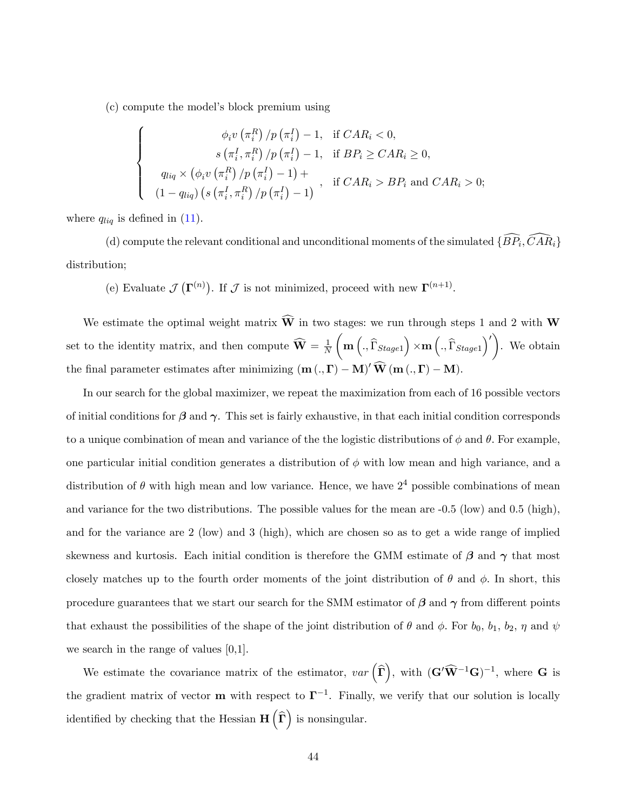(c) compute the modelís block premium using

$$
\begin{cases}\n\phi_i v \left(\pi_i^R\right) / p \left(\pi_i^I\right) - 1, & \text{if } CAR_i < 0, \\
s \left(\pi_i^I, \pi_i^R\right) / p \left(\pi_i^I\right) - 1, & \text{if } BP_i \geq CAR_i \geq 0, \\
q_{liq} \times \left(\phi_i v \left(\pi_i^R\right) / p \left(\pi_i^I\right) - 1\right) + \\
(1 - q_{liq}) \left(s \left(\pi_i^I, \pi_i^R\right) / p \left(\pi_i^I\right) - 1\right), & \text{if } CAR_i > BP_i \text{ and } CAR_i > 0;\n\end{cases}
$$

where  $q_{liq}$  is defined in [\(11\)](#page-14-0).

(d) compute the relevant conditional and unconditional moments of the simulated  $\{BP_i, CAR_i\}$ distribution;

(e) Evaluate  $\mathcal{J}(\Gamma^{(n)})$ . If  $\mathcal{J}$  is not minimized, proceed with new  $\Gamma^{(n+1)}$ .

We estimate the optimal weight matrix  $\widehat{W}$  in two stages: we run through steps 1 and 2 with W set to the identity matrix, and then compute  $\widehat{\mathbf{W}} = \frac{1}{N}$ N  $\sqrt{2}$  $\mathbf{m}\left(.,\widehat{\Gamma}_{Stage1}\right)$  $\times \mathbf{m}\left( ., \widehat{\Gamma}_{Stage1} \right)'$ . We obtain the final parameter estimates after minimizing  $(\mathbf{m} (., \mathbf{\Gamma}) - \mathbf{M})' \mathbf{W} (\mathbf{m} (., \mathbf{\Gamma}) - \mathbf{M}).$ 

In our search for the global maximizer, we repeat the maximization from each of 16 possible vectors of initial conditions for  $\beta$  and  $\gamma$ . This set is fairly exhaustive, in that each initial condition corresponds to a unique combination of mean and variance of the the logistic distributions of  $\phi$  and  $\theta$ . For example, one particular initial condition generates a distribution of  $\phi$  with low mean and high variance, and a distribution of  $\theta$  with high mean and low variance. Hence, we have  $2^4$  possible combinations of mean and variance for the two distributions. The possible values for the mean are -0.5 (low) and 0.5 (high), and for the variance are 2 (low) and 3 (high), which are chosen so as to get a wide range of implied skewness and kurtosis. Each initial condition is therefore the GMM estimate of  $\beta$  and  $\gamma$  that most closely matches up to the fourth order moments of the joint distribution of  $\theta$  and  $\phi$ . In short, this procedure guarantees that we start our search for the SMM estimator of  $\beta$  and  $\gamma$  from different points that exhaust the possibilities of the shape of the joint distribution of  $\theta$  and  $\phi$ . For  $b_0$ ,  $b_1$ ,  $b_2$ ,  $\eta$  and  $\psi$ we search in the range of values [0,1].

We estimate the covariance matrix of the estimator,  $var\left(\widehat{\mathbf{\Gamma}}\right)$ , with  $(\mathbf{G}'\widehat{\mathbf{W}}^{-1}\mathbf{G})^{-1}$ , where **G** is the gradient matrix of vector **m** with respect to  $\Gamma^{-1}$ . Finally, we verify that our solution is locally identified by checking that the Hessian  $\mathbf{H}(\widehat{\Gamma})$  is nonsingular.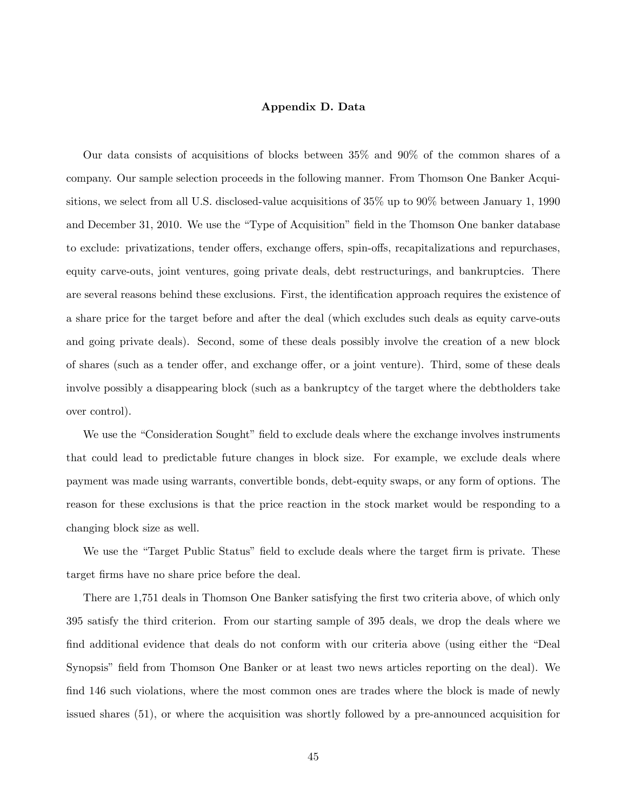## Appendix D. Data

Our data consists of acquisitions of blocks between 35% and 90% of the common shares of a company. Our sample selection proceeds in the following manner. From Thomson One Banker Acquisitions, we select from all U.S. disclosed-value acquisitions of 35% up to 90% between January 1, 1990 and December 31, 2010. We use the "Type of Acquisition" field in the Thomson One banker database to exclude: privatizations, tender offers, exchange offers, spin-offs, recapitalizations and repurchases, equity carve-outs, joint ventures, going private deals, debt restructurings, and bankruptcies. There are several reasons behind these exclusions. First, the identification approach requires the existence of a share price for the target before and after the deal (which excludes such deals as equity carve-outs and going private deals). Second, some of these deals possibly involve the creation of a new block of shares (such as a tender offer, and exchange offer, or a joint venture). Third, some of these deals involve possibly a disappearing block (such as a bankruptcy of the target where the debtholders take over control).

We use the "Consideration Sought" field to exclude deals where the exchange involves instruments that could lead to predictable future changes in block size. For example, we exclude deals where payment was made using warrants, convertible bonds, debt-equity swaps, or any form of options. The reason for these exclusions is that the price reaction in the stock market would be responding to a changing block size as well.

We use the "Target Public Status" field to exclude deals where the target firm is private. These target Örms have no share price before the deal.

There are 1,751 deals in Thomson One Banker satisfying the first two criteria above, of which only 395 satisfy the third criterion. From our starting sample of 395 deals, we drop the deals where we find additional evidence that deals do not conform with our criteria above (using either the "Deal" Synopsis" field from Thomson One Banker or at least two news articles reporting on the deal). We find 146 such violations, where the most common ones are trades where the block is made of newly issued shares (51), or where the acquisition was shortly followed by a pre-announced acquisition for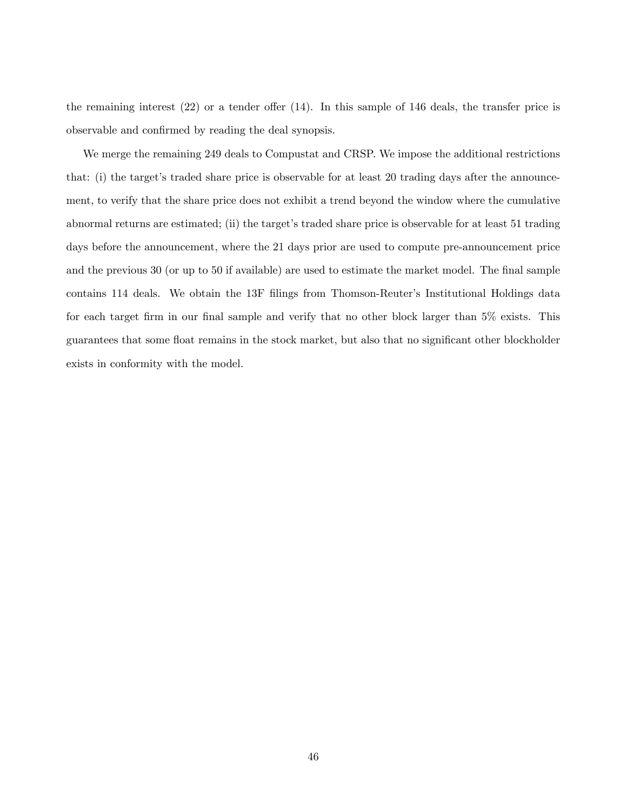the remaining interest  $(22)$  or a tender offer  $(14)$ . In this sample of 146 deals, the transfer price is observable and confirmed by reading the deal synopsis.

We merge the remaining 249 deals to Compustat and CRSP. We impose the additional restrictions that: (i) the target's traded share price is observable for at least 20 trading days after the announcement, to verify that the share price does not exhibit a trend beyond the window where the cumulative abnormal returns are estimated; (ii) the target's traded share price is observable for at least 51 trading days before the announcement, where the 21 days prior are used to compute pre-announcement price and the previous 30 (or up to 50 if available) are used to estimate the market model. The final sample contains 114 deals. We obtain the 13F filings from Thomson-Reuter's Institutional Holdings data for each target firm in our final sample and verify that no other block larger than  $5\%$  exists. This guarantees that some float remains in the stock market, but also that no significant other blockholder exists in conformity with the model.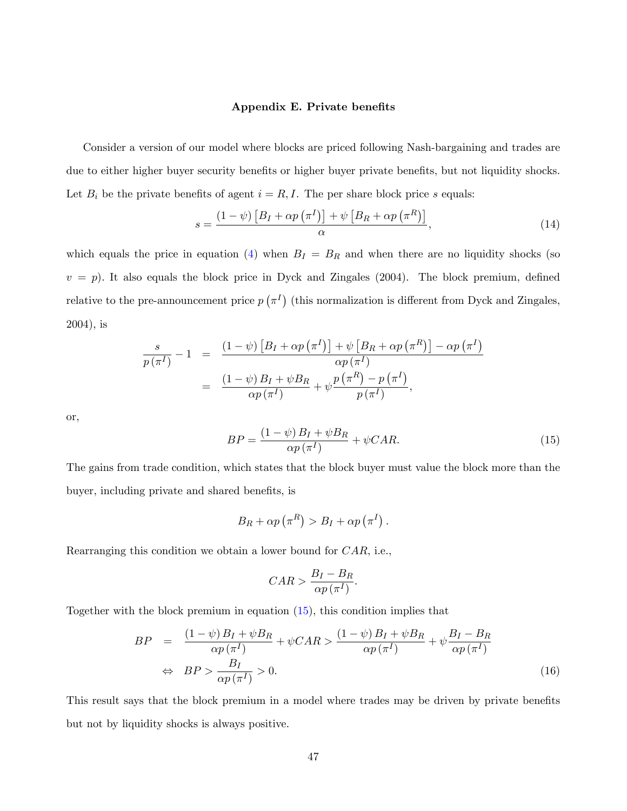## Appendix E. Private benefits

Consider a version of our model where blocks are priced following Nash-bargaining and trades are due to either higher buyer security benefits or higher buyer private benefits, but not liquidity shocks. Let  $B_i$  be the private benefits of agent  $i = R, I$ . The per share block price s equals:

$$
s = \frac{(1 - \psi) \left[ B_I + \alpha p \left( \pi^I \right) \right] + \psi \left[ B_R + \alpha p \left( \pi^R \right) \right]}{\alpha},\tag{14}
$$

which equals the price in equation [\(4\)](#page-10-1) when  $B_I = B_R$  and when there are no liquidity shocks (so  $v = p$ ). It also equals the block price in Dyck and Zingales (2004). The block premium, defined relative to the pre-announcement price  $p(\pi^I)$  (this normalization is different from Dyck and Zingales, 2004), is

$$
\frac{s}{p(\pi^I)} - 1 = \frac{(1 - \psi) [B_I + \alpha p(\pi^I)] + \psi [B_R + \alpha p(\pi^R)] - \alpha p(\pi^I)}{\alpha p(\pi^I)}
$$

$$
= \frac{(1 - \psi) B_I + \psi B_R}{\alpha p(\pi^I)} + \psi \frac{p(\pi^R) - p(\pi^I)}{p(\pi^I)},
$$

or,

<span id="page-48-0"></span>
$$
BP = \frac{(1 - \psi)B_I + \psi B_R}{\alpha p \left(\pi^I\right)} + \psi CAR. \tag{15}
$$

The gains from trade condition, which states that the block buyer must value the block more than the buyer, including private and shared benefits, is

$$
B_R + \alpha p \left( \pi^R \right) > B_I + \alpha p \left( \pi^I \right).
$$

Rearranging this condition we obtain a lower bound for  $CAR$ , i.e.,

$$
CAR > \frac{B_I - B_R}{\alpha p \left( \pi^I \right)}.
$$

Together with the block premium in equation [\(15\)](#page-48-0), this condition implies that

$$
BP = \frac{(1 - \psi)B_I + \psi B_R}{\alpha p(\pi^I)} + \psi CAR > \frac{(1 - \psi)B_I + \psi B_R}{\alpha p(\pi^I)} + \psi \frac{B_I - B_R}{\alpha p(\pi^I)} \quad \Leftrightarrow \quad BP > \frac{B_I}{\alpha p(\pi^I)} > 0. \tag{16}
$$

This result says that the block premium in a model where trades may be driven by private benefits but not by liquidity shocks is always positive.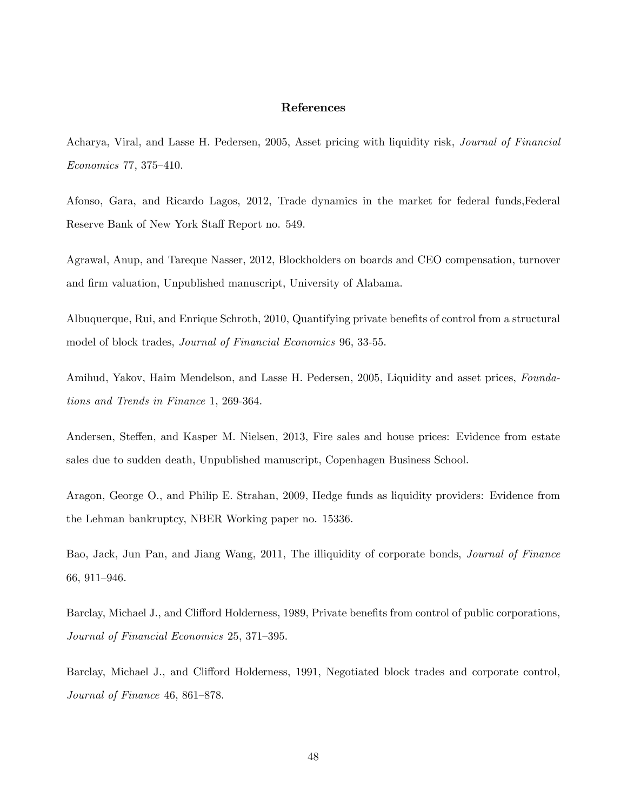# References

Acharya, Viral, and Lasse H. Pedersen, 2005, Asset pricing with liquidity risk, Journal of Financial Economics 77, 375-410.

Afonso, Gara, and Ricardo Lagos, 2012, Trade dynamics in the market for federal funds,Federal Reserve Bank of New York Staff Report no. 549.

Agrawal, Anup, and Tareque Nasser, 2012, Blockholders on boards and CEO compensation, turnover and firm valuation, Unpublished manuscript, University of Alabama.

Albuquerque, Rui, and Enrique Schroth, 2010, Quantifying private benefits of control from a structural model of block trades, Journal of Financial Economics 96, 33-55.

Amihud, Yakov, Haim Mendelson, and Lasse H. Pedersen, 2005, Liquidity and asset prices, Foundations and Trends in Finance 1, 269-364.

Andersen, Steffen, and Kasper M. Nielsen, 2013, Fire sales and house prices: Evidence from estate sales due to sudden death, Unpublished manuscript, Copenhagen Business School.

Aragon, George O., and Philip E. Strahan, 2009, Hedge funds as liquidity providers: Evidence from the Lehman bankruptcy, NBER Working paper no. 15336.

Bao, Jack, Jun Pan, and Jiang Wang, 2011, The illiquidity of corporate bonds, Journal of Finance  $66, 911 - 946.$ 

Barclay, Michael J., and Clifford Holderness, 1989, Private benefits from control of public corporations, Journal of Financial Economics 25, 371-395.

Barclay, Michael J., and Clifford Holderness, 1991, Negotiated block trades and corporate control, Journal of Finance  $46, 861-878$ .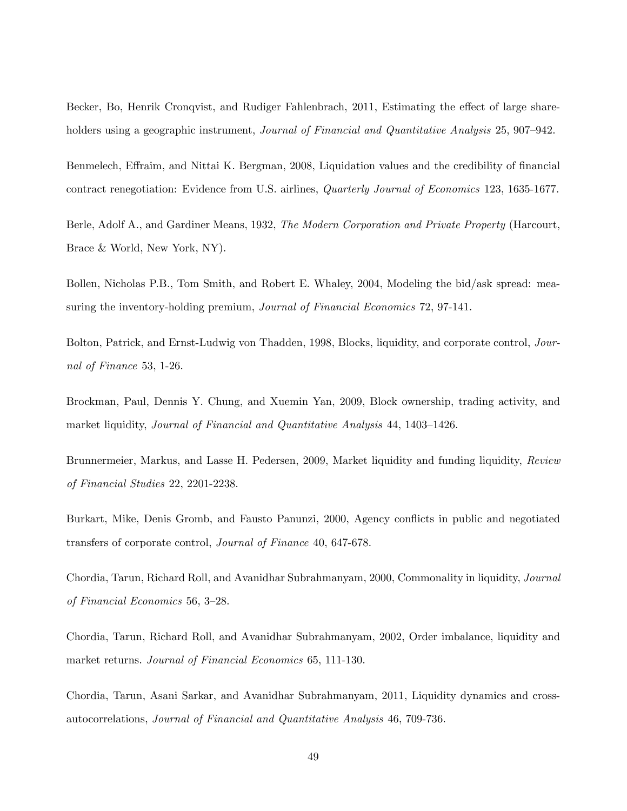Becker, Bo, Henrik Cronqvist, and Rudiger Fahlenbrach, 2011, Estimating the effect of large shareholders using a geographic instrument, *Journal of Financial and Quantitative Analysis* 25, 907–942.

Benmelech, Effraim, and Nittai K. Bergman, 2008, Liquidation values and the credibility of financial contract renegotiation: Evidence from U.S. airlines, Quarterly Journal of Economics 123, 1635-1677.

Berle, Adolf A., and Gardiner Means, 1932, The Modern Corporation and Private Property (Harcourt, Brace & World, New York, NY).

Bollen, Nicholas P.B., Tom Smith, and Robert E. Whaley, 2004, Modeling the bid/ask spread: measuring the inventory-holding premium, *Journal of Financial Economics* 72, 97-141.

Bolton, Patrick, and Ernst-Ludwig von Thadden, 1998, Blocks, liquidity, and corporate control, Journal of Finance 53, 1-26.

Brockman, Paul, Dennis Y. Chung, and Xuemin Yan, 2009, Block ownership, trading activity, and market liquidity, Journal of Financial and Quantitative Analysis 44, 1403-1426.

Brunnermeier, Markus, and Lasse H. Pedersen, 2009, Market liquidity and funding liquidity, Review of Financial Studies 22, 2201-2238.

Burkart, Mike, Denis Gromb, and Fausto Panunzi, 2000, Agency conflicts in public and negotiated transfers of corporate control, Journal of Finance 40, 647-678.

Chordia, Tarun, Richard Roll, and Avanidhar Subrahmanyam, 2000, Commonality in liquidity, Journal of Financial Economics 56,  $3-28$ .

Chordia, Tarun, Richard Roll, and Avanidhar Subrahmanyam, 2002, Order imbalance, liquidity and market returns. Journal of Financial Economics 65, 111-130.

Chordia, Tarun, Asani Sarkar, and Avanidhar Subrahmanyam, 2011, Liquidity dynamics and crossautocorrelations, Journal of Financial and Quantitative Analysis 46, 709-736.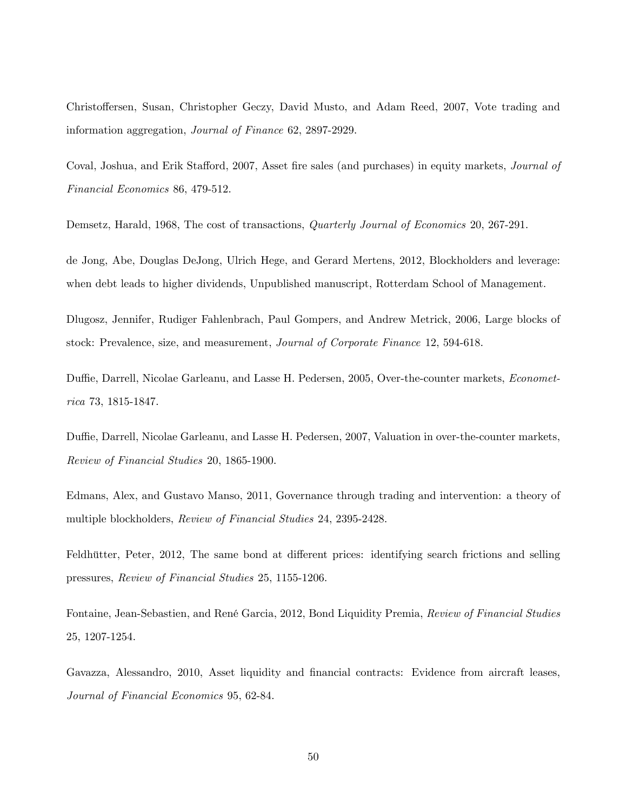Christoffersen, Susan, Christopher Geczy, David Musto, and Adam Reed, 2007, Vote trading and information aggregation, Journal of Finance 62, 2897-2929.

Coval, Joshua, and Erik Stafford, 2007, Asset fire sales (and purchases) in equity markets, *Journal of* Financial Economics 86, 479-512.

Demsetz, Harald, 1968, The cost of transactions, *Quarterly Journal of Economics* 20, 267-291.

de Jong, Abe, Douglas DeJong, Ulrich Hege, and Gerard Mertens, 2012, Blockholders and leverage: when debt leads to higher dividends, Unpublished manuscript, Rotterdam School of Management.

Dlugosz, Jennifer, Rudiger Fahlenbrach, Paul Gompers, and Andrew Metrick, 2006, Large blocks of stock: Prevalence, size, and measurement, Journal of Corporate Finance 12, 594-618.

Duffie, Darrell, Nicolae Garleanu, and Lasse H. Pedersen, 2005, Over-the-counter markets, *Economet*rica 73, 1815-1847.

Duffie, Darrell, Nicolae Garleanu, and Lasse H. Pedersen, 2007, Valuation in over-the-counter markets, Review of Financial Studies 20, 1865-1900.

Edmans, Alex, and Gustavo Manso, 2011, Governance through trading and intervention: a theory of multiple blockholders, Review of Financial Studies 24, 2395-2428.

Feldhütter, Peter, 2012, The same bond at different prices: identifying search frictions and selling pressures, Review of Financial Studies 25, 1155-1206.

Fontaine, Jean-Sebastien, and René Garcia, 2012, Bond Liquidity Premia, Review of Financial Studies 25, 1207-1254.

Gavazza, Alessandro, 2010, Asset liquidity and financial contracts: Evidence from aircraft leases, Journal of Financial Economics 95, 62-84.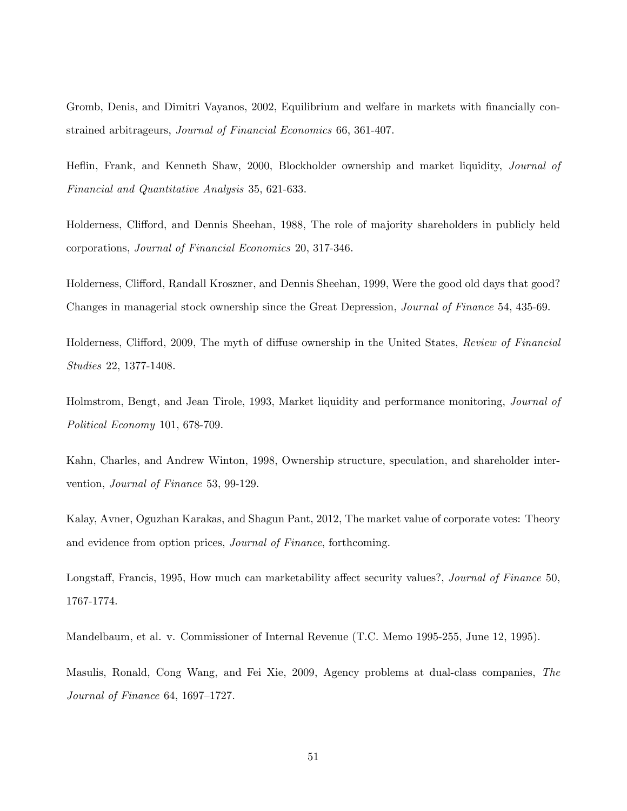Gromb, Denis, and Dimitri Vayanos, 2002, Equilibrium and welfare in markets with financially constrained arbitrageurs, Journal of Financial Economics 66, 361-407.

Heflin, Frank, and Kenneth Shaw, 2000, Blockholder ownership and market liquidity, *Journal of* Financial and Quantitative Analysis 35, 621-633.

Holderness, Clifford, and Dennis Sheehan, 1988, The role of majority shareholders in publicly held corporations, Journal of Financial Economics 20, 317-346.

Holderness, Clifford, Randall Kroszner, and Dennis Sheehan, 1999, Were the good old days that good? Changes in managerial stock ownership since the Great Depression, Journal of Finance 54, 435-69.

Holderness, Clifford, 2009, The myth of diffuse ownership in the United States, Review of Financial Studies 22, 1377-1408.

Holmstrom, Bengt, and Jean Tirole, 1993, Market liquidity and performance monitoring, Journal of Political Economy 101, 678-709.

Kahn, Charles, and Andrew Winton, 1998, Ownership structure, speculation, and shareholder intervention, Journal of Finance 53, 99-129.

Kalay, Avner, Oguzhan Karakas, and Shagun Pant, 2012, The market value of corporate votes: Theory and evidence from option prices, Journal of Finance, forthcoming.

Longstaff, Francis, 1995, How much can marketability affect security values?, Journal of Finance 50, 1767-1774.

Mandelbaum, et al. v. Commissioner of Internal Revenue (T.C. Memo 1995-255, June 12, 1995).

Masulis, Ronald, Cong Wang, and Fei Xie, 2009, Agency problems at dual-class companies, The Journal of Finance 64,  $1697-1727$ .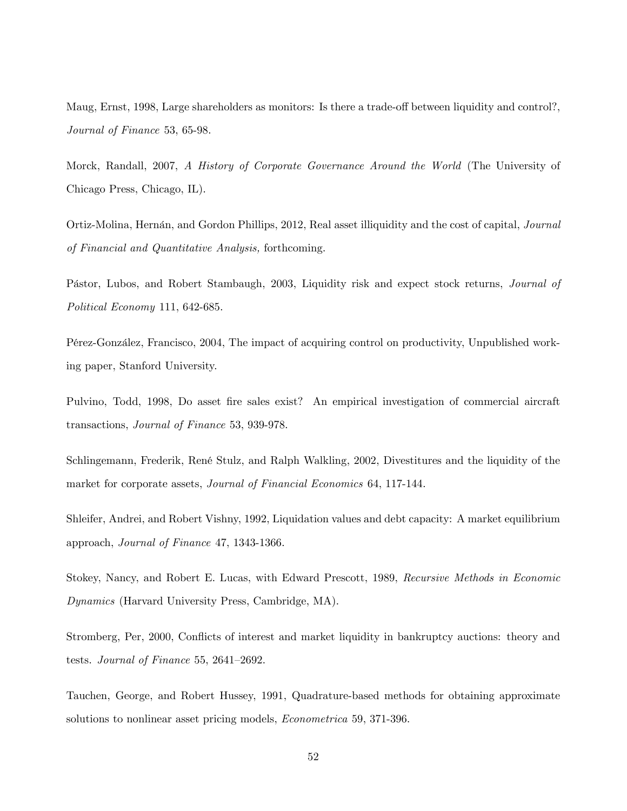Maug, Ernst, 1998, Large shareholders as monitors: Is there a trade-off between liquidity and control?, Journal of Finance 53, 65-98.

Morck, Randall, 2007, A History of Corporate Governance Around the World (The University of Chicago Press, Chicago, IL).

Ortiz-Molina, Hernán, and Gordon Phillips, 2012, Real asset illiquidity and the cost of capital, *Journal* of Financial and Quantitative Analysis, forthcoming.

Pástor, Lubos, and Robert Stambaugh, 2003, Liquidity risk and expect stock returns, *Journal of* Political Economy 111, 642-685.

Pérez-González, Francisco, 2004, The impact of acquiring control on productivity, Unpublished working paper, Stanford University.

Pulvino, Todd, 1998, Do asset fire sales exist? An empirical investigation of commercial aircraft transactions, Journal of Finance 53, 939-978.

Schlingemann, Frederik, RenÈ Stulz, and Ralph Walkling, 2002, Divestitures and the liquidity of the market for corporate assets, Journal of Financial Economics 64, 117-144.

Shleifer, Andrei, and Robert Vishny, 1992, Liquidation values and debt capacity: A market equilibrium approach, Journal of Finance 47, 1343-1366.

Stokey, Nancy, and Robert E. Lucas, with Edward Prescott, 1989, Recursive Methods in Economic Dynamics (Harvard University Press, Cambridge, MA).

Stromberg, Per, 2000, Conflicts of interest and market liquidity in bankruptcy auctions: theory and tests. Journal of Finance 55, 2641-2692.

Tauchen, George, and Robert Hussey, 1991, Quadrature-based methods for obtaining approximate solutions to nonlinear asset pricing models, *Econometrica* 59, 371-396.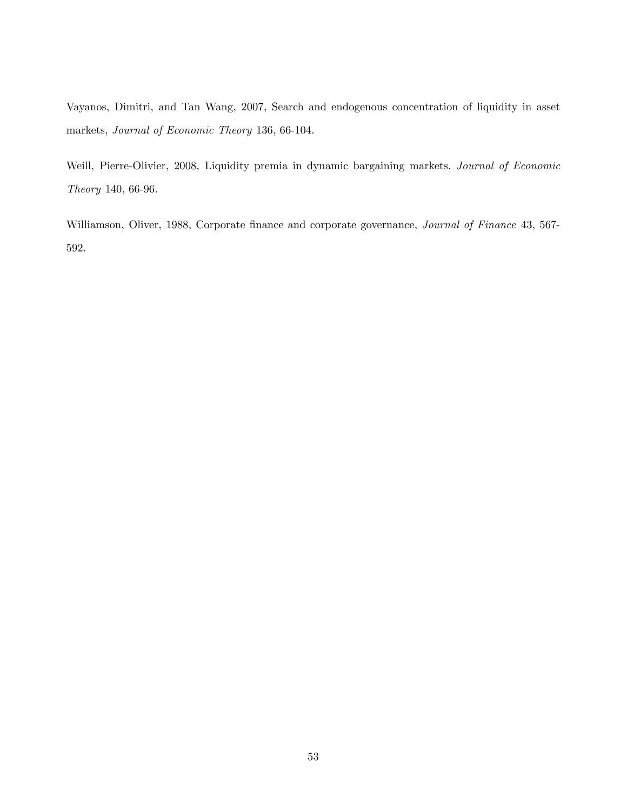Vayanos, Dimitri, and Tan Wang, 2007, Search and endogenous concentration of liquidity in asset markets, Journal of Economic Theory 136, 66-104.

Weill, Pierre-Olivier, 2008, Liquidity premia in dynamic bargaining markets, Journal of Economic Theory 140, 66-96.

Williamson, Oliver, 1988, Corporate finance and corporate governance, Journal of Finance 43, 567-592.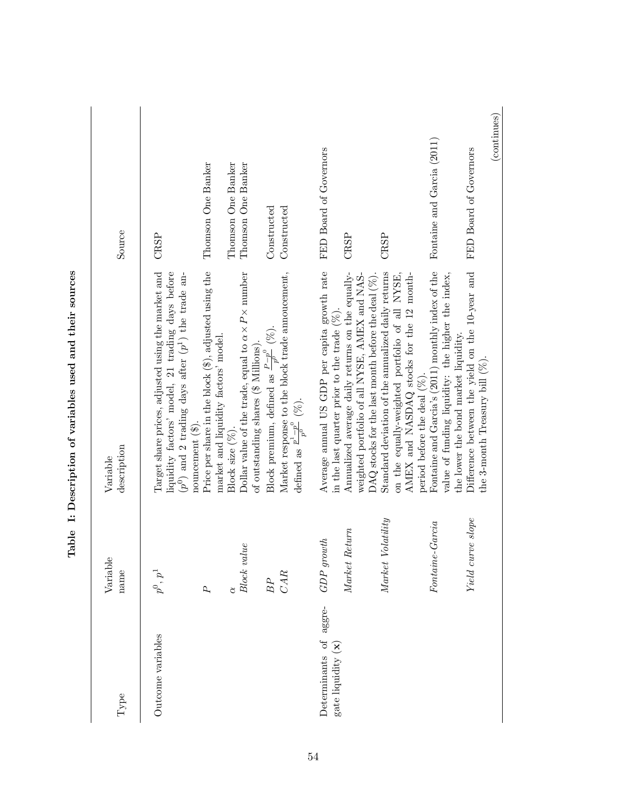| Type                                            | Variable<br>name                   | description<br>Variable                                                                                                                                                                                           | Source                                                         |
|-------------------------------------------------|------------------------------------|-------------------------------------------------------------------------------------------------------------------------------------------------------------------------------------------------------------------|----------------------------------------------------------------|
| Outcome variables                               |                                    | liquidity factors' model, 21 trading days before<br>Target share prices, adjusted using the market and<br>$(p^0)$ and 2 trading days after $(p^1)$ the trade an-<br>nouncement (\$)                               | CRSP                                                           |
|                                                 | Block value<br>p<br>₫              | Price per share in the block (\$), adjusted using the<br>Dollar value of the trade, equal to $\alpha \times P \times$ number<br>market and liquidity factors' model.<br>Block size (%).                           | Thomson One Banker<br>Thomson One Banker<br>Thomson One Banker |
|                                                 | CAR<br>BP                          | Market response to the block trade annoucement,<br>Block premium, defined as $\frac{P-p^0}{p^0}$ (%).<br>of outstanding shares (\$ Millions).<br>defined as $\frac{p^1-p^0}{p^0}$ (%).                            | Constructed<br>Constructed                                     |
| aggre-<br>Determinants of<br>gate liquidity (x) | Return<br>$GDP$ $growth$<br>Market | Average annual US GDP per capita growth rate<br>Annualized average daily returns on the equally-<br>weighted portfolio of all NYSE, AMEX and NAS<br>in the last quarter prior to the trade $(\%).$                | FED Board of Governors<br>CRSP                                 |
|                                                 | Volatility<br>Market               | Standard deviation of the annualized daily returns<br>$\texttt{DAQ}$ stocks for the last month before the deal (%).<br>on the equally-weighted portfolio of all NYSE,<br>AMEX and NASDAQ stocks for the 12 month- | CRSP                                                           |
|                                                 | $Fontaine-Garcia$                  | Fontaine and Garcia's (2011) monthly index of the<br>value of funding liquidity: the higher the index,<br>period before the deal $(%)$                                                                            | Fontaine and Garcia (2011)                                     |
|                                                 | Yield curve slope                  | Difference between the yield on the 10-year and<br>the lower the bond market liquidity.<br>the 3-month Treasury bill $(\%)$ .                                                                                     | (continues)<br>FED Board of Governors                          |

Table I: Description of variables used and their sources Table I: Description of variables used and their sources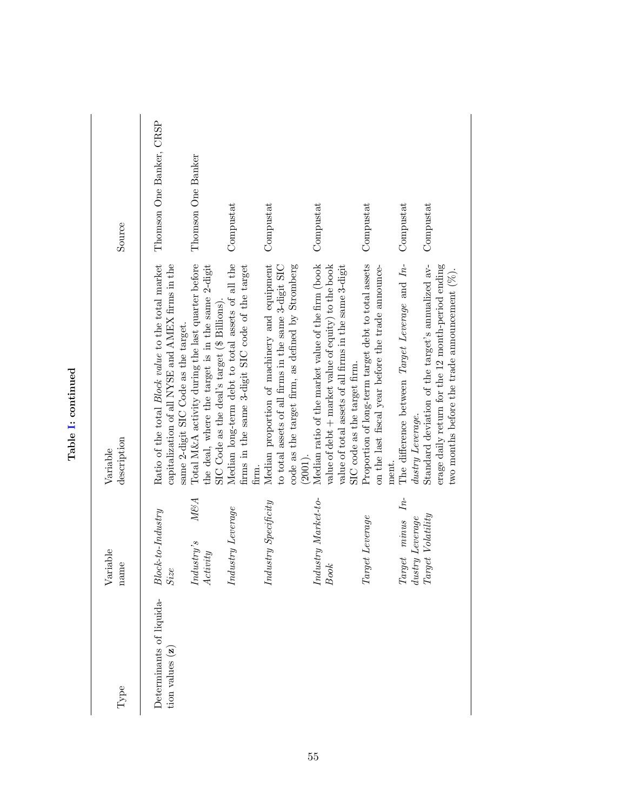|                          | Variable                           | Variable                                                                                                  | Source                   |
|--------------------------|------------------------------------|-----------------------------------------------------------------------------------------------------------|--------------------------|
| Type                     | name                               | description                                                                                               |                          |
| Determinants of liquida- | $Block-to-Industry$                | Ratio of the total Block value to the total market                                                        | Thomson One Banker, CRSP |
| tion values (z)          | Size                               | capitalization of all NYSE and AMEX firms in the<br>same 2-digit SIC Code as the target.                  |                          |
|                          | $M\&A$<br>$Industry's$<br>Activity | Total M&A activity during the last quarter before<br>the deal, where the target is in the same 2-digit    | Thomson One Banker       |
|                          |                                    | SIC Code as the deal's target (\$ Billions).                                                              |                          |
|                          | Industry Leverage                  | Median long-term debt to total assets of all the                                                          | Compustat                |
|                          |                                    | firms in the same 3-digit SIC code of the target<br>firm.                                                 |                          |
|                          | $Industry\ Specificity$            | Median proportion of machinery and equipment                                                              | Compustat                |
|                          |                                    | to total assets of all firms in the same 3-digit SIC                                                      |                          |
|                          |                                    | code as the target firm, as defined by Stromberg                                                          |                          |
|                          |                                    | (2001).                                                                                                   |                          |
|                          | Industry Market-to-                | Median ratio of the market value of the firm (book                                                        | Compustat                |
|                          | $Book$                             | value of debt + market value of equity) to the book                                                       |                          |
|                          |                                    | value of total assets of all firms in the same 3-digit                                                    |                          |
|                          |                                    | SIC code as the target firm.                                                                              |                          |
|                          | Target Leverage                    | Proportion of long-term target debt to total assets<br>on the last fiscal year before the trade announce- | Computat                 |
|                          |                                    | ment.                                                                                                     |                          |
|                          | $In-$<br>Target minus              | The difference between Target Leverage and In-                                                            | Compustat                |
|                          | $dustry \; Leverage$               | dustry Leverage.                                                                                          |                          |
|                          | Target Volatility                  | Standard deviation of the target's annualized av-                                                         | Compustat                |
|                          |                                    | erage daily return for the 12 month-period ending                                                         |                          |
|                          |                                    | two months before the trade announcement $(\%).$                                                          |                          |

| í |  |
|---|--|
|   |  |
| c |  |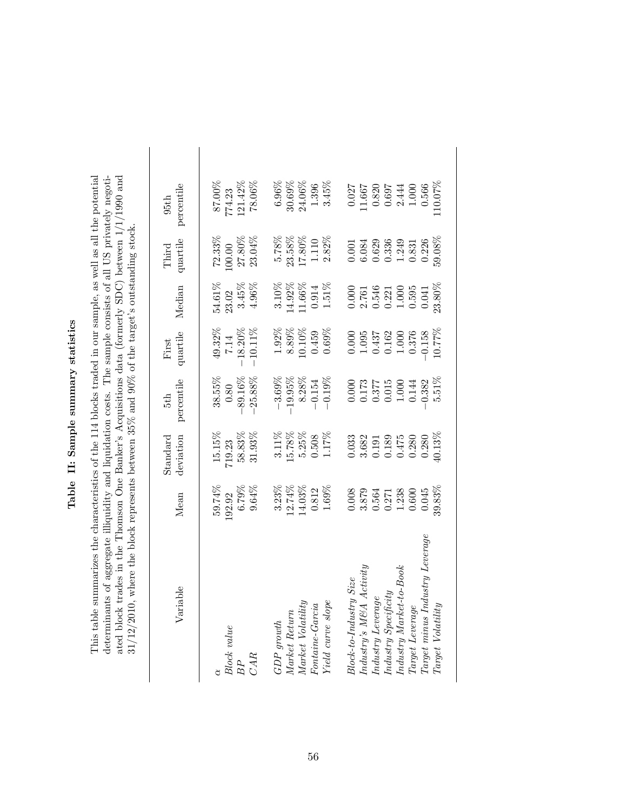# Table II: Sample summary statistics Table II: Sample summary statistics

This table summarizes the characteristics of the 114 blocks traded in our sample, as well as all the potential determinants of aggregate illiquidity and liquidation costs. The sample consists of all US privately negotiate This table summarizes the characteristics of the 114 blocks traded in our sample, as well as all the potential determinants of aggregate illiquidity and liquidation costs. The sample consists of all US privately negotiated block trades in the Thomson One Bankerís Acquisitions data (formerly SDC) between 1/1/1990 and  $31/12/2010$ , where the block represents between  $35\%$  and  $90\%$  of the target's outstanding stock.

| $\begin{array}{c} 15.15\% \\ 719.23 \\ 58.83\% \\ 31.93\% \end{array}$<br>$\begin{array}{c} 3.11\% \\ 15.78\% \\ 5.25\% \\ 0.508 \\ 1.17\% \end{array}$ | $\begin{array}{r} 38.55\% \\ 0.80 \\ -89.16\% \\ -25.88\% \end{array}$<br>$\begin{array}{r} -3.69\% \\ -19.95\% \\ 8.28\% \\ -0.154 \\ -0.19\% \end{array}$ | $\begin{array}{r} 49.32\% \\ 7.14 \\ -18.20\% \\ -10.11\% \end{array}$        | $\begin{array}{l} 54.61\% \\ 23.02 \\ 3.45\% \\ 4.96\% \end{array}$                                     | $\begin{array}{c} 72.33\% \\ 100.00 \\ 27.80\% \\ 23.04\% \end{array}$                                           | $\begin{array}{l} 87.00\% \\ 774.23 \\ 121.42\% \\ 78.06\% \end{array}$                                          |
|---------------------------------------------------------------------------------------------------------------------------------------------------------|-------------------------------------------------------------------------------------------------------------------------------------------------------------|-------------------------------------------------------------------------------|---------------------------------------------------------------------------------------------------------|------------------------------------------------------------------------------------------------------------------|------------------------------------------------------------------------------------------------------------------|
|                                                                                                                                                         |                                                                                                                                                             |                                                                               |                                                                                                         |                                                                                                                  |                                                                                                                  |
|                                                                                                                                                         |                                                                                                                                                             |                                                                               |                                                                                                         |                                                                                                                  |                                                                                                                  |
|                                                                                                                                                         |                                                                                                                                                             |                                                                               |                                                                                                         |                                                                                                                  | $\begin{array}{c} 6.96\% \\ 30.69\% \\ 24.06\% \\ 1.396 \\ 3.45\% \end{array}$                                   |
|                                                                                                                                                         |                                                                                                                                                             | $\begin{array}{c} 1.92\% \\ 8.89\% \\ 10.10\% \\ 0.459 \\ 0.69\% \end{array}$ | $\begin{array}{c} 3.10\% \\ 14.92\% \\ 11.66\% \\ 0.914 \\ 1.51\% \end{array}$                          | $\begin{array}{c} 5.78\% \\ 23.58\% \\ 17.80\% \\ 1.110 \\ 2.82\% \end{array}$                                   |                                                                                                                  |
|                                                                                                                                                         |                                                                                                                                                             |                                                                               |                                                                                                         |                                                                                                                  |                                                                                                                  |
|                                                                                                                                                         |                                                                                                                                                             |                                                                               |                                                                                                         |                                                                                                                  |                                                                                                                  |
|                                                                                                                                                         |                                                                                                                                                             |                                                                               |                                                                                                         |                                                                                                                  | $\begin{array}{r} 0.027 \\ 11.667 \\ 0.820 \\ 0.697 \\ 2.444 \\ 1.000 \\ 0.566 \\ \end{array}$                   |
| $\begin{array}{c} 0.033 \\ 3.682 \\ 0.191 \\ 0.189 \\ 0.475 \\ 0.280 \\ 0.230 \\ 0.13\% \end{array}$                                                    | $\begin{array}{c} 0.000 \\ 0.173 \\ 0.377 \\ 0.015 \\ 0.015 \\ 1.000 \\ -0.382 \\ 0.144 \\ -0.382 \\ 5.51\% \end{array}$                                    |                                                                               | $\begin{array}{c} 0.000 \\ 1.095 \\ 0.437 \\ 0.162 \\ 1.000 \\ 1.000 \\ -0.158 \\ 0.376 \\ \end{array}$ | $\begin{array}{l} 0.000 \\ 2.761 \\ 0.546 \\ 0.221 \\ 1.000 \\ 1.000 \\ 0.595 \\ 0.041 \\ 0.03880\% \end{array}$ | 59.08%<br>$\begin{array}{c} 0.001 \\ 6.084 \\ 6.029 \\ 0.636 \\ 0.336 \\ 1.249 \\ 0.831 \\ 0.030 \\ \end{array}$ |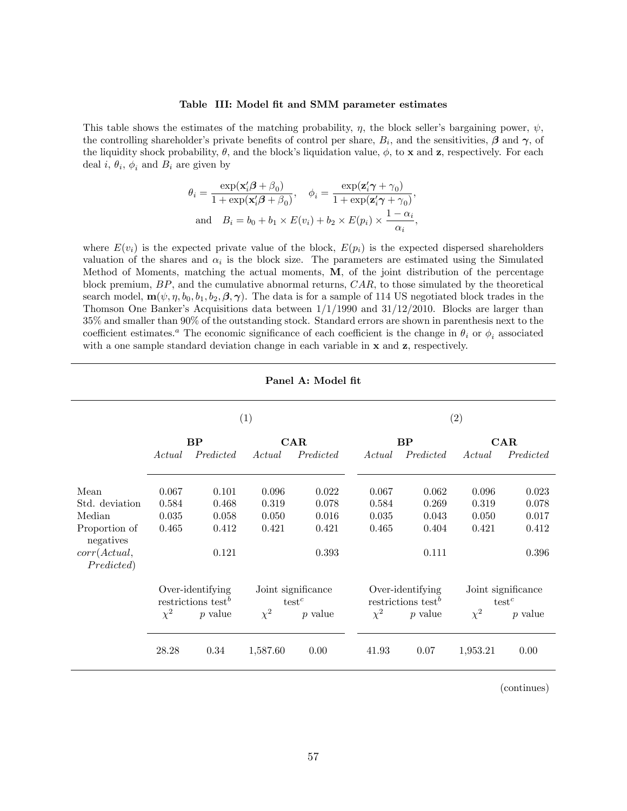#### <span id="page-58-0"></span>Table III: Model fit and SMM parameter estimates

This table shows the estimates of the matching probability,  $\eta$ , the block seller's bargaining power,  $\psi$ , the controlling shareholder's private benefits of control per share,  $B_i$ , and the sensitivities,  $\beta$  and  $\gamma$ , of the liquidity shock probability,  $\theta$ , and the block's liquidation value,  $\phi$ , to x and z, respectively. For each deal *i*,  $\theta_i$ ,  $\phi_i$  and  $B_i$  are given by

$$
\theta_i = \frac{\exp(\mathbf{x}_i'\boldsymbol{\beta} + \beta_0)}{1 + \exp(\mathbf{x}_i'\boldsymbol{\beta} + \beta_0)}, \quad \phi_i = \frac{\exp(\mathbf{z}_i'\boldsymbol{\gamma} + \gamma_0)}{1 + \exp(\mathbf{z}_i'\boldsymbol{\gamma} + \gamma_0)},
$$
  
and 
$$
B_i = b_0 + b_1 \times E(v_i) + b_2 \times E(p_i) \times \frac{1 - \alpha_i}{\alpha_i},
$$

where  $E(v_i)$  is the expected private value of the block,  $E(p_i)$  is the expected dispersed shareholders valuation of the shares and  $\alpha_i$  is the block size. The parameters are estimated using the Simulated Method of Moments, matching the actual moments,  $M$ , of the joint distribution of the percentage block premium,  $BP$ , and the cumulative abnormal returns,  $CAR$ , to those simulated by the theoretical search model,  $\mathbf{m}(\psi, \eta, b_0, b_1, b_2, \beta, \gamma)$ . The data is for a sample of 114 US negotiated block trades in the Thomson One Banker's Acquisitions data between  $1/1/1990$  and  $31/12/2010$ . Blocks are larger than 35% and smaller than 90% of the outstanding stock. Standard errors are shown in parenthesis next to the coefficient estimates.<sup>a</sup> The economic significance of each coefficient is the change in  $\theta_i$  or  $\phi_i$  associated with a one sample standard deviation change in each variable in **x** and **z**, respectively.

|                                         |          |                                                    | (1)      | (2)                                   |          |                                                    |          |                                       |  |
|-----------------------------------------|----------|----------------------------------------------------|----------|---------------------------------------|----------|----------------------------------------------------|----------|---------------------------------------|--|
|                                         |          | BP                                                 |          | $\rm CAR$                             |          | BP                                                 |          | $\rm CAR$                             |  |
|                                         | Actual   | Predicted                                          | Actual   | Predicted                             | Actual   | Predicted                                          | Actual   | Predicted                             |  |
|                                         |          |                                                    |          |                                       |          |                                                    |          |                                       |  |
| Mean                                    | 0.067    | 0.101                                              | 0.096    | 0.022                                 | 0.067    | 0.062                                              | 0.096    | 0.023                                 |  |
| Std. deviation                          | 0.584    | 0.468                                              | 0.319    | 0.078                                 | 0.584    | 0.269                                              | 0.319    | 0.078                                 |  |
| Median                                  | 0.035    | 0.058                                              | 0.050    | 0.016                                 | 0.035    | 0.043                                              | 0.050    | 0.017                                 |  |
| Proportion of                           | 0.465    | 0.412                                              | 0.421    | 0.421                                 | 0.465    | 0.404                                              | 0.421    | 0.412                                 |  |
| negatives<br>corr(Actual,<br>Predicted) |          | 0.121                                              |          | 0.393                                 |          | 0.111                                              |          | 0.396                                 |  |
|                                         |          | Over-identifying<br>restrictions test <sup>b</sup> |          | Joint significance<br>$\text{test}^c$ |          | Over-identifying<br>restrictions test <sup>b</sup> |          | Joint significance<br>$\text{test}^c$ |  |
|                                         | $\chi^2$ | $p$ value                                          | $\chi^2$ | p value                               | $\chi^2$ | p value                                            | $\chi^2$ | p value                               |  |
|                                         | 28.28    | 0.34                                               | 1,587.60 | 0.00                                  | 41.93    | 0.07                                               | 1,953.21 | 0.00                                  |  |

Panel A: Model fit

(continues)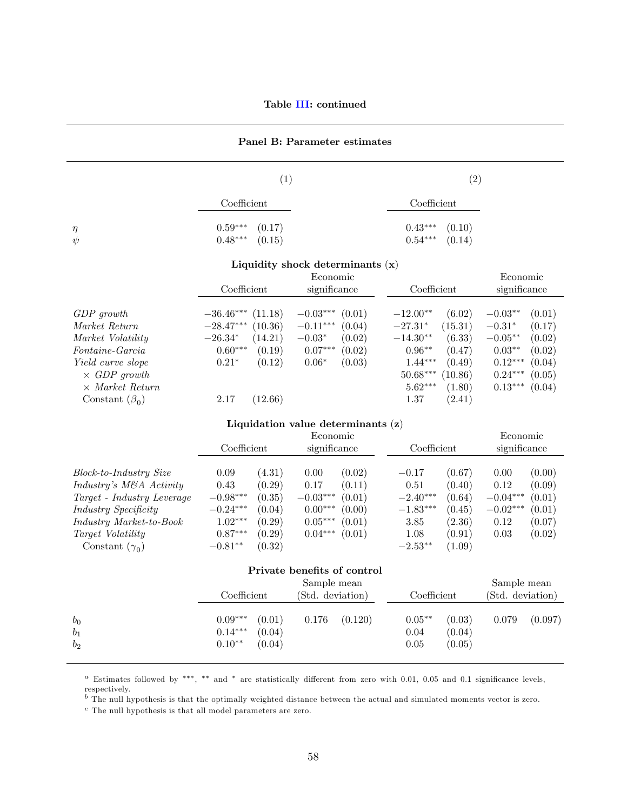#### Panel B: Parameter estimates

|                  | $\perp$                                  | $\left( 2\right)$                        |
|------------------|------------------------------------------|------------------------------------------|
|                  | Coefficient                              | Coefficient                              |
| $\eta$<br>$\psi$ | $0.59***$ $(0.17)$<br>$0.48***$ $(0.15)$ | $0.43***$ $(0.10)$<br>$0.54***$ $(0.14)$ |

# Liquidity shock determinants  $(x)$ <br>Economic

|                        |                        | Economic             |                       | Economic            |
|------------------------|------------------------|----------------------|-----------------------|---------------------|
|                        | Coefficient            | significance         | Coefficient           | significance        |
|                        |                        |                      |                       |                     |
| $GDP$ growth           | $-36.46***$<br>(11.18) | $-0.03***$<br>(0.01) | $-12.00**$<br>(6.02)  | (0.01)<br>$-0.03**$ |
| Market Return          | $-28.47***$<br>(10.36) | $-0.11***$<br>(0.04) | $-27.31*$<br>(15.31)  | (0.17)<br>$-0.31*$  |
| Market Volatility      | (14.21)<br>$-26.34*$   | (0.02)<br>$-0.03*$   | $-14.30**$<br>(6.33)  | (0.02)<br>$-0.05**$ |
| <i>Fontaine-Garcia</i> | $0.60***$<br>(0.19)    | $0.07***$<br>(0.02)  | $0.96**$<br>(0.47)    | $0.03**$<br>(0.02)  |
| Yield curve slope      | $0.21*$<br>(0.12)      | $0.06*$<br>(0.03)    | $1.44***$<br>(0.49)   | $0.12***$<br>(0.04) |
| $\times$ GDP growth    |                        |                      | $50.68***$<br>(10.86) | $0.24***$<br>(0.05) |
| $\times$ Market Return |                        |                      | $5.62***$<br>(1.80)   | $0.13***$<br>(0.04) |
| Constant $(\beta_0)$   | (12.66)<br>2.17        |                      | (2.41)<br>1.37        |                     |

#### Liquidation value determinants (z)

|            |        |                       |        |                                    |        | Economic                                                       |        |
|------------|--------|-----------------------|--------|------------------------------------|--------|----------------------------------------------------------------|--------|
|            |        |                       |        |                                    |        | significance                                                   |        |
|            |        |                       |        |                                    |        |                                                                |        |
|            |        |                       |        | $-0.17$                            |        |                                                                | (0.00) |
| 0.43       | (0.29) | 0.17                  | (0.11) | 0.51                               | (0.40) | 0.12                                                           | (0.09) |
| $-0.98***$ | (0.35) | $-0.03***$            | (0.01) |                                    | (0.64) | $-0.04***$                                                     | (0.01) |
| $-0.24***$ | (0.04) | $0.00***$             | (0.00) |                                    | (0.45) | $-0.02***$                                                     | (0.01) |
| $1.02***$  | (0.29) | $0.05***$             | (0.01) | 3.85                               | (2.36) | 0.12                                                           | (0.07) |
| $0.87***$  | (0.29) | $0.04***$             | (0.01) | 1.08                               | (0.91) | 0.03                                                           | (0.02) |
| $-0.81**$  | (0.32) |                       |        |                                    | (1.09) |                                                                |        |
|            | 0.09   | Coefficient<br>(4.31) | 0.00   | Economic<br>significance<br>(0.02) |        | Coefficient<br>(0.67)<br>$-2.40***$<br>$-1.83***$<br>$-2.53**$ | 0.00   |

# Private benefits of control Sample mean Sample mean Coefficient (Std. deviation) Coefficient (Std. deviation)  $\begin{array}{ccccccccc} b_0 & 0.09^{***} & (0.01) & 0.176 & (0.120) & 0.05^{**} & (0.03) & 0.079 & (0.097) \ b_1 & 0.14^{***} & (0.04) & 0.04 & (0.04) & \end{array}$  $b_1$  0.14\*\*\* (0.04) 0.04 (0.04)  $b_2$  0.10<sup>\*\*</sup> (0.04) 0.05 (0.05)

<sup>a</sup> Estimates followed by \*\*\*, \*\* and \* are statistically different from zero with 0.01, 0.05 and 0.1 significance levels, respectively.

<sup>b</sup> The null hypothesis is that the optimally weighted distance between the actual and simulated moments vector is zero.

 $\ensuremath{^c}$  The null hypothesis is that all model parameters are zero.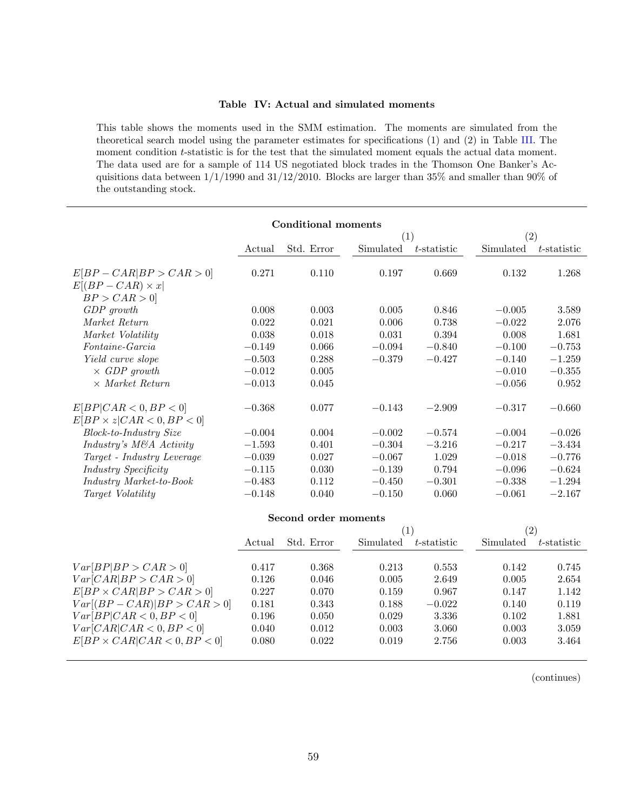#### <span id="page-60-0"></span>Table IV: Actual and simulated moments

This table shows the moments used in the SMM estimation. The moments are simulated from the theoretical search model using the parameter estimates for specifications  $(1)$  and  $(2)$  in Table [III.](#page-58-0) The moment condition t-statistic is for the test that the simulated moment equals the actual data moment. The data used are for a sample of 114 US negotiated block trades in the Thomson One Banker's Acquisitions data between 1/1/1990 and 31/12/2010. Blocks are larger than 35% and smaller than 90% of the outstanding stock.

|                                                                        |          | <b>Conditional moments</b> |           |                |           |                |
|------------------------------------------------------------------------|----------|----------------------------|-----------|----------------|-----------|----------------|
|                                                                        |          |                            | (1)       |                | (2)       |                |
|                                                                        | Actual   | Std. Error                 | Simulated | $t$ -statistic | Simulated | $t$ -statistic |
| $E[BP - CAR BP > CAR > 0]$<br>$E[(BP - CAR) \times x]$<br>BP > CAR > 0 | 0.271    | 0.110                      | 0.197     | 0.669          | 0.132     | 1.268          |
| $GDP$ growth                                                           | 0.008    | 0.003                      | 0.005     | 0.846          | $-0.005$  | 3.589          |
| Market Return                                                          | 0.022    | 0.021                      | 0.006     | 0.738          | $-0.022$  | 2.076          |
| Market Volatility                                                      | 0.038    | 0.018                      | 0.031     | 0.394          | 0.008     | 1.681          |
| Fontaine-Garcia                                                        | $-0.149$ | 0.066                      | $-0.094$  | $-0.840$       | $-0.100$  | $-0.753$       |
| Yield curve slope                                                      | $-0.503$ | 0.288                      | $-0.379$  | $-0.427$       | $-0.140$  | $-1.259$       |
| $\times$ GDP growth                                                    | $-0.012$ | 0.005                      |           |                | $-0.010$  | $-0.355$       |
| $\times$ Market Return                                                 | $-0.013$ | 0.045                      |           |                | $-0.056$  | 0.952          |
| E[BP CAR < 0, BP < 0]<br>$E[BP \times z CAR < 0, BP < 0]$              | $-0.368$ | 0.077                      | $-0.143$  | $-2.909$       | $-0.317$  | $-0.660$       |
| <b>Block-to-Industry Size</b>                                          | $-0.004$ | 0.004                      | $-0.002$  | $-0.574$       | $-0.004$  | $-0.026$       |
| Industry's M&A Activity                                                | $-1.593$ | 0.401                      | $-0.304$  | $-3.216$       | $-0.217$  | $-3.434$       |
| Target - Industry Leverage                                             | $-0.039$ | 0.027                      | $-0.067$  | 1.029          | $-0.018$  | $-0.776$       |
| <b>Industry Specificity</b>                                            | $-0.115$ | 0.030                      | $-0.139$  | 0.794          | $-0.096$  | $-0.624$       |
| Industry Market-to-Book                                                | $-0.483$ | 0.112                      | $-0.450$  | $-0.301$       | $-0.338$  | $-1.294$       |
| Target Volatility                                                      | $-0.148$ | 0.040                      | $-0.150$  | 0.060          | $-0.061$  | $-2.167$       |
|                                                                        |          | Second order moments       |           |                |           |                |
|                                                                        |          |                            | (1)       |                | (2)       |                |
|                                                                        | Actual   | Std. Error                 | Simulated | $t$ -statistic | Simulated | $t$ -statistic |
| Var[BP BP > CAR > 0]                                                   | 0.417    | 0.368                      | 0.213     | 0.553          | 0.142     | 0.745          |
| Var[CAR BP > CAR > 0]                                                  | 0.126    | 0.046                      | 0.005     | 2.649          | 0.005     | 2.654          |
| $E[BP \times CAR BP > CAR > 0]$                                        | 0.227    | 0.070                      | 0.159     | 0.967          | 0.147     | 1.142          |
| $Var[(BP - CAR) BP > CAR > 0]$                                         | 0.181    | 0.343                      | 0.188     | $-0.022$       | 0.140     | 0.119          |
|                                                                        |          |                            |           |                |           |                |

(continues)

 $Var[BP|CAR < 0, BP < 0]$  0.196 0.050 0.029 3.336 0.102 1.881<br>  $Var[CAR|CAR < 0, BP < 0]$  0.040 0.012 0.003 3.060 0.003 3.059  $Var[CAR | CAR = 0, BP < 0]$  0.040 0.012 0.003 3.060 0.003 3.059<br> $E[BP \times CAR | CAR = 0, BP < 0]$  0.080 0.022 0.019 2.756 0.003 3.464  $E[BP \times CAR|CAR < 0, BP < 0]$  0.080 0.022 0.019 2.756 0.003 3.464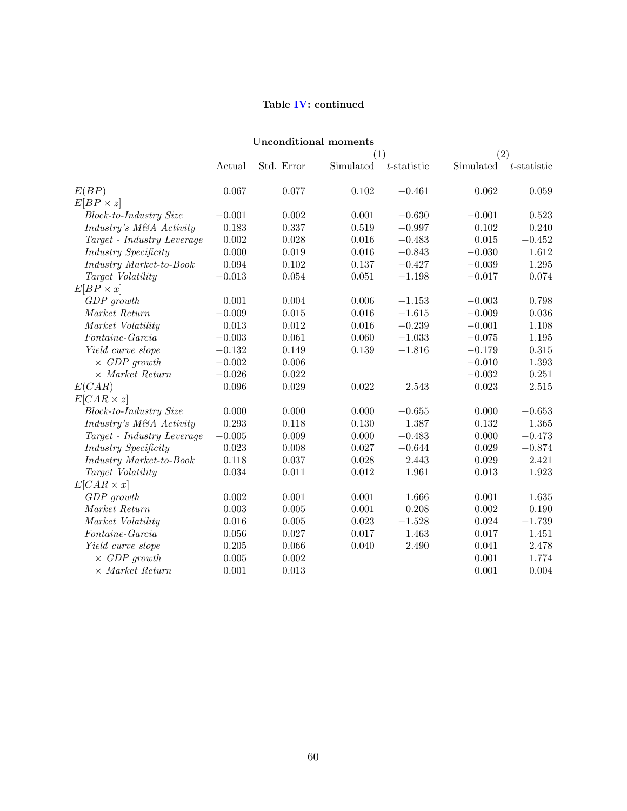|                                   |          | <b>Unconditional moments</b> |           |                |           |                |
|-----------------------------------|----------|------------------------------|-----------|----------------|-----------|----------------|
|                                   |          |                              | (1)       |                | (2)       |                |
|                                   | Actual   | Std. Error                   | Simulated | $t$ -statistic | Simulated | $t$ -statistic |
|                                   |          |                              |           |                |           |                |
| E(BP)                             | 0.067    | 0.077                        | 0.102     | $-0.461$       | 0.062     | 0.059          |
| $E[BP \times z]$                  |          |                              |           |                |           |                |
| <b>Block-to-Industry Size</b>     | $-0.001$ | 0.002                        | 0.001     | $-0.630$       | $-0.001$  | 0.523          |
| Industry's M&A Activity           | 0.183    | 0.337                        | 0.519     | $-0.997$       | 0.102     | 0.240          |
| Target - Industry Leverage        | 0.002    | 0.028                        | 0.016     | $-0.483$       | 0.015     | $-0.452$       |
| <b>Industry Specificity</b>       | 0.000    | 0.019                        | 0.016     | $-0.843$       | $-0.030$  | 1.612          |
| Industry Market-to-Book           | 0.094    | 0.102                        | 0.137     | $-0.427$       | $-0.039$  | 1.295          |
| Target Volatility                 | $-0.013$ | 0.054                        | 0.051     | $-1.198$       | $-0.017$  | 0.074          |
| $E[BP \times x]$                  |          |                              |           |                |           |                |
| $GDP$ growth                      | 0.001    | 0.004                        | 0.006     | $-1.153$       | $-0.003$  | 0.798          |
| Market Return                     | $-0.009$ | 0.015                        | 0.016     | $-1.615$       | $-0.009$  | 0.036          |
| Market Volatility                 | 0.013    | 0.012                        | 0.016     | $-0.239$       | $-0.001$  | 1.108          |
| Fontaine-Garcia                   | $-0.003$ | 0.061                        | 0.060     | $-1.033$       | $-0.075$  | 1.195          |
| Yield curve slope                 | $-0.132$ | 0.149                        | 0.139     | $-1.816$       | $-0.179$  | 0.315          |
| $\times$ GDP growth               | $-0.002$ | 0.006                        |           |                | $-0.010$  | 1.393          |
| $\times$ Market Return            | $-0.026$ | 0.022                        |           |                | $-0.032$  | 0.251          |
| E(CAR)                            | 0.096    | 0.029                        | 0.022     | 2.543          | 0.023     | 2.515          |
| $E[CAR \times z]$                 |          |                              |           |                |           |                |
| <b>Block-to-Industry Size</b>     | 0.000    | 0.000                        | 0.000     | $-0.655$       | 0.000     | $-0.653$       |
| Industry's M&A Activity           | 0.293    | 0.118                        | 0.130     | 1.387          | 0.132     | 1.365          |
| Target - Industry Leverage        | $-0.005$ | 0.009                        | 0.000     | $-0.483$       | 0.000     | $-0.473$       |
| <b>Industry Specificity</b>       | 0.023    | 0.008                        | 0.027     | $-0.644$       | 0.029     | $-0.874$       |
| Industry Market-to-Book           | 0.118    | 0.037                        | 0.028     | 2.443          | 0.029     | 2.421          |
| Target Volatility                 | 0.034    | 0.011                        | 0.012     | 1.961          | 0.013     | 1.923          |
| $E[CAR \times x]$                 |          |                              |           |                |           |                |
| $GDP$ growth                      | 0.002    | 0.001                        | 0.001     | 1.666          | 0.001     | 1.635          |
| Market Return                     | 0.003    | 0.005                        | 0.001     | 0.208          | 0.002     | 0.190          |
| Market Volatility                 | 0.016    | 0.005                        | 0.023     | $-1.528\,$     | 0.024     | $-1.739$       |
| $\label{eq:font} Fontaine-Garcia$ | 0.056    | 0.027                        | 0.017     | 1.463          | 0.017     | 1.451          |
| Yield curve slope                 | 0.205    | 0.066                        | 0.040     | 2.490          | 0.041     | 2.478          |
| $\times$ GDP growth               | 0.005    | 0.002                        |           |                | 0.001     | 1.774          |
| $\times$ Market Return            | 0.001    | 0.013                        |           |                | 0.001     | 0.004          |
|                                   |          |                              |           |                |           |                |

# Table [IV:](#page-60-0) continued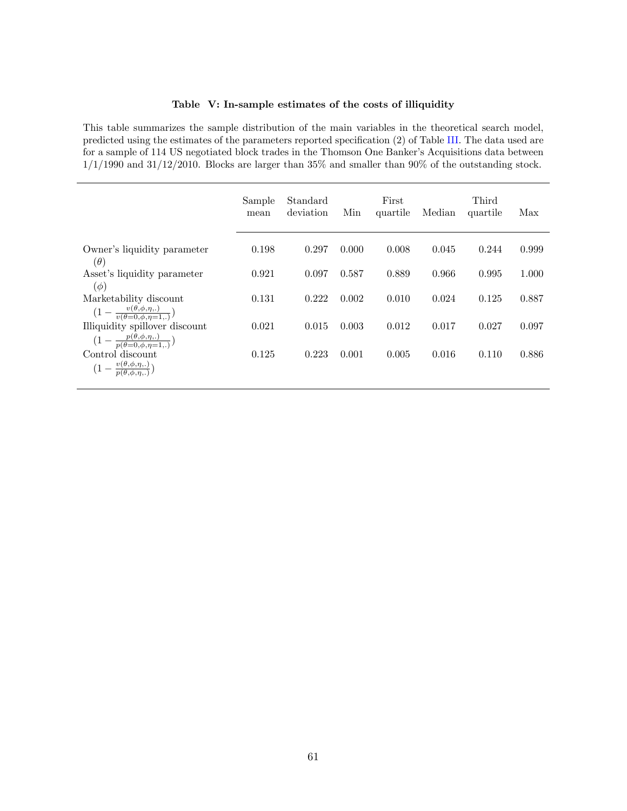# Table V: In-sample estimates of the costs of illiquidity

This table summarizes the sample distribution of the main variables in the theoretical search model, predicted using the estimates of the parameters reported specification  $(2)$  of Table [III.](#page-58-0) The data used are for a sample of 114 US negotiated block trades in the Thomson One Banker's Acquisitions data between  $1/1/1990$  and  $31/12/2010$ . Blocks are larger than  $35\%$  and smaller than  $90\%$  of the outstanding stock.

|                                                                                                            | Sample<br>mean | Standard<br>deviation | Min   | First<br>quartile | Median | Third<br>quartile | Max   |
|------------------------------------------------------------------------------------------------------------|----------------|-----------------------|-------|-------------------|--------|-------------------|-------|
| Owner's liquidity parameter<br>$(\theta)$                                                                  | 0.198          | 0.297                 | 0.000 | 0.008             | 0.045  | 0.244             | 0.999 |
| Asset's liquidity parameter<br>$(\phi)$                                                                    | 0.921          | 0.097                 | 0.587 | 0.889             | 0.966  | 0.995             | 1.000 |
| Marketability discount<br>$\left(1-\frac{v(\theta,\phi,\eta,.)}{v(\theta=0,\phi,\eta=1,.)}\right)$         | 0.131          | 0.222                 | 0.002 | 0.010             | 0.024  | 0.125             | 0.887 |
| Illiquidity spillover discount<br>$\left(1-\frac{p(\theta,\phi,\eta,.)}{p(\theta=0,\phi,\eta=1,.)}\right)$ | 0.021          | 0.015                 | 0.003 | 0.012             | 0.017  | 0.027             | 0.097 |
| Control discount<br>$(1-\frac{v(\theta,\phi,\eta,.)}{p(\theta,\phi,\eta,.)})$                              | 0.125          | 0.223                 | 0.001 | 0.005             | 0.016  | 0.110             | 0.886 |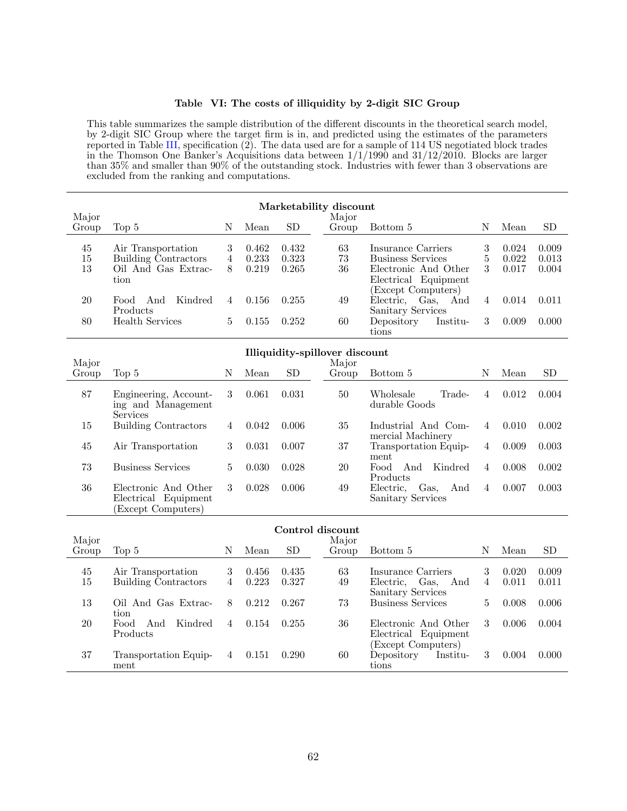# Table VI: The costs of illiquidity by 2-digit SIC Group

This table summarizes the sample distribution of the different discounts in the theoretical search model, by 2-digit SIC Group where the target Örm is in, and predicted using the estimates of the parameters reported in Table  $\overline{III}$ , specification  $\overline{2}$ ). The data used are for a sample of 114 US negotiated block trades in the Thomson One Banker's Acquisitions data between  $1/1/1990$  and  $31/12/2010$ . Blocks are larger than 35% and smaller than 90% of the outstanding stock. Industries with fewer than 3 observations are excluded from the ranking and computations.

|       |                             |                |       | Marketability discount         |       |                          |                |       |       |
|-------|-----------------------------|----------------|-------|--------------------------------|-------|--------------------------|----------------|-------|-------|
| Major |                             |                |       |                                | Major |                          |                |       |       |
| Group | Top 5                       | N              | Mean  | SD                             | Group | Bottom 5                 | N              | Mean  | SD    |
|       |                             |                |       |                                |       |                          |                |       |       |
| 45    | Air Transportation          | 3              | 0.462 | 0.432                          | 63    | Insurance Carriers       | 3              | 0.024 | 0.009 |
| 15    | <b>Building Contractors</b> | $\overline{4}$ | 0.233 | 0.323                          | 73    | <b>Business Services</b> | 5              | 0.022 | 0.013 |
| 13    | Oil And Gas Extrac-         | 8              | 0.219 | 0.265                          | 36    | Electronic And Other     | 3              | 0.017 | 0.004 |
|       | tion                        |                |       |                                |       | Electrical Equipment     |                |       |       |
|       |                             |                |       |                                |       | (Except Computers)       |                |       |       |
| 20    | And<br>Kindred<br>Food      | 4              | 0.156 | 0.255                          | 49    | Electric, Gas, And       | 4              | 0.014 | 0.011 |
|       | Products                    |                |       |                                |       | Sanitary Services        |                |       |       |
| 80    | <b>Health Services</b>      | 5              | 0.155 | 0.252                          | 60    | Depository<br>Institu-   | 3              | 0.009 | 0.000 |
|       |                             |                |       |                                |       | tions                    |                |       |       |
|       |                             |                |       |                                |       |                          |                |       |       |
|       |                             |                |       | Illiquidity-spillover discount |       |                          |                |       |       |
| Major |                             |                |       |                                | Major |                          |                |       |       |
| Group | Top 5                       | N              | Mean  | SD                             | Group | Bottom 5                 | N              | Mean  | SD    |
|       |                             |                |       |                                |       |                          |                |       |       |
| 87    | Engineering, Account-       | 3              | 0.061 | 0.031                          | 50    | Wholesale<br>Trade-      | $\overline{4}$ | 0.012 | 0.004 |
|       | ing and Management          |                |       |                                |       | durable Goods            |                |       |       |
|       | Services                    |                |       |                                |       |                          |                |       |       |
| 15    | <b>Building Contractors</b> | 4              | 0.042 | 0.006                          | 35    | Industrial And Com-      | 4              | 0.010 | 0.002 |
|       |                             |                |       |                                |       | mercial Machinery        |                |       |       |
| 45    | Air Transportation          | 3              | 0.031 | 0.007                          | 37    | Transportation Equip-    | 4              | 0.009 | 0.003 |
|       |                             |                |       |                                |       | ment                     |                |       |       |
| 73    | <b>Business Services</b>    | 5              | 0.030 | 0.028                          | 20    | And<br>Kindred<br>Food   | 4              | 0.008 | 0.002 |
|       |                             |                |       |                                |       | Products                 |                |       |       |
|       | Electronic And Other        | 3              |       | 0.006                          | 49    |                          |                |       |       |
| 36    |                             |                | 0.028 |                                |       | Electric, Gas,<br>And    | 4              | 0.007 | 0.003 |
|       | Electrical Equipment        |                |       |                                |       | Sanitary Services        |                |       |       |
|       | (Except Computers)          |                |       |                                |       |                          |                |       |       |

| Control discount |                                    |                |       |           |                |                                                       |   |       |       |
|------------------|------------------------------------|----------------|-------|-----------|----------------|-------------------------------------------------------|---|-------|-------|
| Major<br>Group   | Top 5                              | Ν              | Mean  | <b>SD</b> | Major<br>Group | Bottom 5                                              | N | Mean  | SD.   |
| 45               | Air Transportation                 | 3              | 0.456 | 0.435     | 63             | Insurance Carriers                                    | 3 | 0.020 | 0.009 |
| 15               | <b>Building Contractors</b>        | 4              | 0.223 | 0.327     | 49             | Gas.<br>Electric.<br>And                              | 4 | 0.011 | 0.011 |
| 13               | Oil And Gas Extrac-<br>tion        | 8              | 0.212 | 0.267     | 73             | Sanitary Services<br><b>Business Services</b>         | 5 | 0.008 | 0.006 |
| 20               | Kindred<br>Food<br>And<br>Products | 4              | 0.154 | 0.255     | 36             | Electronic And Other<br>Electrical Equipment          | 3 | 0.006 | 0.004 |
| 37               | Transportation Equip-<br>ment      | $\overline{4}$ | 0.151 | 0.290     | 60             | (Except Computers)<br>Institu-<br>Depository<br>tions | 3 | 0.004 | 0.000 |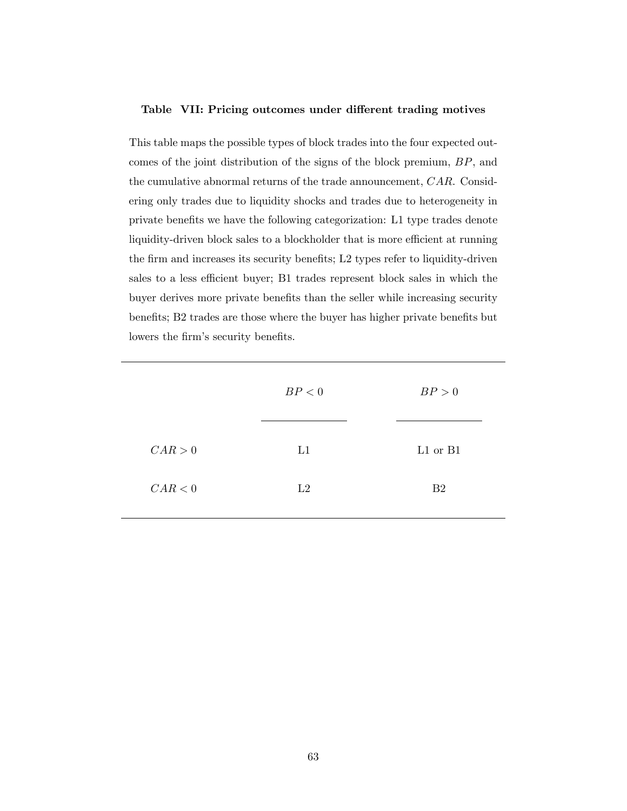## Table VII: Pricing outcomes under different trading motives

This table maps the possible types of block trades into the four expected outcomes of the joint distribution of the signs of the block premium, BP, and the cumulative abnormal returns of the trade announcement, CAR. Considering only trades due to liquidity shocks and trades due to heterogeneity in private benefits we have the following categorization: L1 type trades denote liquidity-driven block sales to a blockholder that is more efficient at running the firm and increases its security benefits; L2 types refer to liquidity-driven sales to a less efficient buyer; B1 trades represent block sales in which the buyer derives more private benefits than the seller while increasing security benefits; B2 trades are those where the buyer has higher private benefits but lowers the firm's security benefits.

|         | BP < 0 | BP > 0         |
|---------|--------|----------------|
| CAR > 0 | L1     | L1 or B1       |
| CAR < 0 | L2     | B <sub>2</sub> |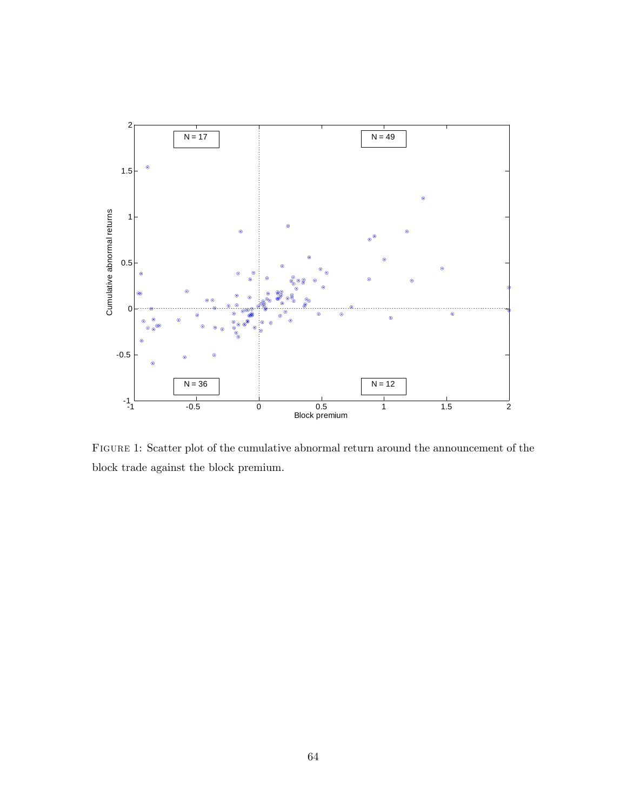

Figure 1: Scatter plot of the cumulative abnormal return around the announcement of the block trade against the block premium.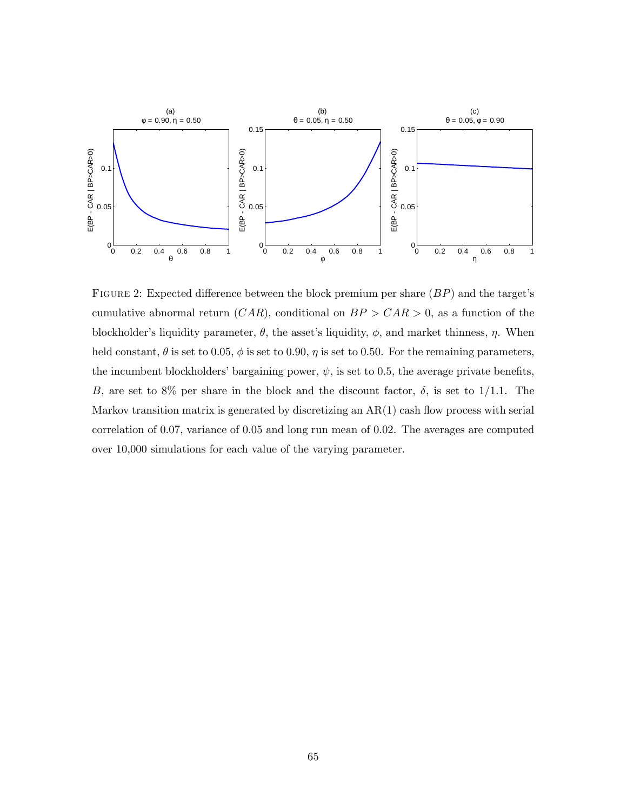

FIGURE 2: Expected difference between the block premium per share  $(BP)$  and the target's cumulative abnormal return  $(CAR)$ , conditional on  $BP > CAR > 0$ , as a function of the blockholder's liquidity parameter,  $\theta$ , the asset's liquidity,  $\phi$ , and market thinness,  $\eta$ . When held constant,  $\theta$  is set to 0.05,  $\phi$  is set to 0.90,  $\eta$  is set to 0.50. For the remaining parameters, the incumbent blockholders' bargaining power,  $\psi$ , is set to 0.5, the average private benefits, B, are set to 8% per share in the block and the discount factor,  $\delta$ , is set to 1/1.1. The Markov transition matrix is generated by discretizing an  $AR(1)$  cash flow process with serial correlation of 0.07, variance of 0.05 and long run mean of 0.02. The averages are computed over 10,000 simulations for each value of the varying parameter.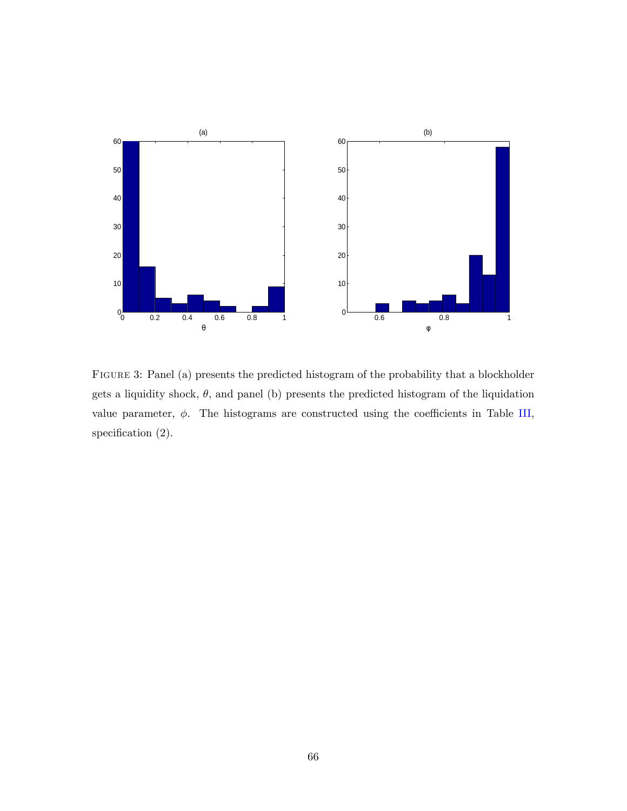

Figure 3: Panel (a) presents the predicted histogram of the probability that a blockholder gets a liquidity shock,  $\theta$ , and panel (b) presents the predicted histogram of the liquidation value parameter,  $\phi$ . The histograms are constructed using the coefficients in Table [III,](#page-58-0) specification  $(2)$ .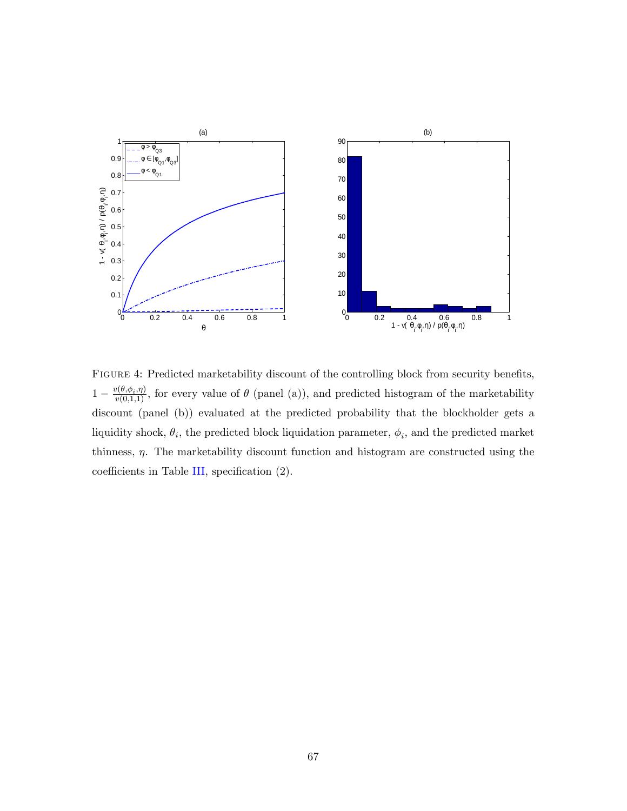

FIGURE 4: Predicted marketability discount of the controlling block from security benefits,  $1 - \frac{v(\theta, \phi_i, \eta)}{v(0,1,1)}$ , for every value of  $\theta$  (panel (a)), and predicted histogram of the marketability discount (panel (b)) evaluated at the predicted probability that the blockholder gets a liquidity shock,  $\theta_i$ , the predicted block liquidation parameter,  $\phi_i$ , and the predicted market thinness,  $\eta$ . The marketability discount function and histogram are constructed using the coefficients in Table [III,](#page-58-0) specification  $(2)$ .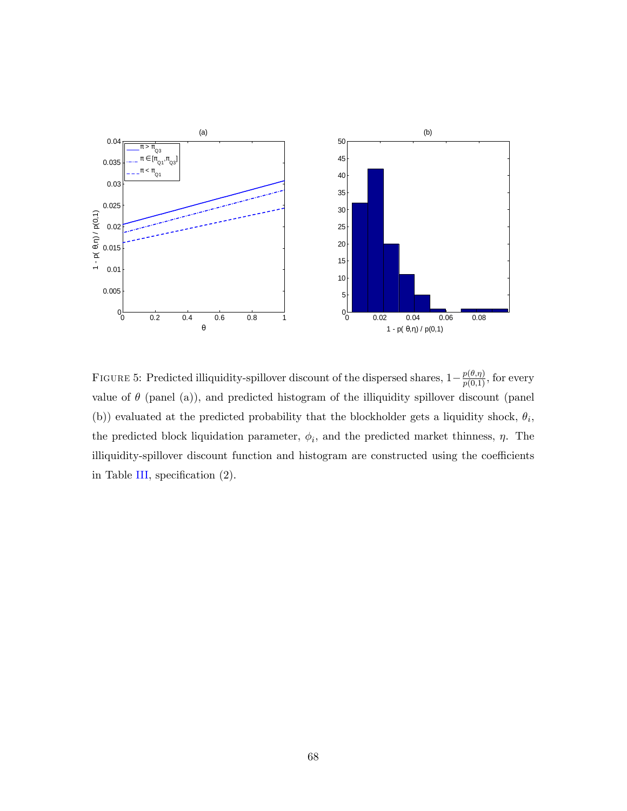

FIGURE 5: Predicted illiquidity-spillover discount of the dispersed shares,  $1-\frac{p(\theta,\eta)}{p(0,1)}$ , for every value of  $\theta$  (panel (a)), and predicted histogram of the illiquidity spillover discount (panel (b)) evaluated at the predicted probability that the blockholder gets a liquidity shock,  $\theta_i$ , the predicted block liquidation parameter,  $\phi_i$ , and the predicted market thinness,  $\eta$ . The illiquidity-spillover discount function and histogram are constructed using the coefficients in Table [III,](#page-58-0) specification  $(2)$ .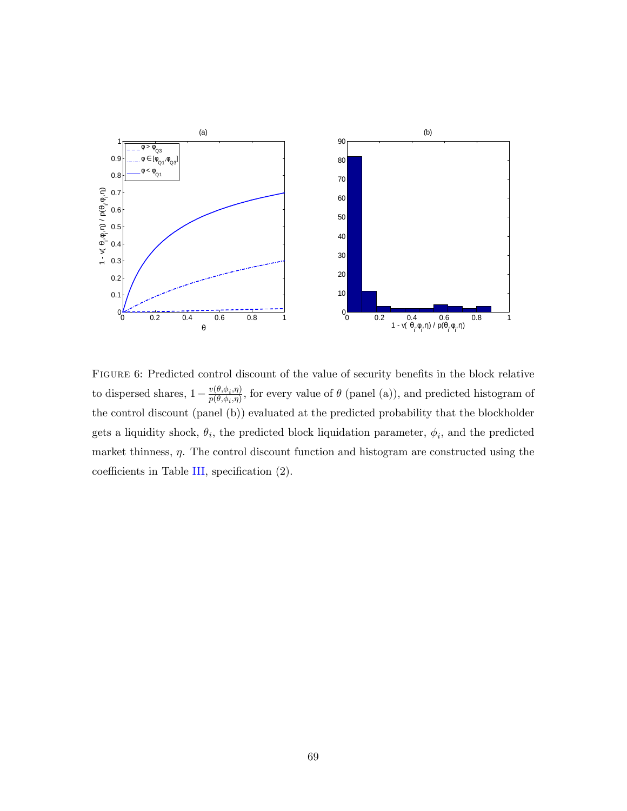

FIGURE 6: Predicted control discount of the value of security benefits in the block relative to dispersed shares,  $1 - \frac{v(\theta, \phi_i, \eta)}{p(\theta, \phi_i, \eta)}$  $\frac{\partial(\sigma,\varphi_i,\eta)}{\partial(\theta,\varphi_i,\eta)}$ , for every value of  $\theta$  (panel (a)), and predicted histogram of the control discount (panel (b)) evaluated at the predicted probability that the blockholder gets a liquidity shock,  $\theta_i$ , the predicted block liquidation parameter,  $\phi_i$ , and the predicted market thinness,  $\eta$ . The control discount function and histogram are constructed using the coefficients in Table [III,](#page-58-0) specification  $(2)$ .